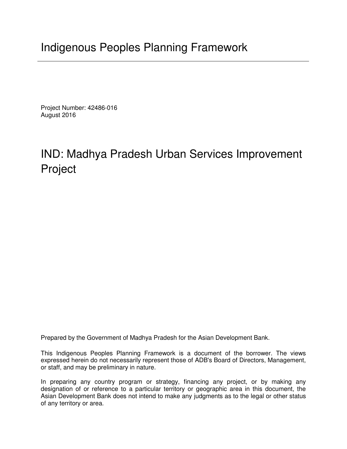Project Number: 42486-016 August 2016

# IND: Madhya Pradesh Urban Services Improvement Project

Prepared by the Government of Madhya Pradesh for the Asian Development Bank.

This Indigenous Peoples Planning Framework is a document of the borrower. The views expressed herein do not necessarily represent those of ADB's Board of Directors, Management, or staff, and may be preliminary in nature.

In preparing any country program or strategy, financing any project, or by making any designation of or reference to a particular territory or geographic area in this document, the Asian Development Bank does not intend to make any judgments as to the legal or other status of any territory or area.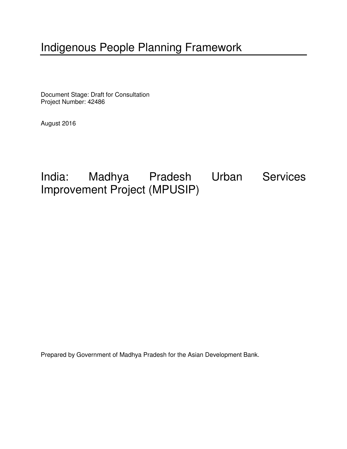# Indigenous People Planning Framework

Document Stage: Draft for Consultation Project Number: 42486

August 2016

India: Madhya Pradesh Urban Services Improvement Project (MPUSIP)

Prepared by Government of Madhya Pradesh for the Asian Development Bank.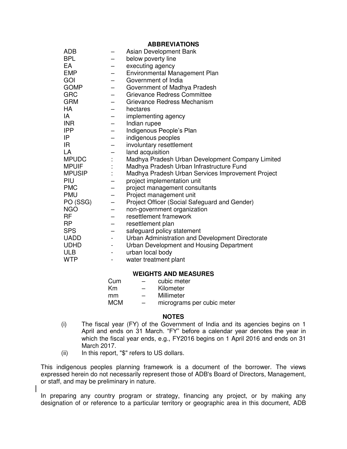|               |                          | , , , , , , , , , , , , , , ,                     |
|---------------|--------------------------|---------------------------------------------------|
| <b>ADB</b>    |                          | Asian Development Bank                            |
| <b>BPL</b>    |                          | below poverty line                                |
| EA            |                          | executing agency                                  |
| <b>EMP</b>    |                          | Environmental Management Plan                     |
| GOI           | -                        | Government of India                               |
| <b>GOMP</b>   | —                        | Government of Madhya Pradesh                      |
| <b>GRC</b>    |                          | <b>Grievance Redress Committee</b>                |
| <b>GRM</b>    |                          | Grievance Redress Mechanism                       |
| <b>HA</b>     | ÷,                       | hectares                                          |
| IA            | -                        | implementing agency                               |
| <b>INR</b>    | -                        | Indian rupee                                      |
| <b>IPP</b>    |                          | Indigenous People's Plan                          |
| IP            |                          | indigenous peoples                                |
| IR.           | -                        | involuntary resettlement                          |
| LA            | -                        | land acquisition                                  |
| <b>MPUDC</b>  |                          | Madhya Pradesh Urban Development Company Limited  |
| <b>MPUIF</b>  |                          | Madhya Pradesh Urban Infrastructure Fund          |
| <b>MPUSIP</b> | t,                       | Madhya Pradesh Urban Services Improvement Project |
| PIU           | -                        | project implementation unit                       |
| <b>PMC</b>    | -                        | project management consultants                    |
| <b>PMU</b>    |                          | Project management unit                           |
| PO (SSG)      |                          | Project Officer (Social Safeguard and Gender)     |
| <b>NGO</b>    |                          | non-government organization                       |
| <b>RF</b>     | -                        | resettlement framework                            |
| <b>RP</b>     |                          | resettlement plan                                 |
| <b>SPS</b>    |                          | safeguard policy statement                        |
| <b>UADD</b>   | $\overline{\phantom{0}}$ | Urban Administration and Development Directorate  |
| <b>UDHD</b>   | -                        | Urban Development and Housing Department          |
| <b>ULB</b>    | -                        | urban local body                                  |
| <b>WTP</b>    |                          | water treatment plant                             |
|               |                          |                                                   |

#### **WEIGHTS AND MEASURES**

| Cum        | -                        | cubic meter                |
|------------|--------------------------|----------------------------|
| Km         | -                        | Kilometer                  |
| mm         | $\overline{\phantom{0}}$ | Millimeter                 |
| <b>MCM</b> | $\overline{\phantom{0}}$ | micrograms per cubic meter |

#### **NOTES**

- (i) The fiscal year (FY) of the Government of India and its agencies begins on 1 April and ends on 31 March. "FY" before a calendar year denotes the year in which the fiscal year ends, e.g., FY2016 begins on 1 April 2016 and ends on 31 March 2017.
- (ii) In this report, "\$" refers to US dollars.

This indigenous peoples planning framework is a document of the borrower. The views expressed herein do not necessarily represent those of ADB's Board of Directors, Management, or staff, and may be preliminary in nature.

In preparing any country program or strategy, financing any project, or by making any designation of or reference to a particular territory or geographic area in this document, ADB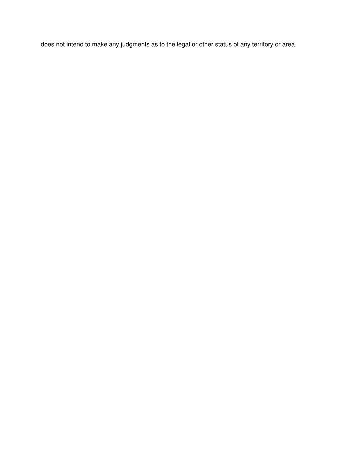does not intend to make any judgments as to the legal or other status of any territory or area.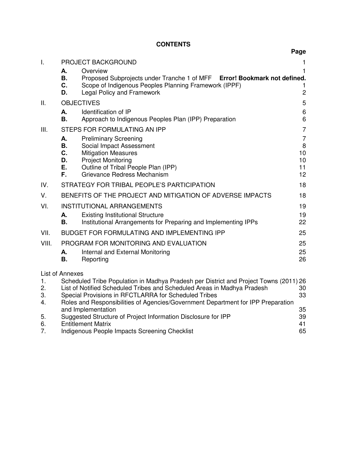# **CONTENTS**

|                            |                                                                                                                                                                                                                                                                                                                                                                                                                               | Page                                        |  |  |  |  |  |
|----------------------------|-------------------------------------------------------------------------------------------------------------------------------------------------------------------------------------------------------------------------------------------------------------------------------------------------------------------------------------------------------------------------------------------------------------------------------|---------------------------------------------|--|--|--|--|--|
| Τ.                         | PROJECT BACKGROUND                                                                                                                                                                                                                                                                                                                                                                                                            | 1                                           |  |  |  |  |  |
|                            | Overview<br>А.<br>Proposed Subprojects under Tranche 1 of MFF Error! Bookmark not defined.<br><b>B.</b><br>C.<br>Scope of Indigenous Peoples Planning Framework (IPPF)<br>D.<br><b>Legal Policy and Framework</b>                                                                                                                                                                                                             | 1<br>1<br>$\overline{c}$                    |  |  |  |  |  |
| П.                         | <b>OBJECTIVES</b>                                                                                                                                                                                                                                                                                                                                                                                                             | 5                                           |  |  |  |  |  |
|                            | Identification of IP<br>А.<br><b>B.</b><br>Approach to Indigenous Peoples Plan (IPP) Preparation                                                                                                                                                                                                                                                                                                                              | 6<br>$6\phantom{1}$                         |  |  |  |  |  |
| III.                       | STEPS FOR FORMULATING AN IPP                                                                                                                                                                                                                                                                                                                                                                                                  | $\overline{7}$                              |  |  |  |  |  |
|                            | <b>Preliminary Screening</b><br>А.<br>Social Impact Assessment<br>В.<br>C.<br><b>Mitigation Measures</b><br>D.<br><b>Project Monitoring</b><br>Ε.<br>Outline of Tribal People Plan (IPP)<br>F.<br>Grievance Redress Mechanism                                                                                                                                                                                                 | $\overline{7}$<br>8<br>10<br>10<br>11<br>12 |  |  |  |  |  |
| IV.                        | STRATEGY FOR TRIBAL PEOPLE'S PARTICIPATION                                                                                                                                                                                                                                                                                                                                                                                    | 18                                          |  |  |  |  |  |
| V.                         | BENEFITS OF THE PROJECT AND MITIGATION OF ADVERSE IMPACTS                                                                                                                                                                                                                                                                                                                                                                     | 18                                          |  |  |  |  |  |
| VI.                        | <b>INSTITUTIONAL ARRANGEMENTS</b><br><b>Existing Institutional Structure</b><br>А.<br>Institutional Arrangements for Preparing and Implementing IPPs<br><b>B.</b>                                                                                                                                                                                                                                                             | 19<br>19<br>22                              |  |  |  |  |  |
| VII.                       | BUDGET FOR FORMULATING AND IMPLEMENTING IPP                                                                                                                                                                                                                                                                                                                                                                                   | 25                                          |  |  |  |  |  |
| VIII.                      | PROGRAM FOR MONITORING AND EVALUATION<br>Internal and External Monitoring<br>А.<br>В.<br>Reporting                                                                                                                                                                                                                                                                                                                            | 25<br>25<br>26                              |  |  |  |  |  |
| 1.<br>2.<br>3.<br>4.<br>5. | <b>List of Annexes</b><br>Scheduled Tribe Population in Madhya Pradesh per District and Project Towns (2011) 26<br>List of Notified Scheduled Tribes and Scheduled Areas in Madhya Pradesh<br>Special Provisions in RFCTLARRA for Scheduled Tribes<br>Roles and Responsibilities of Agencies/Government Department for IPP Preparation<br>and Implementation<br>Suggested Structure of Project Information Disclosure for IPP | 30<br>33<br>35<br>39                        |  |  |  |  |  |
| 6.                         | 41<br><b>Entitlement Matrix</b>                                                                                                                                                                                                                                                                                                                                                                                               |                                             |  |  |  |  |  |

7. Indigenous People Impacts Screening Checklist 65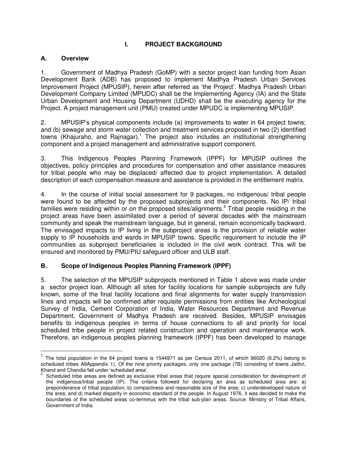## **I. PROJECT BACKGROUND**

#### <span id="page-5-1"></span><span id="page-5-0"></span>**A. Overview**

 $\overline{a}$ 

1. Government of Madhya Pradesh (GoMP) with a sector project loan funding from Asian Development Bank (ADB) has proposed to implement Madhya Pradesh Urban Services Improvement Project (MPUSIP), herein after referred as 'the Project'. Madhya Pradesh Urban Development Company Limited (MPUDC) shall be the Implementing Agency (IA) and the State Urban Development and Housing Department (UDHD) shall be the executing agency for the Project. A project management unit (PMU) created under MPUDC is implementing MPUSIP.

2. MPUSIP's physical components include (a) improvements to water in 64 project towns; and (b) sewage and storm water collection and treatment services proposed in two (2) identified towns (Khajuraho, and Rajnagar).<sup>1</sup> The project also includes an institutional strengthening component and a project management and administrative support component.

3. This Indigenous Peoples Planning Framework (IPPF) for MPUSIP outlines the objectives, policy principles and procedures for compensation and other assistance measures for tribal people who may be displaced/ affected due to project implementation. A detailed description of each compensation measure and assistance is provided in the entitlement matrix.

4. In the course of initial social assessment for 9 packages, no indigenous/ tribal people were found to be affected by the proposed subprojects and their components. No IP/ tribal families were residing within or on the proposed sites/alignments.<sup>2</sup> Tribal people residing in the project areas have been assimilated over a period of several decades with the mainstream community and speak the mainstream language, but in general, remain economically backward. The envisaged impacts to IP living in the subproject areas is the provision of reliable water supply to IP households and wards in MPUSIP towns. Specific requirement to include the IP communities as subproject beneficiaries is included in the civil work contract. This will be ensured and monitored by PMU/PIU safeguard officer and ULB staff.

#### <span id="page-5-2"></span>**B. Scope of Indigenous Peoples Planning Framework (IPPF)**

5. The selection of the MPUSIP subprojects mentioned in Table 1 above was made under a sector project loan. Although all sites for facility locations for sample subprojects are fully known, some of the final facility locations and final alignments for water supply transmission lines and impacts will be confirmed after requisite permissions from entities like Archeological Survey of India, Cement Corporation of India, Water Resources Department and Revenue Department, Government of Madhya Pradesh are received. Besides, MPUSIP envisages benefits to indigenous peoples in terms of house connections to all and priority for local scheduled tribe people in project related construction and operation and maintenance work. Therefore, an indigenous peoples planning framework (IPPF) has been developed to manage

<sup>&</sup>lt;sup>1</sup> The total population in the 64 project towns is 1544971 as per Census 2011, of which 96020 (6.2%) belong to scheduled tribes A9Appendix 1). Of the nine priority packages, only one package (7B) consisting of towns Jaithri, Khand and Chandia fall under 'scheduled area'. 2

Scheduled tribe areas are defined as exclusive tribal areas that require special consideration for development of the indigenous/tribal people (IP). The criteria followed for declaring an area as scheduled area are: a) preponderance of tribal population; b) compactness and reasonable size of the area; c) underdeveloped nature of the area; and d) marked disparity in economic standard of the people. In August 1976, it was decided to make the boundaries of the scheduled areas co-terminus with the tribal sub-plan areas. Source: Ministry of Tribal Affairs, Government of India.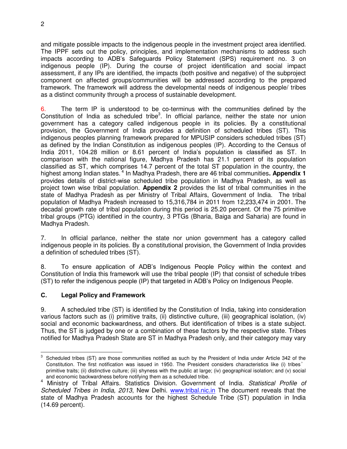and mitigate possible impacts to the indigenous people in the investment project area identified. The IPPF sets out the policy, principles, and implementation mechanisms to address such impacts according to ADB's Safeguards Policy Statement (SPS) requirement no. 3 on indigenous people (IP). During the course of project identification and social impact assessment, if any IPs are identified, the impacts (both positive and negative) of the subproject component on affected groups/communities will be addressed according to the prepared framework. The framework will address the developmental needs of indigenous people/ tribes as a distinct community through a process of sustainable development.

6. The term IP is understood to be co-terminus with the communities defined by the Constitution of India as scheduled tribe<sup>3</sup>. In official parlance, neither the state nor union government has a category called indigenous people in its policies. By a constitutional provision, the Government of India provides a definition of scheduled tribes (ST). This indigenous peoples planning framework prepared for MPUSIP considers scheduled tribes (ST) as defined by the Indian Constitution as indigenous peoples (IP). According to the Census of India 2011, 104.28 million or 8.61 percent of India's population is classified as ST. In comparison with the national figure, Madhya Pradesh has 21.1 percent of its population classified as ST, which comprises 14.7 percent of the total ST population in the country, the highest among Indian states.<sup>4</sup> In Madhya Pradesh, there are 46 tribal communities. Appendix 1 provides details of district-wise scheduled tribe population in Madhya Pradesh, as well as project town wise tribal population. **Appendix 2** provides the list of tribal communities in the state of Madhya Pradesh as per Ministry of Tribal Affairs, Government of India. The tribal population of Madhya Pradesh increased to 15,316,784 in 2011 from 12,233,474 in 2001. The decadal growth rate of tribal population during this period is 25.20 percent. Of the 75 primitive tribal groups (PTG) identified in the country, 3 PTGs (Bharia, Baiga and Saharia) are found in Madhya Pradesh.

7. In official parlance, neither the state nor union government has a category called indigenous people in its policies. By a constitutional provision, the Government of India provides a definition of scheduled tribes (ST).

8. To ensure application of ADB's Indigenous People Policy within the context and Constitution of India this framework will use the tribal people (IP) that consist of schedule tribes (ST) to refer the indigenous people (IP) that targeted in ADB's Policy on Indigenous People.

#### <span id="page-6-0"></span>**C. Legal Policy and Framework**

9. A scheduled tribe (ST) is identified by the Constitution of India, taking into consideration various factors such as (i) primitive traits, (ii) distinctive culture, (iii) geographical isolation, (iv) social and economic backwardness, and others. But identification of tribes is a state subject. Thus, the ST is judged by one or a combination of these factors by the respective state. Tribes notified for Madhya Pradesh State are ST in Madhya Pradesh only, and their category may vary

<sup>-&</sup>lt;br>3 Scheduled tribes (ST) are those communities notified as such by the President of India under Article 342 of the Constitution. The first notification was issued in 1950. The President considers characteristics like (i) tribes' primitive traits; (ii) distinctive culture; (iii) shyness with the public at large; (iv) geographical isolation; and (v) social and economic backwardness before notifying them as a scheduled tribe.

<sup>4</sup> Ministry of Tribal Affairs. Statistics Division. Government of India. *Statistical Profile of Scheduled Tribes in India, 2013*, New Delhi. [www.tribal.nic.in](http://www.tribal.nic.in/) The document reveals that the state of Madhya Pradesh accounts for the highest Schedule Tribe (ST) population in India (14.69 percent).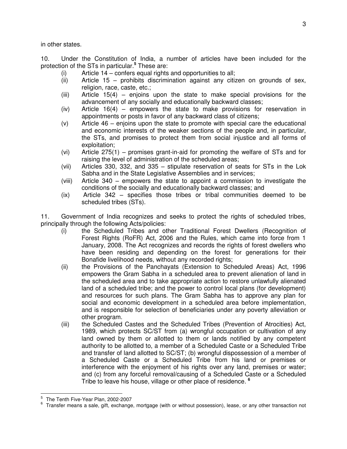in other states.

10. Under the Constitution of India, a number of articles have been included for the protection of the STs in particular.**<sup>5</sup>** These are:

- (i) Article 14 confers equal rights and opportunities to all;
- (ii) Article 15 prohibits discrimination against any citizen on grounds of sex, religion, race, caste, etc.;
- (iii) Article 15(4) enjoins upon the state to make special provisions for the advancement of any socially and educationally backward classes;
- (iv) Article 16(4) empowers the state to make provisions for reservation in appointments or posts in favor of any backward class of citizens;
- (v) Article 46 enjoins upon the state to promote with special care the educational and economic interests of the weaker sections of the people and, in particular, the STs, and promises to protect them from social injustice and all forms of exploitation;
- (vi) Article 275(1) promises grant-in-aid for promoting the welfare of STs and for raising the level of administration of the scheduled areas;
- (vii) Articles 330, 332, and 335 stipulate reservation of seats for STs in the Lok Sabha and in the State Legislative Assemblies and in services;
- (viii) Article 340 empowers the state to appoint a commission to investigate the conditions of the socially and educationally backward classes; and
- (ix) Article 342 specifies those tribes or tribal communities deemed to be scheduled tribes (STs).

11. Government of India recognizes and seeks to protect the rights of scheduled tribes, principally through the following Acts/policies:

- (i) the Scheduled Tribes and other Traditional Forest Dwellers (Recognition of Forest Rights (RoFR) Act, 2006 and the Rules, which came into force from 1 January, 2008. The Act recognizes and records the rights of forest dwellers who have been residing and depending on the forest for generations for their Bonafide livelihood needs, without any recorded rights;
- (ii) the Provisions of the Panchayats (Extension to Scheduled Areas) Act, 1996 empowers the Gram Sabha in a scheduled area to prevent alienation of land in the scheduled area and to take appropriate action to restore unlawfully alienated land of a scheduled tribe; and the power to control local plans (for development) and resources for such plans. The Gram Sabha has to approve any plan for social and economic development in a scheduled area before implementation, and is responsible for selection of beneficiaries under any poverty alleviation or other program.
- (iii) the Scheduled Castes and the Scheduled Tribes (Prevention of Atrocities) Act, 1989, which protects SC/ST from (a) wrongful occupation or cultivation of any land owned by them or allotted to them or lands notified by any competent authority to be allotted to, a member of a Scheduled Caste or a Scheduled Tribe and transfer of land allotted to SC/ST; (b) wrongful dispossession of a member of a Scheduled Caste or a Scheduled Tribe from his land or premises or interference with the enjoyment of his rights over any land, premises or water; and (c) from any forceful removal/causing of a Scheduled Caste or a Scheduled Tribe to leave his house, village or other place of residence. **6**

l 5 The Tenth Five-Year Plan, 2002-2007

<sup>6</sup> Transfer means a sale, gift, exchange, mortgage (with or without possession), lease, or any other transaction not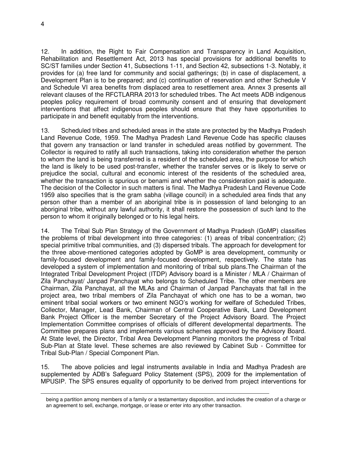4

 $\overline{a}$ 

12. In addition, the Right to Fair Compensation and Transparency in Land Acquisition, Rehabilitation and Resettlement Act, 2013 has special provisions for additional benefits to SC/ST families under Section 41, Subsections 1-11, and Section 42, subsections 1-3. Notably, it provides for (a) free land for community and social gatherings; (b) in case of displacement, a Development Plan is to be prepared; and (c) continuation of reservation and other Schedule V and Schedule VI area benefits from displaced area to resettlement area. Annex 3 presents all relevant clauses of the RFCTLARRA 2013 for scheduled tribes. The Act meets ADB indigenous peoples policy requirement of broad community consent and of ensuring that development interventions that affect indigenous peoples should ensure that they have opportunities to participate in and benefit equitably from the interventions.

13. Scheduled tribes and scheduled areas in the state are protected by the Madhya Pradesh Land Revenue Code, 1959. The Madhya Pradesh Land Revenue Code has specific clauses that govern any transaction or land transfer in scheduled areas notified by government. The Collector is required to ratify all such transactions, taking into consideration whether the person to whom the land is being transferred is a resident of the scheduled area, the purpose for which the land is likely to be used post-transfer, whether the transfer serves or is likely to serve or prejudice the social, cultural and economic interest of the residents of the scheduled area, whether the transaction is spurious or benami and whether the consideration paid is adequate. The decision of the Collector in such matters is final. The Madhya Pradesh Land Revenue Code 1959 also specifies that is the gram sabha (village council) in a scheduled area finds that any person other than a member of an aboriginal tribe is in possession of land belonging to an aboriginal tribe, without any lawful authority, it shall restore the possession of such land to the person to whom it originally belonged or to his legal heirs.

14. The Tribal Sub Plan Strategy of the Government of Madhya Pradesh (GoMP) classifies the problems of tribal development into three categories: (1) areas of tribal concentration; (2) special primitive tribal communities, and (3) dispersed tribals. The approach for development for the three above-mentioned categories adopted by GoMP is area development, community or family-focused development and family-focused development, respectively. The state has developed a system of implementation and monitoring of tribal sub plans.The Chairman of the Integrated Tribal Development Project (ITDP) Advisory board is a Minister / MLA / Chairman of Zila Panchayat/ Janpad Panchayat who belongs to Scheduled Tribe. The other members are Chairman, Zila Panchayat, all the MLAs and Chairman of Janpad Panchayats that fall in the project area, two tribal members of Zila Panchayat of which one has to be a woman, two eminent tribal social workers or two eminent NGO's working for welfare of Scheduled Tribes, Collector, Manager, Lead Bank, Chairman of Central Cooperative Bank, Land Development Bank Project Officer is the member Secretary of the Project Advisory Board. The Project Implementation Committee comprises of officials of different developmental departments. The Committee prepares plans and implements various schemes approved by the Advisory Board. At State level, the Director, Tribal Area Development Planning monitors the progress of Tribal Sub-Plan at State level. These schemes are also reviewed by Cabinet Sub - Committee for Tribal Sub-Plan / Special Component Plan.

15. The above policies and legal instruments available in India and Madhya Pradesh are supplemented by ADB's Safeguard Policy Statement (SPS), 2009 for the implementation of MPUSIP. The SPS ensures equality of opportunity to be derived from project interventions for

being a partition among members of a family or a testamentary disposition, and includes the creation of a charge or an agreement to sell, exchange, mortgage, or lease or enter into any other transaction.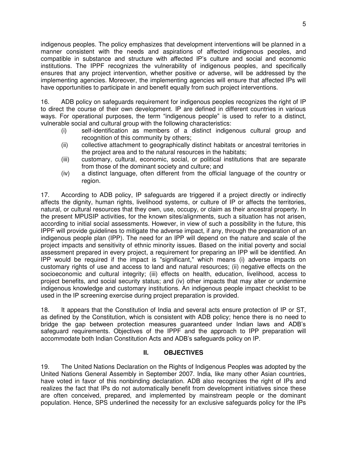indigenous peoples. The policy emphasizes that development interventions will be planned in a manner consistent with the needs and aspirations of affected indigenous peoples, and compatible in substance and structure with affected IP's culture and social and economic institutions. The IPPF recognizes the vulnerability of indigenous peoples, and specifically ensures that any project intervention, whether positive or adverse, will be addressed by the implementing agencies. Moreover, the implementing agencies will ensure that affected IPs will have opportunities to participate in and benefit equally from such project interventions.

16. ADB policy on safeguards requirement for indigenous peoples recognizes the right of IP to direct the course of their own development. IP are defined in different countries in various ways. For operational purposes, the term "indigenous people" is used to refer to a distinct, vulnerable social and cultural group with the following characteristics:

- (i) self-identification as members of a distinct indigenous cultural group and recognition of this community by others;
- (ii) collective attachment to geographically distinct habitats or ancestral territories in the project area and to the natural resources in the habitats;
- (iii) customary, cultural, economic, social, or political institutions that are separate from those of the dominant society and culture; and
- (iv) a distinct language, often different from the official language of the country or region.

17. According to ADB policy, IP safeguards are triggered if a project directly or indirectly affects the dignity, human rights, livelihood systems, or culture of IP or affects the territories, natural, or cultural resources that they own, use, occupy, or claim as their ancestral property. In the present MPUSIP activities, for the known sites/alignments, such a situation has not arisen, according to initial social assessments. However, in view of such a possibility in the future, this IPPF will provide guidelines to mitigate the adverse impact, if any, through the preparation of an indigenous people plan (IPP). The need for an IPP will depend on the nature and scale of the project impacts and sensitivity of ethnic minority issues. Based on the initial poverty and social assessment prepared in every project, a requirement for preparing an IPP will be identified. An IPP would be required if the impact is "significant," which means (i) adverse impacts on customary rights of use and access to land and natural resources; (ii) negative effects on the socioeconomic and cultural integrity; (iii) effects on health, education, livelihood, access to project benefits, and social security status; and (iv) other impacts that may alter or undermine indigenous knowledge and customary institutions. An indigenous people impact checklist to be used in the IP screening exercise during project preparation is provided.

18. It appears that the Constitution of India and several acts ensure protection of IP or ST, as defined by the Constitution, which is consistent with ADB policy; hence there is no need to bridge the gap between protection measures guaranteed under Indian laws and ADB's safeguard requirements. Objectives of the IPPF and the approach to IPP preparation will accommodate both Indian Constitution Acts and ADB's safeguards policy on IP.

#### **II. OBJECTIVES**

<span id="page-9-0"></span>19. The United Nations Declaration on the Rights of Indigenous Peoples was adopted by the United Nations General Assembly in September 2007. India, like many other Asian countries, have voted in favor of this nonbinding declaration. ADB also recognizes the right of IPs and realizes the fact that IPs do not automatically benefit from development initiatives since these are often conceived, prepared, and implemented by mainstream people or the dominant population. Hence, SPS underlined the necessity for an exclusive safeguards policy for the IPs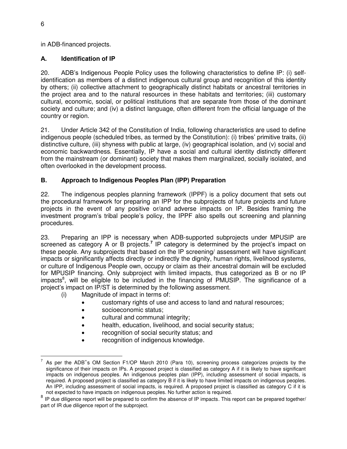in ADB-financed projects.

## <span id="page-10-0"></span>**A. Identification of IP**

20. ADB's Indigenous People Policy uses the following characteristics to define IP: (i) selfidentification as members of a distinct indigenous cultural group and recognition of this identity by others; (ii) collective attachment to geographically distinct habitats or ancestral territories in the project area and to the natural resources in these habitats and territories; (iii) customary cultural, economic, social, or political institutions that are separate from those of the dominant society and culture; and (iv) a distinct language, often different from the official language of the country or region.

21. Under Article 342 of the Constitution of India, following characteristics are used to define indigenous people (scheduled tribes, as termed by the Constitution): (i) tribes' primitive traits, (ii) distinctive culture, (iii) shyness with public at large, (iv) geographical isolation, and (v) social and economic backwardness. Essentially, IP have a social and cultural identity distinctly different from the mainstream (or dominant) society that makes them marginalized, socially isolated, and often overlooked in the development process.

## <span id="page-10-1"></span>**B. Approach to Indigenous Peoples Plan (IPP) Preparation**

22. The indigenous peoples planning framework (IPPF) is a policy document that sets out the procedural framework for preparing an IPP for the subprojects of future projects and future projects in the event of any positive or/and adverse impacts on IP. Besides framing the investment program's tribal people's policy, the IPPF also spells out screening and planning procedures.

23. Preparing an IPP is necessary when ADB-supported subprojects under MPUSIP are screened as category A or B projects.<sup>7</sup> IP category is determined by the project's impact on these people. Any subprojects that based on the IP screening/ assessment will have significant impacts or significantly affects directly or indirectly the dignity, human rights, livelihood systems, or culture of Indigenous People own, occupy or claim as their ancestral domain will be excluded for MPUSIP financing. Only subproject with limited impacts, thus categorized as B or no IP impacts<sup>8</sup>, will be eligible to be included in the financing of PMUSIP. The significance of a project's impact on IP/ST is determined by the following assessment.

- (i) Magnitude of impact in terms of:
	- customary rights of use and access to land and natural resources;
	- socioeconomic status;
	- cultural and communal integrity;
	- health, education, livelihood, and social security status;
	- recognition of social security status; and
	- recognition of indigenous knowledge.

TAS PER THE ADB<sup>\*</sup>s OM Section F1/OP March 2010 (Para 10), screening process categorizes projects by the significance of their impacts on IPs. A proposed project is classified as category A if it is likely to have significant impacts on indigenous peoples. An indigenous peoples plan (IPP), including assessment of social impacts, is required. A proposed project is classified as category B if it is likely to have limited impacts on indigenous peoples. An IPP, including assessment of social impacts, is required. A proposed project is classified as category C if it is not expected to have impacts on indigenous peoples. No further action is required.

<sup>&</sup>lt;sup>8</sup> IP due diligence report will be prepared to confirm the absence of IP impacts. This report can be prepared together/ part of IR due diligence report of the subproject.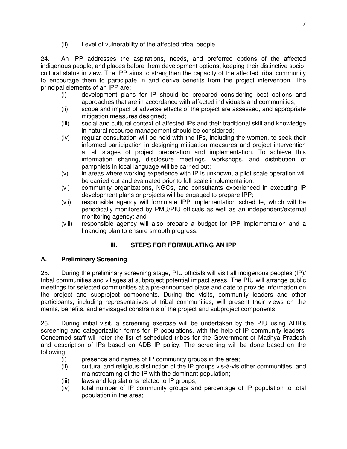(ii) Level of vulnerability of the affected tribal people

24. An IPP addresses the aspirations, needs, and preferred options of the affected indigenous people, and places before them development options, keeping their distinctive sociocultural status in view. The IPP aims to strengthen the capacity of the affected tribal community to encourage them to participate in and derive benefits from the project intervention. The principal elements of an IPP are:

- (i) development plans for IP should be prepared considering best options and approaches that are in accordance with affected individuals and communities;
- (ii) scope and impact of adverse effects of the project are assessed, and appropriate mitigation measures designed;
- (iii) social and cultural context of affected IPs and their traditional skill and knowledge in natural resource management should be considered;
- (iv) regular consultation will be held with the IPs, including the women, to seek their informed participation in designing mitigation measures and project intervention at all stages of project preparation and implementation. To achieve this information sharing, disclosure meetings, workshops, and distribution of pamphlets in local language will be carried out;
- (v) in areas where working experience with IP is unknown, a pilot scale operation will be carried out and evaluated prior to full-scale implementation;
- (vi) community organizations, NGOs, and consultants experienced in executing IP development plans or projects will be engaged to prepare IPP;
- (vii) responsible agency will formulate IPP implementation schedule, which will be periodically monitored by PMU/PIU officials as well as an independent/external monitoring agency; and
- (viii) responsible agency will also prepare a budget for IPP implementation and a financing plan to ensure smooth progress.

# **III. STEPS FOR FORMULATING AN IPP**

# <span id="page-11-1"></span><span id="page-11-0"></span>**A. Preliminary Screening**

25. During the preliminary screening stage, PIU officials will visit all indigenous peoples (IP)/ tribal communities and villages at subproject potential impact areas. The PIU will arrange public meetings for selected communities at a pre-announced place and date to provide information on the project and subproject components. During the visits, community leaders and other participants, including representatives of tribal communities, will present their views on the merits, benefits, and envisaged constraints of the project and subproject components.

26. During initial visit, a screening exercise will be undertaken by the PIU using ADB's screening and categorization forms for IP populations, with the help of IP community leaders. Concerned staff will refer the list of scheduled tribes for the Government of Madhya Pradesh and description of IPs based on ADB IP policy. The screening will be done based on the following:

- (i) presence and names of IP community groups in the area;
- (ii) cultural and religious distinction of the IP groups vis-à-vis other communities, and mainstreaming of the IP with the dominant population;
- (iii) laws and legislations related to IP groups;
- (iv) total number of IP community groups and percentage of IP population to total population in the area;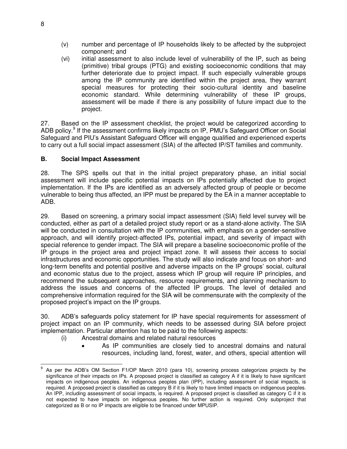- (v) number and percentage of IP households likely to be affected by the subproject component; and
- (vi) initial assessment to also include level of vulnerability of the IP, such as being (primitive) tribal groups (PTG) and existing socioeconomic conditions that may further deteriorate due to project impact. If such especially vulnerable groups among the IP community are identified within the project area, they warrant special measures for protecting their socio-cultural identity and baseline economic standard. While determining vulnerability of these IP groups, assessment will be made if there is any possibility of future impact due to the project.

27. Based on the IP assessment checklist, the project would be categorized according to ADB policy.<sup>9</sup> If the assessment confirms likely impacts on IP, PMU's Safeguard Officer on Social Safeguard and PIU's Assistant Safeguard Officer will engage qualified and experienced experts to carry out a full social impact assessment (SIA) of the affected IP/ST families and community.

#### <span id="page-12-0"></span>**B. Social Impact Assessment**

28. The SPS spells out that in the initial project preparatory phase, an initial social assessment will include specific potential impacts on IPs potentially affected due to project implementation. If the IPs are identified as an adversely affected group of people or become vulnerable to being thus affected, an IPP must be prepared by the EA in a manner acceptable to ADB.

29. Based on screening, a primary social impact assessment (SIA) field level survey will be conducted, either as part of a detailed project study report or as a stand-alone activity. The SIA will be conducted in consultation with the IP communities, with emphasis on a gender-sensitive approach, and will identify project-affected IPs, potential impact, and severity of impact with special reference to gender impact. The SIA will prepare a baseline socioeconomic profile of the IP groups in the project area and project impact zone. It will assess their access to social infrastructures and economic opportunities. The study will also indicate and focus on short- and long-term benefits and potential positive and adverse impacts on the IP groups' social, cultural and economic status due to the project, assess which IP group will require IP principles, and recommend the subsequent approaches, resource requirements, and planning mechanism to address the issues and concerns of the affected IP groups. The level of detailed and comprehensive information required for the SIA will be commensurate with the complexity of the proposed project's impact on the IP groups.

30. ADB's safeguards policy statement for IP have special requirements for assessment of project impact on an IP community, which needs to be assessed during SIA before project implementation. Particular attention has to be paid to the following aspects:

- (i) Ancestral domains and related natural resources
	- As IP communities are closely tied to ancestral domains and natural resources, including land, forest, water, and others, special attention will

 $\overline{\phantom{a}}$ 9 As per the ADB's OM Section F1/OP March 2010 (para 10), screening process categorizes projects by the significance of their impacts on IPs. A proposed project is classified as category A if it is likely to have significant impacts on indigenous peoples. An indigenous peoples plan (IPP), including assessment of social impacts, is required. A proposed project is classified as category B if it is likely to have limited impacts on indigenous peoples. An IPP, including assessment of social impacts, is required. A proposed project is classified as category C if it is not expected to have impacts on indigenous peoples. No further action is required. Only subproject that categorized as B or no IP impacts are eligible to be financed under MPUSIP.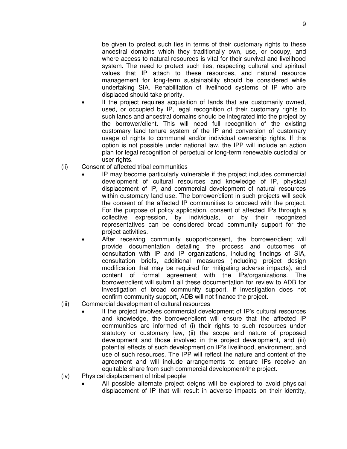be given to protect such ties in terms of their customary rights to these ancestral domains which they traditionally own, use, or occupy, and where access to natural resources is vital for their survival and livelihood system. The need to protect such ties, respecting cultural and spiritual values that IP attach to these resources, and natural resource management for long-term sustainability should be considered while undertaking SIA. Rehabilitation of livelihood systems of IP who are displaced should take priority.

- If the project requires acquisition of lands that are customarily owned, used, or occupied by IP, legal recognition of their customary rights to such lands and ancestral domains should be integrated into the project by the borrower/client. This will need full recognition of the existing customary land tenure system of the IP and conversion of customary usage of rights to communal and/or individual ownership rights. If this option is not possible under national law, the IPP will include an action plan for legal recognition of perpetual or long-term renewable custodial or user rights.
- (ii) Consent of affected tribal communities
	- IP may become particularly vulnerable if the project includes commercial development of cultural resources and knowledge of IP, physical displacement of IP, and commercial development of natural resources within customary land use. The borrower/client in such projects will seek the consent of the affected IP communities to proceed with the project. For the purpose of policy application, consent of affected IPs through a collective expression, by individuals, or by their recognized representatives can be considered broad community support for the project activities.
	- After receiving community support/consent, the borrower/client will provide documentation detailing the process and outcomes of consultation with IP and IP organizations, including findings of SIA, consultation briefs, additional measures (including project design modification that may be required for mitigating adverse impacts), and content of formal agreement with the IPs/organizations. The borrower/client will submit all these documentation for review to ADB for investigation of broad community support. If investigation does not confirm community support, ADB will not finance the project.
- (iii) Commercial development of cultural resources
	- If the project involves commercial development of IP's cultural resources and knowledge, the borrower/client will ensure that the affected IP communities are informed of (i) their rights to such resources under statutory or customary law, (ii) the scope and nature of proposed development and those involved in the project development, and (iii) potential effects of such development on IP's livelihood, environment, and use of such resources. The IPP will reflect the nature and content of the agreement and will include arrangements to ensure IPs receive an equitable share from such commercial development/the project.
- (iv) Physical displacement of tribal people
	- All possible alternate project deigns will be explored to avoid physical displacement of IP that will result in adverse impacts on their identity,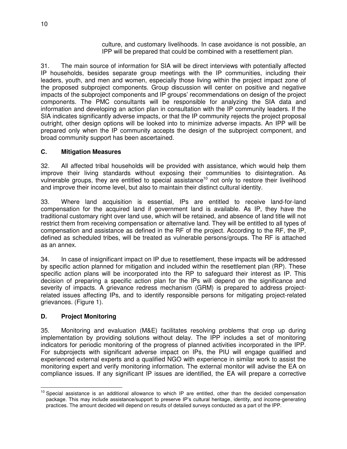culture, and customary livelihoods. In case avoidance is not possible, an IPP will be prepared that could be combined with a resettlement plan.

31. The main source of information for SIA will be direct interviews with potentially affected IP households, besides separate group meetings with the IP communities, including their leaders, youth, and men and women, especially those living within the project impact zone of the proposed subproject components. Group discussion will center on positive and negative impacts of the subproject components and IP groups' recommendations on design of the project components. The PMC consultants will be responsible for analyzing the SIA data and information and developing an action plan in consultation with the IP community leaders. If the SIA indicates significantly adverse impacts, or that the IP community rejects the project proposal outright, other design options will be looked into to minimize adverse impacts. An IPP will be prepared only when the IP community accepts the design of the subproject component, and broad community support has been ascertained.

#### <span id="page-14-0"></span>**C. Mitigation Measures**

32. All affected tribal households will be provided with assistance, which would help them improve their living standards without exposing their communities to disintegration. As vulnerable groups, they are entitled to special assistance<sup>10</sup> not only to restore their livelihood and improve their income level, but also to maintain their distinct cultural identity.

33. Where land acquisition is essential, IPs are entitled to receive land-for-land compensation for the acquired land if government land is available. As IP, they have the traditional customary right over land use, which will be retained, and absence of land title will not restrict them from receiving compensation or alternative land. They will be entitled to all types of compensation and assistance as defined in the RF of the project. According to the RF, the IP, defined as scheduled tribes, will be treated as vulnerable persons/groups. The RF is attached as an annex.

34. In case of insignificant impact on IP due to resettlement, these impacts will be addressed by specific action planned for mitigation and included within the resettlement plan (RP). These specific action plans will be incorporated into the RP to safeguard their interest as IP. This decision of preparing a specific action plan for the IPs will depend on the significance and severity of impacts. A grievance redress mechanism (GRM) is prepared to address projectrelated issues affecting IPs, and to identify responsible persons for mitigating project-related grievances. (Figure 1).

#### <span id="page-14-1"></span>**D. Project Monitoring**

35. Monitoring and evaluation (M&E) facilitates resolving problems that crop up during implementation by providing solutions without delay. The IPP includes a set of monitoring indicators for periodic monitoring of the progress of planned activities incorporated in the IPP. For subprojects with significant adverse impact on IPs, the PIU will engage qualified and experienced external experts and a qualified NGO with experience in similar work to assist the monitoring expert and verify monitoring information. The external monitor will advise the EA on compliance issues. If any significant IP issues are identified, the EA will prepare a corrective

 $\overline{\phantom{a}}$ <sup>10</sup> Special assistance is an additional allowance to which IP are entitled, other than the decided compensation package. This may include assistance/support to preserve IP's cultural heritage, identity, and income-generating practices. The amount decided will depend on results of detailed surveys conducted as a part of the IPP.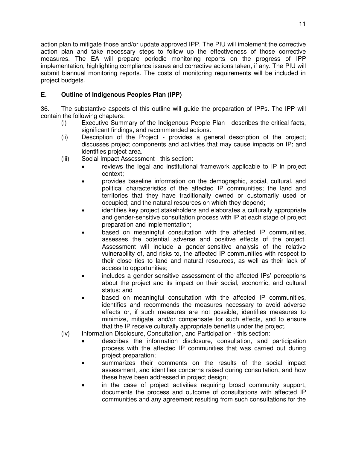action plan to mitigate those and/or update approved IPP. The PIU will implement the corrective action plan and take necessary steps to follow up the effectiveness of those corrective measures. The EA will prepare periodic monitoring reports on the progress of IPP implementation, highlighting compliance issues and corrective actions taken, if any. The PIU will submit biannual monitoring reports. The costs of monitoring requirements will be included in project budgets.

## <span id="page-15-0"></span>**E. Outline of Indigenous Peoples Plan (IPP)**

36. The substantive aspects of this outline will guide the preparation of IPPs. The IPP will contain the following chapters:

- (i) Executive Summary of the Indigenous People Plan describes the critical facts, significant findings, and recommended actions.
- (ii) Description of the Project provides a general description of the project; discusses project components and activities that may cause impacts on IP; and identifies project area.
- (iii) Social Impact Assessment this section:
	- reviews the legal and institutional framework applicable to IP in project context;
	- provides baseline information on the demographic, social, cultural, and political characteristics of the affected IP communities; the land and territories that they have traditionally owned or customarily used or occupied; and the natural resources on which they depend;
	- identifies key project stakeholders and elaborates a culturally appropriate and gender-sensitive consultation process with IP at each stage of project preparation and implementation;
	- based on meaningful consultation with the affected IP communities, assesses the potential adverse and positive effects of the project. Assessment will include a gender-sensitive analysis of the relative vulnerability of, and risks to, the affected IP communities with respect to their close ties to land and natural resources, as well as their lack of access to opportunities;
	- includes a gender-sensitive assessment of the affected IPs' perceptions about the project and its impact on their social, economic, and cultural status; and
	- based on meaningful consultation with the affected IP communities, identifies and recommends the measures necessary to avoid adverse effects or, if such measures are not possible, identifies measures to minimize, mitigate, and/or compensate for such effects, and to ensure that the IP receive culturally appropriate benefits under the project.
- (iv) Information Disclosure, Consultation, and Participation this section:
	- describes the information disclosure, consultation, and participation process with the affected IP communities that was carried out during project preparation;
	- summarizes their comments on the results of the social impact assessment, and identifies concerns raised during consultation, and how these have been addressed in project design;
	- in the case of project activities requiring broad community support, documents the process and outcome of consultations with affected IP communities and any agreement resulting from such consultations for the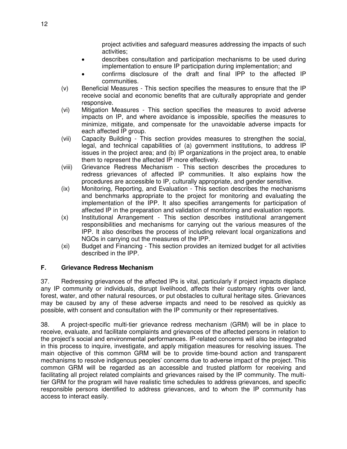project activities and safeguard measures addressing the impacts of such activities;

- describes consultation and participation mechanisms to be used during implementation to ensure IP participation during implementation; and
- confirms disclosure of the draft and final IPP to the affected IP communities.
- (v) Beneficial Measures This section specifies the measures to ensure that the IP receive social and economic benefits that are culturally appropriate and gender responsive.
- (vi) Mitigation Measures This section specifies the measures to avoid adverse impacts on IP, and where avoidance is impossible, specifies the measures to minimize, mitigate, and compensate for the unavoidable adverse impacts for each affected IP group.
- (vii) Capacity Building This section provides measures to strengthen the social, legal, and technical capabilities of (a) government institutions, to address IP issues in the project area; and (b) IP organizations in the project area, to enable them to represent the affected IP more effectively.
- (viii) Grievance Redress Mechanism This section describes the procedures to redress grievances of affected IP communities. It also explains how the procedures are accessible to IP, culturally appropriate, and gender sensitive.
- (ix) Monitoring, Reporting, and Evaluation This section describes the mechanisms and benchmarks appropriate to the project for monitoring and evaluating the implementation of the IPP. It also specifies arrangements for participation of affected IP in the preparation and validation of monitoring and evaluation reports.
- (x) Institutional Arrangement This section describes institutional arrangement responsibilities and mechanisms for carrying out the various measures of the IPP. It also describes the process of including relevant local organizations and NGOs in carrying out the measures of the IPP.
- (xi) Budget and Financing This section provides an itemized budget for all activities described in the IPP.

#### <span id="page-16-0"></span>**F. Grievance Redress Mechanism**

37. Redressing grievances of the affected IPs is vital, particularly if project impacts displace any IP community or individuals, disrupt livelihood, affects their customary rights over land, forest, water, and other natural resources, or put obstacles to cultural heritage sites. Grievances may be caused by any of these adverse impacts and need to be resolved as quickly as possible, with consent and consultation with the IP community or their representatives.

38. A project-specific multi-tier grievance redress mechanism (GRM) will be in place to receive, evaluate, and facilitate complaints and grievances of the affected persons in relation to the project's social and environmental performances. IP-related concerns will also be integrated in this process to inquire, investigate, and apply mitigation measures for resolving issues. The main objective of this common GRM will be to provide time-bound action and transparent mechanisms to resolve indigenous peoples' concerns due to adverse impact of the project. This common GRM will be regarded as an accessible and trusted platform for receiving and facilitating all project related complaints and grievances raised by the IP community. The multitier GRM for the program will have realistic time schedules to address grievances, and specific responsible persons identified to address grievances, and to whom the IP community has access to interact easily.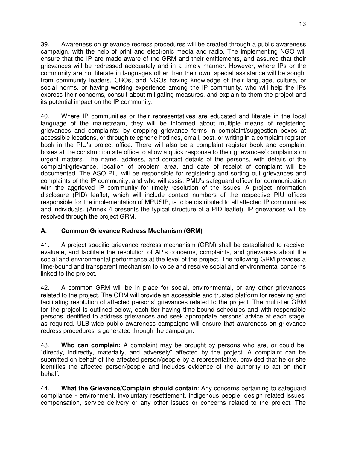39. Awareness on grievance redress procedures will be created through a public awareness campaign, with the help of print and electronic media and radio. The implementing NGO will ensure that the IP are made aware of the GRM and their entitlements, and assured that their grievances will be redressed adequately and in a timely manner. However, where IPs or the community are not literate in languages other than their own, special assistance will be sought from community leaders, CBOs, and NGOs having knowledge of their language, culture, or social norms, or having working experience among the IP community, who will help the IPs express their concerns, consult about mitigating measures, and explain to them the project and its potential impact on the IP community.

40. Where IP communities or their representatives are educated and literate in the local language of the mainstream, they will be informed about multiple means of registering grievances and complaints: by dropping grievance forms in complaint/suggestion boxes at accessible locations, or through telephone hotlines, email, post, or writing in a complaint register book in the PIU's project office. There will also be a complaint register book and complaint boxes at the construction site office to allow a quick response to their grievances/ complaints on urgent matters. The name, address, and contact details of the persons, with details of the complaint/grievance, location of problem area, and date of receipt of complaint will be documented. The ASO PIU will be responsible for registering and sorting out grievances and complaints of the IP community, and who will assist PMU's safeguard officer for communication with the aggrieved IP community for timely resolution of the issues. A project information disclosure (PID) leaflet, which will include contact numbers of the respective PIU offices responsible for the implementation of MPUSIP, is to be distributed to all affected IP communities and individuals. (Annex 4 presents the typical structure of a PID leaflet). IP grievances will be resolved through the project GRM.

# **A. Common Grievance Redress Mechanism (GRM)**

41. A project-specific grievance redress mechanism (GRM) shall be established to receive, evaluate, and facilitate the resolution of AP's concerns, complaints, and grievances about the social and environmental performance at the level of the project. The following GRM provides a time-bound and transparent mechanism to voice and resolve social and environmental concerns linked to the project.

42. A common GRM will be in place for social, environmental, or any other grievances related to the project. The GRM will provide an accessible and trusted platform for receiving and facilitating resolution of affected persons' grievances related to the project. The multi-tier GRM for the project is outlined below, each tier having time-bound schedules and with responsible persons identified to address grievances and seek appropriate persons' advice at each stage, as required. ULB-wide public awareness campaigns will ensure that awareness on grievance redress procedures is generated through the campaign.

43. **Who can complain:** A complaint may be brought by persons who are, or could be, "directly, indirectly, materially, and adversely" affected by the project. A complaint can be submitted on behalf of the affected person/people by a representative, provided that he or she identifies the affected person/people and includes evidence of the authority to act on their behalf.

44. **What the Grievance/Complain should contain**: Any concerns pertaining to safeguard compliance - environment, involuntary resettlement, indigenous people, design related issues, compensation, service delivery or any other issues or concerns related to the project. The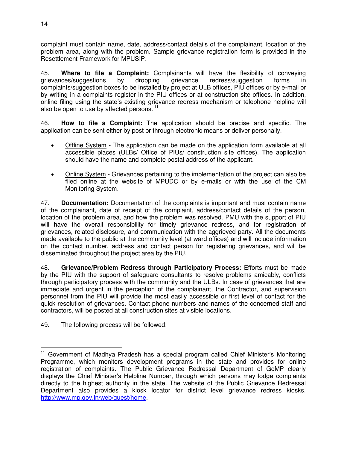complaint must contain name, date, address/contact details of the complainant, location of the problem area, along with the problem. Sample grievance registration form is provided in the Resettlement Framework for MPUSIP.

45. **Where to file a Complaint:** Complainants will have the flexibility of conveying grievances/suggestions by dropping grievance redress/suggestion forms in complaints/suggestion boxes to be installed by project at ULB offices, PIU offices or by e-mail or by writing in a complaints register in the PIU offices or at construction site offices. In addition, online filing using the state's existing grievance redress mechanism or telephone helpline will also be open to use by affected persons.<sup>11</sup>

46. **How to file a Complaint:** The application should be precise and specific. The application can be sent either by post or through electronic means or deliver personally.

- Offline System The application can be made on the application form available at all accessible places (ULBs/ Office of PIUs/ construction site offices). The application should have the name and complete postal address of the applicant.
- Online System Grievances pertaining to the implementation of the project can also be filed online at the website of MPUDC or by e-mails or with the use of the CM Monitoring System.

47. **Documentation:** Documentation of the complaints is important and must contain name of the complainant, date of receipt of the complaint, address/contact details of the person, location of the problem area, and how the problem was resolved. PMU with the support of PIU will have the overall responsibility for timely grievance redress, and for registration of grievances, related disclosure, and communication with the aggrieved party. All the documents made available to the public at the community level (at ward offices) and will include information on the contact number, address and contact person for registering grievances, and will be disseminated throughout the project area by the PIU.

48. **Grievance/Problem Redress through Participatory Process:** Efforts must be made by the PIU with the support of safeguard consultants to resolve problems amicably, conflicts through participatory process with the community and the ULBs. In case of grievances that are immediate and urgent in the perception of the complainant, the Contractor, and supervision personnel from the PIU will provide the most easily accessible or first level of contact for the quick resolution of grievances. Contact phone numbers and names of the concerned staff and contractors, will be posted at all construction sites at visible locations.

49. The following process will be followed:

 $\overline{a}$ <sup>11</sup> Government of Madhya Pradesh has a special program called Chief Minister's Monitoring Programme, which monitors development programs in the state and provides for online registration of complaints. The Public Grievance Redressal Department of GoMP clearly displays the Chief Minister's Helpline Number, through which persons may lodge complaints directly to the highest authority in the state. The website of the Public Grievance Redressal Department also provides a kiosk locator for district level grievance redress kiosks. [http://www.mp.gov.in/web/guest/home.](http://www.mp.gov.in/web/guest/home)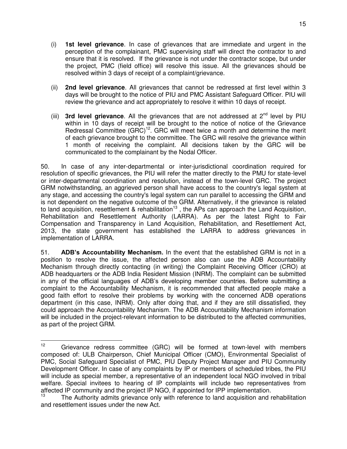- (i) **1st level grievance**. In case of grievances that are immediate and urgent in the perception of the complainant, PMC supervising staff will direct the contractor to and ensure that it is resolved. If the grievance is not under the contractor scope, but under the project, PMC (field office) will resolve this issue. All the grievances should be resolved within 3 days of receipt of a complaint/grievance.
- (ii) **2nd level grievance**. All grievances that cannot be redressed at first level within 3 days will be brought to the notice of PIU and PMC Assistant Safeguard Officer. PIU will review the grievance and act appropriately to resolve it within 10 days of receipt.
- (iii) **3rd level grievance**. All the grievances that are not addressed at 2nd level by PIU within in 10 days of receipt will be brought to the notice of notice of the Grievance Redressal Committee  $(GRC)^{12}$ . GRC will meet twice a month and determine the merit of each grievance brought to the committee. The GRC will resolve the grievance within 1 month of receiving the complaint. All decisions taken by the GRC will be communicated to the complainant by the Nodal Officer.

50. In case of any inter-departmental or inter-jurisdictional coordination required for resolution of specific grievances, the PIU will refer the matter directly to the PMU for state-level or inter-departmental coordination and resolution, instead of the town-level GRC. The project GRM notwithstanding, an aggrieved person shall have access to the country's legal system at any stage, and accessing the country's legal system can run parallel to accessing the GRM and is not dependent on the negative outcome of the GRM. Alternatively, if the grievance is related to land acquisition, resettlement & rehabilitation<sup>13</sup>, the APs can approach the Land Acquisition, Rehabilitation and Resettlement Authority (LARRA). As per the latest Right to Fair Compensation and Transparency in Land Acquisition, Rehabilitation, and Resettlement Act, 2013, the state government has established the LARRA to address grievances in implementation of LARRA.

51. **ADB's Accountability Mechanism.** In the event that the established GRM is not in a position to resolve the issue, the affected person also can use the ADB Accountability Mechanism through directly contacting (in writing) the Complaint Receiving Officer (CRO) at ADB headquarters or the ADB India Resident Mission (INRM). The complaint can be submitted in any of the official languages of ADB's developing member countries. Before submitting a complaint to the Accountability Mechanism, it is recommended that affected people make a good faith effort to resolve their problems by working with the concerned ADB operations department (in this case, INRM). Only after doing that, and if they are still dissatisfied, they could approach the Accountability Mechanism. The ADB Accountability Mechanism information will be included in the project-relevant information to be distributed to the affected communities, as part of the project GRM.

 $12$ Grievance redress committee (GRC) will be formed at town-level with members composed of: ULB Chairperson, Chief Municipal Officer (CMO), Environmental Specialist of PMC, Social Safeguard Specialist of PMC, PIU Deputy Project Manager and PIU Community Development Officer. In case of any complaints by IP or members of scheduled tribes, the PIU will include as special member, a representative of an independent local NGO involved in tribal welfare. Special invitees to hearing of IP complaints will include two representatives from affected IP community and the project IP NGO, if appointed for IPP implementation.

The Authority admits grievance only with reference to land acquisition and rehabilitation and resettlement issues under the new Act.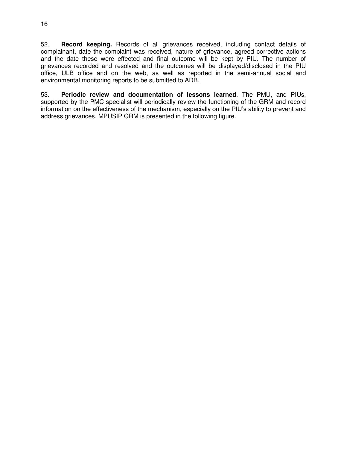52. **Record keeping.** Records of all grievances received, including contact details of complainant, date the complaint was received, nature of grievance, agreed corrective actions and the date these were effected and final outcome will be kept by PIU. The number of grievances recorded and resolved and the outcomes will be displayed/disclosed in the PIU office, ULB office and on the web, as well as reported in the semi-annual social and environmental monitoring reports to be submitted to ADB.

53. **Periodic review and documentation of lessons learned**. The PMU, and PIUs, supported by the PMC specialist will periodically review the functioning of the GRM and record information on the effectiveness of the mechanism, especially on the PIU's ability to prevent and address grievances. MPUSIP GRM is presented in the following figure.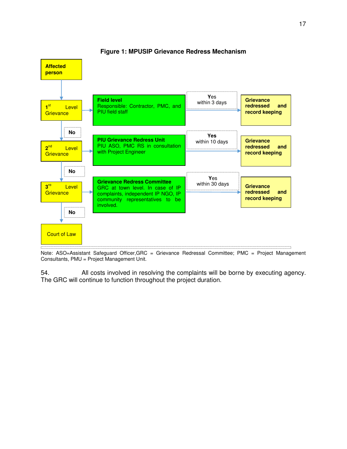

**Figure 1: MPUSIP Grievance Redress Mechanism** 

Note: ASO=Assistant Safeguard Officer, GRC = Grievance Redressal Committee; PMC = Project Management Consultants, PMU = Project Management Unit.

54. All costs involved in resolving the complaints will be borne by executing agency. The GRC will continue to function throughout the project duration.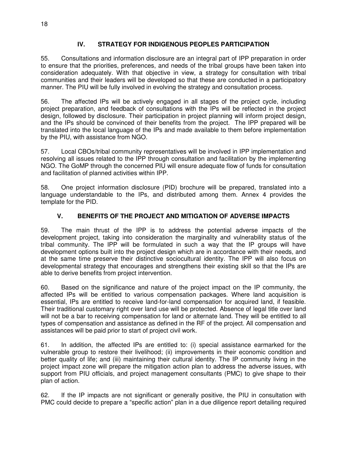## **IV. STRATEGY FOR INDIGENOUS PEOPLES PARTICIPATION**

<span id="page-22-0"></span>55. Consultations and information disclosure are an integral part of IPP preparation in order to ensure that the priorities, preferences, and needs of the tribal groups have been taken into consideration adequately. With that objective in view, a strategy for consultation with tribal communities and their leaders will be developed so that these are conducted in a participatory manner. The PIU will be fully involved in evolving the strategy and consultation process.

56. The affected IPs will be actively engaged in all stages of the project cycle, including project preparation, and feedback of consultations with the IPs will be reflected in the project design, followed by disclosure. Their participation in project planning will inform project design, and the IPs should be convinced of their benefits from the project. The IPP prepared will be translated into the local language of the IPs and made available to them before implementation by the PIU, with assistance from NGO.

57. Local CBOs/tribal community representatives will be involved in IPP implementation and resolving all issues related to the IPP through consultation and facilitation by the implementing NGO. The GoMP through the concerned PIU will ensure adequate flow of funds for consultation and facilitation of planned activities within IPP.

58. One project information disclosure (PID) brochure will be prepared, translated into a language understandable to the IPs, and distributed among them. Annex 4 provides the template for the PID.

## **V. BENEFITS OF THE PROJECT AND MITIGATION OF ADVERSE IMPACTS**

<span id="page-22-1"></span>59. The main thrust of the IPP is to address the potential adverse impacts of the development project, taking into consideration the marginality and vulnerability status of the tribal community. The IPP will be formulated in such a way that the IP groups will have development options built into the project design which are in accordance with their needs, and at the same time preserve their distinctive sociocultural identity. The IPP will also focus on developmental strategy that encourages and strengthens their existing skill so that the IPs are able to derive benefits from project intervention.

60. Based on the significance and nature of the project impact on the IP community, the affected IPs will be entitled to various compensation packages. Where land acquisition is essential, IPs are entitled to receive land-for-land compensation for acquired land, if feasible. Their traditional customary right over land use will be protected. Absence of legal title over land will not be a bar to receiving compensation for land or alternate land. They will be entitled to all types of compensation and assistance as defined in the RF of the project. All compensation and assistances will be paid prior to start of project civil work.

61. In addition, the affected IPs are entitled to: (i) special assistance earmarked for the vulnerable group to restore their livelihood; (ii) improvements in their economic condition and better quality of life; and (iii) maintaining their cultural identity. The IP community living in the project impact zone will prepare the mitigation action plan to address the adverse issues, with support from PIU officials, and project management consultants (PMC) to give shape to their plan of action.

62. If the IP impacts are not significant or generally positive, the PIU in consultation with PMC could decide to prepare a "specific action" plan in a due diligence report detailing required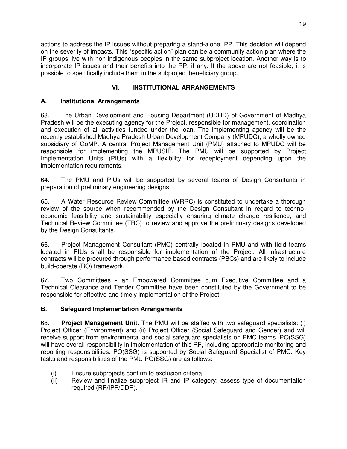actions to address the IP issues without preparing a stand-alone IPP. This decision will depend on the severity of impacts. This "specific action" plan can be a community action plan where the IP groups live with non-indigenous peoples in the same subproject location. Another way is to incorporate IP issues and their benefits into the RP, if any. If the above are not feasible, it is possible to specifically include them in the subproject beneficiary group.

# **VI. INSTITUTIONAL ARRANGEMENTS**

#### <span id="page-23-1"></span><span id="page-23-0"></span>**A. Institutional Arrangements**

63. The Urban Development and Housing Department (UDHD) of Government of Madhya Pradesh will be the executing agency for the Project, responsible for management, coordination and execution of all activities funded under the loan. The implementing agency will be the recently established Madhya Pradesh Urban Development Company (MPUDC), a wholly owned subsidiary of GoMP. A central Project Management Unit (PMU) attached to MPUDC will be responsible for implementing the MPUSIP. The PMU will be supported by Project Implementation Units (PIUs) with a flexibility for redeployment depending upon the implementation requirements.

64. The PMU and PIUs will be supported by several teams of Design Consultants in preparation of preliminary engineering designs.

65. A Water Resource Review Committee (WRRC) is constituted to undertake a thorough review of the source when recommended by the Design Consultant in regard to technoeconomic feasibility and sustainability especially ensuring climate change resilience, and Technical Review Committee (TRC) to review and approve the preliminary designs developed by the Design Consultants.

66. Project Management Consultant (PMC) centrally located in PMU and with field teams located in PIUs shall be responsible for implementation of the Project. All infrastructure contracts will be procured through performance-based contracts (PBCs) and are likely to include build-operate (BO) framework.

67. Two Committees - an Empowered Committee cum Executive Committee and a Technical Clearance and Tender Committee have been constituted by the Government to be responsible for effective and timely implementation of the Project.

# **B. Safeguard Implementation Arrangements**

68. **Project Management Unit.** The PMU will be staffed with two safeguard specialists: (i) Project Officer (Environment) and (ii) Project Officer (Social Safeguard and Gender) and will receive support from environmental and social safeguard specialists on PMC teams. PO(SSG) will have overall responsibility in implementation of this RF, including appropriate monitoring and reporting responsibilities. PO(SSG) is supported by Social Safeguard Specialist of PMC. Key tasks and responsibilities of the PMU PO(SSG) are as follows:

- (i) Ensure subprojects confirm to exclusion criteria
- (ii) Review and finalize subproject IR and IP category; assess type of documentation required (RP/IPP/DDR).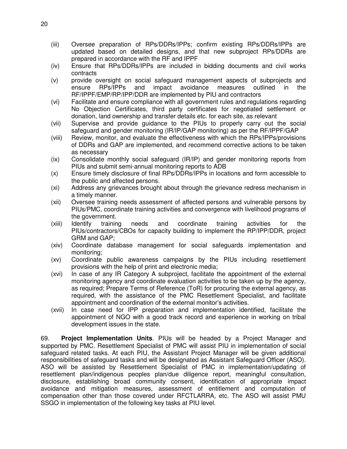- (iii) Oversee preparation of RPs/DDRs/IPPs; confirm existing RPs/DDRs/IPPs are updated based on detailed designs, and that new subproject RPs/DDRs are prepared in accordance with the RF and IPPF
- (iv) Ensure that RPs/DDRs/IPPs are included in bidding documents and civil works contracts
- (v) provide oversight on social safeguard management aspects of subprojects and ensure RPs/IPPs and impact avoidance measures outlined in the RF/IPPF/EMP/RP/IPP/DDR are implemented by PIU and contractors
- (vi) Facilitate and ensure compliance with all government rules and regulations regarding No Objection Certificates, third party certificates for negotiated settlement or donation, land ownership and transfer details etc. for each site, as relevant
- (vii) Supervise and provide guidance to the PIUs to properly carry out the social safeguard and gender monitoring (IR/IP/GAP monitoring) as per the RF/IPPF/GAP
- (viii) Review, monitor, and evaluate the effectiveness with which the RPs/IPPs/provisions of DDRs and GAP are implemented, and recommend corrective actions to be taken as necessary
- (ix) Consolidate monthly social safeguard (IR/IP) and gender monitoring reports from PIUs and submit semi-annual monitoring reports to ADB
- (x) Ensure timely disclosure of final RPs/DDRs/IPPs in locations and form accessible to the public and affected persons.
- (xi) Address any grievances brought about through the grievance redress mechanism in a timely manner.
- (xii) Oversee training needs assessment of affected persons and vulnerable persons by PIUs/PMC, coordinate training activities and convergence with livelihood programs of the government.
- (xiii) Identify training needs and coordinate training activities for the PIUs/contractors/CBOs for capacity building to implement the RP/IPP/DDR, project GRM and GAP;
- (xiv) Coordinate database management for social safeguards implementation and monitoring;
- (xv) Coordinate public awareness campaigns by the PIUs including resettlement provisions with the help of print and electronic media;
- (xvi) In case of any IR Category A subproject, facilitate the appointment of the external monitoring agency and coordinate evaluation activities to be taken up by the agency, as required; Prepare Terms of Reference (ToR) for procuring the external agency, as required, with the assistance of the PMC Resettlement Specialist, and facilitate appointment and coordination of the external monitor's activities.
- (xvii) In case need for IPP preparation and implementation identified, facilitate the appointment of NGO with a good track record and experience in working on tribal development issues in the state.

69. **Project Implementation Units**. PIUs will be headed by a Project Manager and supported by PMC. Resettlement Specialist of PMC will assist PIU in implementation of social safeguard related tasks. At each PIU, the Assistant Project Manager will be given additional responsibilities of safeguard tasks and will be designated as Assistant Safeguard Officer (ASO). ASO will be assisted by Resettlement Specialist of PMC in implementation/updating of resettlement plan/indigenous peoples plan/due diligence report, meaningful consultation, disclosure, establishing broad community consent, identification of appropriate impact avoidance and mitigation measures, assessment of entitlement and computation of compensation other than those covered under RFCTLARRA, etc. The ASO will assist PMU SSGO in implementation of the following key tasks at PIU level.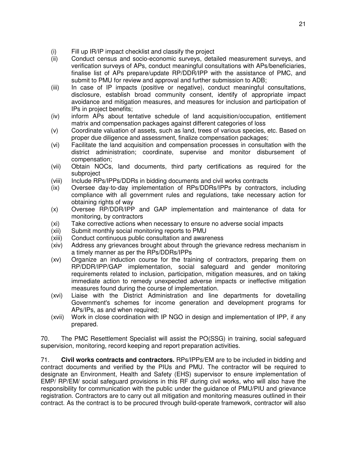- (i) Fill up IR/IP impact checklist and classify the project
- (ii) Conduct census and socio-economic surveys, detailed measurement surveys, and verification surveys of APs, conduct meaningful consultations with APs/beneficiaries, finalise list of APs prepare/update RP/DDR/IPP with the assistance of PMC, and submit to PMU for review and approval and further submission to ADB;
- (iii) In case of IP impacts (positive or negative), conduct meaningful consultations, disclosure, establish broad community consent, identify of appropriate impact avoidance and mitigation measures, and measures for inclusion and participation of IPs in project benefits;
- (iv) inform APs about tentative schedule of land acquisition/occupation, entitlement matrix and compensation packages against different categories of loss
- (v) Coordinate valuation of assets, such as land, trees of various species, etc. Based on proper due diligence and assessment, finalize compensation packages;
- (vi) Facilitate the land acquisition and compensation processes in consultation with the district administration; coordinate, supervise and monitor disbursement of compensation;
- (vii) Obtain NOCs, land documents, third party certifications as required for the subproject
- (viii) Include RPs/IPPs/DDRs in bidding documents and civil works contracts
- (ix) Oversee day-to-day implementation of RPs/DDRs/IPPs by contractors, including compliance with all government rules and regulations, take necessary action for obtaining rights of way
- (x) Oversee RP/DDR/IPP and GAP implementation and maintenance of data for monitoring, by contractors
- (xi) Take corrective actions when necessary to ensure no adverse social impacts
- (xii) Submit monthly social monitoring reports to PMU
- (xiii) Conduct continuous public consultation and awareness
- (xiv) Address any grievances brought about through the grievance redress mechanism in a timely manner as per the RPs/DDRs/IPPs
- (xv) Organize an induction course for the training of contractors, preparing them on RP/DDR/IPP/GAP implementation, social safeguard and gender monitoring requirements related to inclusion, participation, mitigation measures, and on taking immediate action to remedy unexpected adverse impacts or ineffective mitigation measures found during the course of implementation.
- (xvi) Liaise with the District Administration and line departments for dovetailing Government's schemes for income generation and development programs for APs/IPs, as and when required;
- (xvii) Work in close coordination with IP NGO in design and implementation of IPP, if any prepared.

70. The PMC Resettlement Specialist will assist the PO(SSG) in training, social safeguard supervision, monitoring, record keeping and report preparation activities.

71. **Civil works contracts and contractors.** RPs/IPPs/EM are to be included in bidding and contract documents and verified by the PIUs and PMU. The contractor will be required to designate an Environment, Health and Safety (EHS) supervisor to ensure implementation of EMP/ RP/EM/ social safeguard provisions in this RF during civil works, who will also have the responsibility for communication with the public under the guidance of PMU/PIU and grievance registration. Contractors are to carry out all mitigation and monitoring measures outlined in their contract. As the contract is to be procured through build-operate framework, contractor will also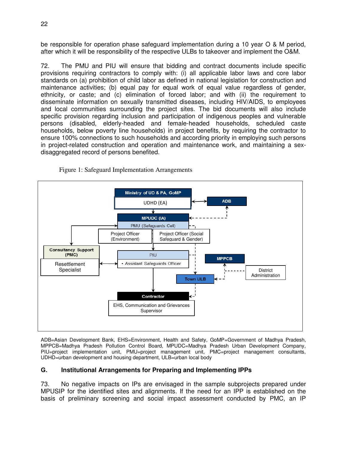be responsible for operation phase safeguard implementation during a 10 year O & M period, after which it will be responsibility of the respective ULBs to takeover and implement the O&M.

72. The PMU and PIU will ensure that bidding and contract documents include specific provisions requiring contractors to comply with: (i) all applicable labor laws and core labor standards on (a) prohibition of child labor as defined in national legislation for construction and maintenance activities; (b) equal pay for equal work of equal value regardless of gender, ethnicity, or caste; and (c) elimination of forced labor; and with (ii) the requirement to disseminate information on sexually transmitted diseases, including HIV/AIDS, to employees and local communities surrounding the project sites. The bid documents will also include specific provision regarding inclusion and participation of indigenous peoples and vulnerable persons (disabled, elderly-headed and female-headed households, scheduled caste households, below poverty line households) in project benefits, by requiring the contractor to ensure 100% connections to such households and according priority in employing such persons in project-related construction and operation and maintenance work, and maintaining a sexdisaggregated record of persons benefited.



Figure 1: Safeguard Implementation Arrangements

ADB=Asian Development Bank, EHS=Environment, Health and Safety, GoMP=Government of Madhya Pradesh, MPPCB=Madhya Pradesh Pollution Control Board, MPUDC=Madhya Pradesh Urban Development Company, PIU=project implementation unit, PMU=project management unit, PMC=project management consultants, UDHD=urban development and housing department, ULB=urban local body

#### <span id="page-26-0"></span>**G. Institutional Arrangements for Preparing and Implementing IPPs**

73. No negative impacts on IPs are envisaged in the sample subprojects prepared under MPUSIP for the identified sites and alignments. If the need for an IPP is established on the basis of preliminary screening and social impact assessment conducted by PMC, an IP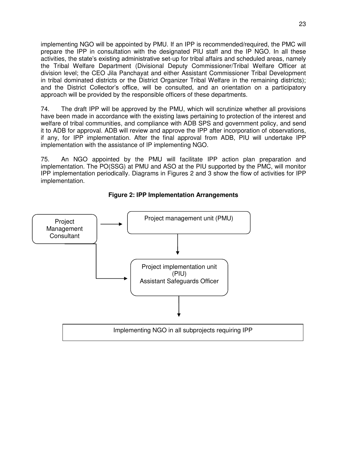implementing NGO will be appointed by PMU. If an IPP is recommended/required, the PMC will prepare the IPP in consultation with the designated PIU staff and the IP NGO. In all these activities, the state's existing administrative set-up for tribal affairs and scheduled areas, namely the Tribal Welfare Department (Divisional Deputy Commissioner/Tribal Welfare Officer at division level; the CEO Jila Panchayat and either Assistant Commissioner Tribal Development in tribal dominated districts or the District Organizer Tribal Welfare in the remaining districts); and the District Collector's office, will be consulted, and an orientation on a participatory approach will be provided by the responsible officers of these departments.

74. The draft IPP will be approved by the PMU, which will scrutinize whether all provisions have been made in accordance with the existing laws pertaining to protection of the interest and welfare of tribal communities, and compliance with ADB SPS and government policy, and send it to ADB for approval. ADB will review and approve the IPP after incorporation of observations, if any, for IPP implementation. After the final approval from ADB, PIU will undertake IPP implementation with the assistance of IP implementing NGO.

75. An NGO appointed by the PMU will facilitate IPP action plan preparation and implementation. The PO(SSG) at PMU and ASO at the PIU supported by the PMC, will monitor IPP implementation periodically. Diagrams in Figures 2 and 3 show the flow of activities for IPP implementation.



**Figure 2: IPP Implementation Arrangements**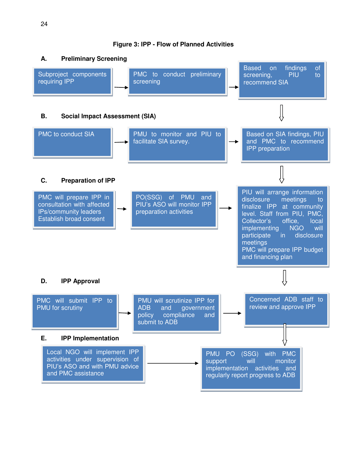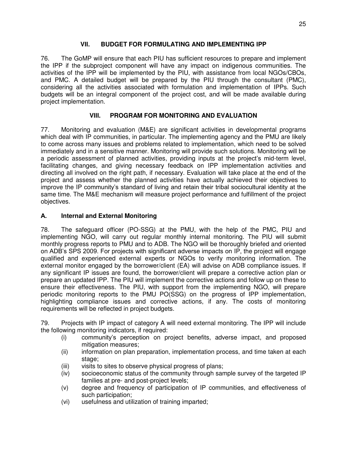#### **VII. BUDGET FOR FORMULATING AND IMPLEMENTING IPP**

<span id="page-29-0"></span>76. The GoMP will ensure that each PIU has sufficient resources to prepare and implement the IPP if the subproject component will have any impact on indigenous communities. The activities of the IPP will be implemented by the PIU, with assistance from local NGOs/CBOs, and PMC. A detailed budget will be prepared by the PIU through the consultant (PMC), considering all the activities associated with formulation and implementation of IPPs. Such budgets will be an integral component of the project cost, and will be made available during project implementation.

# **VIII. PROGRAM FOR MONITORING AND EVALUATION**

<span id="page-29-1"></span>77. Monitoring and evaluation (M&E) are significant activities in developmental programs which deal with IP communities, in particular. The implementing agency and the PMU are likely to come across many issues and problems related to implementation, which need to be solved immediately and in a sensitive manner. Monitoring will provide such solutions. Monitoring will be a periodic assessment of planned activities, providing inputs at the project's mid-term level, facilitating changes, and giving necessary feedback on IPP implementation activities and directing all involved on the right path, if necessary. Evaluation will take place at the end of the project and assess whether the planned activities have actually achieved their objectives to improve the IP community's standard of living and retain their tribal sociocultural identity at the same time. The M&E mechanism will measure project performance and fulfillment of the project objectives.

## <span id="page-29-2"></span>**A. Internal and External Monitoring**

78. The safeguard officer (PO-SSG) at the PMU, with the help of the PMC, PIU and implementing NGO, will carry out regular monthly internal monitoring. The PIU will submit monthly progress reports to PMU and to ADB. The NGO will be thoroughly briefed and oriented on ADB's SPS 2009. For projects with significant adverse impacts on IP, the project will engage qualified and experienced external experts or NGOs to verify monitoring information. The external monitor engaged by the borrower/client (EA) will advise on ADB compliance issues. If any significant IP issues are found, the borrower/client will prepare a corrective action plan or prepare an updated IPP. The PIU will implement the corrective actions and follow up on these to ensure their effectiveness. The PIU, with support from the implementing NGO, will prepare periodic monitoring reports to the PMU PO(SSG) on the progress of IPP implementation, highlighting compliance issues and corrective actions, if any. The costs of monitoring requirements will be reflected in project budgets.

79. Projects with IP impact of category A will need external monitoring. The IPP will include the following monitoring indicators, if required:

- (i) community's perception on project benefits, adverse impact, and proposed mitigation measures;
- (ii) information on plan preparation, implementation process, and time taken at each stage;
- (iii) visits to sites to observe physical progress of plans;
- (iv) socioeconomic status of the community through sample survey of the targeted IP families at pre- and post-project levels;
- (v) degree and frequency of participation of IP communities, and effectiveness of such participation;
- (vi) usefulness and utilization of training imparted;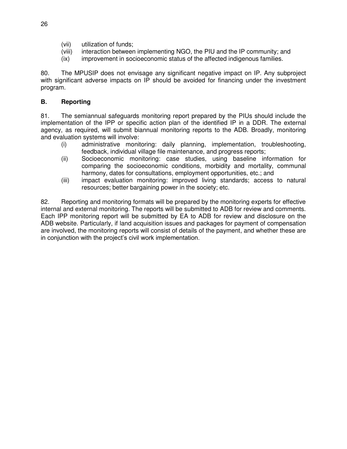- (vii) utilization of funds;
- (viii) interaction between implementing NGO, the PIU and the IP community; and
- (ix) improvement in socioeconomic status of the affected indigenous families.

80. The MPUSIP does not envisage any significant negative impact on IP. Any subproject with significant adverse impacts on IP should be avoided for financing under the investment program.

#### <span id="page-30-0"></span>**B. Reporting**

81. The semiannual safeguards monitoring report prepared by the PIUs should include the implementation of the IPP or specific action plan of the identified IP in a DDR. The external agency, as required, will submit biannual monitoring reports to the ADB. Broadly, monitoring and evaluation systems will involve:

- (i) administrative monitoring: daily planning, implementation, troubleshooting, feedback, individual village file maintenance, and progress reports;
- (ii) Socioeconomic monitoring: case studies, using baseline information for comparing the socioeconomic conditions, morbidity and mortality, communal harmony, dates for consultations, employment opportunities, etc.; and
- (iii) impact evaluation monitoring: improved living standards; access to natural resources; better bargaining power in the society; etc.

82. Reporting and monitoring formats will be prepared by the monitoring experts for effective internal and external monitoring. The reports will be submitted to ADB for review and comments. Each IPP monitoring report will be submitted by EA to ADB for review and disclosure on the ADB website. Particularly, if land acquisition issues and packages for payment of compensation are involved, the monitoring reports will consist of details of the payment, and whether these are in conjunction with the project's civil work implementation.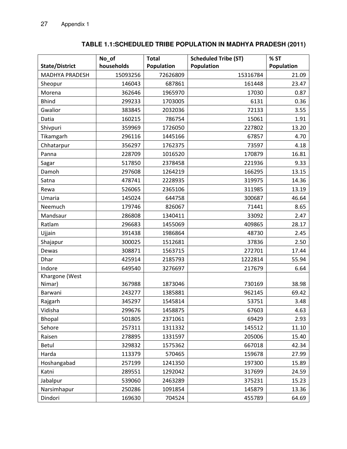#### **State/District No\_of households Total Population Scheduled Tribe (ST) Population % ST Population**  MADHYA PRADESH | 15093256 | 72626809 | 15316784 | 21.09 Sheopur 146043 687861 161448 23.47 Morena 362646 1965970 17030 0.87 Bhind 299233 1703005 6131 0.36 Gwalior 383845 2032036 72133 3.55 Datia 160215 786754 15061 1.91 Shivpuri 359969 1726050 227802 13.20 Tikamgarh 296116 1445166 67857 4.70 Chhatarpur 356297 1762375 73597 4.18 Panna 228709 1016520 170879 16.81 Sagar 517850 2378458 221936 9.33 Damoh 297608 1264219 166295 13.15 Satna 478741 2228935 319975 14.36 Rewa 526065 | 2365106 | 311985 | 13.19 Umaria 145024 644758 300687 46.64 Neemuch 179746 826067 71441 8.65 Mandsaur 286808 1340411 33092 2.47 Ratlam 296683 1455069 409865 28.17 Ujjain 391438 1986864 48730 2.45 Shajapur 300025 1512681 37836 2.50 Dewas 308871 1563715 272701 17.44 Dhar 425914 2185793 1222814 55.94 Indore 649540 | 3276697 | 217679 | 6.64 Khargone (West Nimar) | 367988 | 1873046 | 730169 | 38.98 Barwani 243277 1385881 962145 69.42 Rajgarh 345297 1545814 53751 3.48 Vidisha 299676 1458875 67603 4.63 Bhopal 501805 2371061 69429 2.93 Sehore 257311 1311332 145512 11.10 Raisen 278895 1331597 205006 15.40 Betul 329832 1575362 667018 42.34 Harda 113379 570465 159678 27.99 Hoshangabad 15.89 1241350 1241350 197300 15.89 Katni 289551 1292042 317699 24.59 Jabalpur 539060 2463289 375231 15.23 Narsimhapur 250286 1091854 145879 13.36 Dindori 169630 704524 455789 64.69

#### **TABLE 1.1:SCHEDULED TRIBE POPULATION IN MADHYA PRADESH (2011)**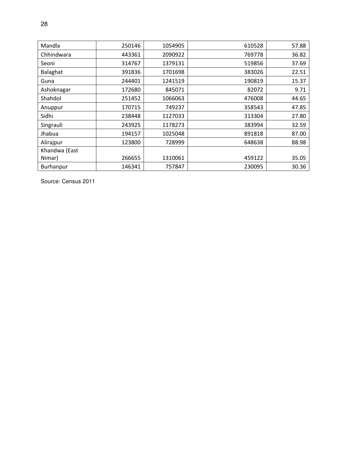| Mandla        | 250146 | 1054905 | 610528 | 57.88 |
|---------------|--------|---------|--------|-------|
| Chhindwara    | 443361 | 2090922 | 769778 | 36.82 |
| Seoni         | 314767 | 1379131 | 519856 | 37.69 |
| Balaghat      | 391836 | 1701698 | 383026 | 22.51 |
| Guna          | 244401 | 1241519 | 190819 | 15.37 |
| Ashoknagar    | 172680 | 845071  | 82072  | 9.71  |
| Shahdol       | 251452 | 1066063 | 476008 | 44.65 |
| Anuppur       | 170715 | 749237  | 358543 | 47.85 |
| Sidhi         | 238448 | 1127033 | 313304 | 27.80 |
| Singrauli     | 243925 | 1178273 | 383994 | 32.59 |
| Jhabua        | 194157 | 1025048 | 891818 | 87.00 |
| Alirajpur     | 123800 | 728999  | 648638 | 88.98 |
| Khandwa (East |        |         |        |       |
| Nimar)        | 266655 | 1310061 | 459122 | 35.05 |
| Burhanpur     | 146341 | 757847  | 230095 | 30.36 |

Source: Census 2011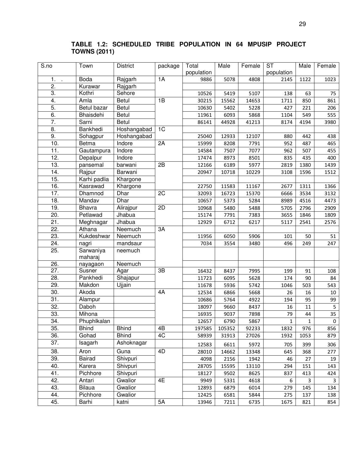| S.no              | Town          | <b>District</b> | package | Total      | Male   | Female | $\overline{\text{ST}}$ | Male | Female                  |
|-------------------|---------------|-----------------|---------|------------|--------|--------|------------------------|------|-------------------------|
|                   |               |                 |         | population |        |        | population             |      |                         |
| 1.                | <b>Boda</b>   | Rajgarh         | 1A      | 9886       | 5078   | 4808   | 2145                   | 1122 | 1023                    |
| 2.                | Kurawar       | Rajgarh         |         |            |        |        |                        |      |                         |
| 3.                | Kothri        | Sehore          |         | 10526      | 5419   | 5107   | 138                    | 63   | 75                      |
| 4.                | Amla          | <b>Betul</b>    | 1B      | 30215      | 15562  | 14653  | 1711                   | 850  | 861                     |
| 5.                | Betul bazar   | <b>Betul</b>    |         | 10630      | 5402   | 5228   | 427                    | 221  | 206                     |
| 6.                | Bhaisdehi     | Betul           |         | 11961      | 6093   | 5868   | 1104                   | 549  | 555                     |
| 7.                | Sarni         | <b>Betul</b>    |         | 86141      | 44928  | 41213  | 8174                   | 4194 | 3980                    |
| 8.                | Bankhedi      | Hoshangabad     | 1C      |            |        |        |                        |      |                         |
| 9.                | Sohagpur      | Hoshangabad     |         | 25040      | 12933  | 12107  | 880                    | 442  | 438                     |
| 10.               | Betma         | Indore          | 2A      | 15999      | 8208   | 7791   | 952                    | 487  | 465                     |
| $\overline{11}$ . | Gautampura    | Indore          |         | 14584      | 7507   | 7077   | 962                    | 507  | 455                     |
| $\overline{12}$ . | Depalpur      | Indore          |         | 17474      | 8973   | 8501   | 835                    | 435  | 400                     |
| 13.               | pansemal      | barwani         | 2B      | 12166      | 6189   | 5977   | 2819                   | 1380 | 1439                    |
| 14.               | Rajpur        | Barwani         |         | 20947      | 10718  | 10229  | 3108                   | 1596 | 1512                    |
| 15.               | Karhi padlia  | Khargone        |         |            |        |        |                        |      |                         |
| 16.               | Kasrawad      | Khargone        |         | 22750      | 11583  | 11167  | 2677                   | 1311 | 1366                    |
| 17.               | Dhamnod       | Dhar            | 2C      | 32093      | 16723  | 15370  | 6666                   | 3534 | 3132                    |
| 18.               | Mandav        | <b>Dhar</b>     |         | 10657      | 5373   | 5284   | 8989                   | 4516 | 4473                    |
| 19.               | Bhavra        | Alirajpur       | 2D      | 10968      | 5480   | 5488   | 5705                   | 2796 | 2909                    |
| 20.               | Petlawad      | Jhabua          |         | 15174      | 7791   | 7383   | 3655                   | 1846 | 1809                    |
| 21.               | Meghnagar     | Jhabua          |         | 12929      | 6712   | 6217   | 5117                   | 2541 | 2576                    |
| 22.               | Athana        | Neemuch         | 3A      |            |        |        |                        |      |                         |
| 23.               | Kukdeshwar    | Neemuch         |         | 11956      | 6050   | 5906   | 101                    | 50   | 51                      |
| 24.               | nagri         | mandsaur        |         | 7034       | 3554   | 3480   | 496                    | 249  | 247                     |
| 25.               | Sarwaniya     | neemuch         |         |            |        |        |                        |      |                         |
|                   | maharaj       |                 |         |            |        |        |                        |      |                         |
| 26.               | nayagaon      | Neemuch         |         |            |        |        |                        |      |                         |
| 27.               | Susner        | Agar            | 3B      | 16432      | 8437   | 7995   | 199                    | 91   | 108                     |
| $\overline{28}$ . | Pankhedi      | Shajapur        |         | 11723      | 6095   | 5628   | 174                    | 90   | 84                      |
| 29.               | Makdon        | Ujjain          |         | 11678      | 5936   | 5742   | 1046                   | 503  | 543                     |
| 30.               | Akoda         |                 | 4A      | 12534      | 6866   | 5668   | 26                     | 16   | 10                      |
| 31.               | Alampur       |                 |         | 10686      | 5764   | 4922   | 194                    | 95   | 99                      |
| 32.               | Daboh         |                 |         | 18097      | 9660   | 8437   | 16                     | 11   | $\overline{\mathbf{5}}$ |
| 33.               | Mihona        |                 |         | 16935      | 9037   | 7898   | 79                     | 44   | $\overline{35}$         |
| 34.               | Phuphlkalan   |                 |         | 12657      | 6790   | 5867   | $\mathbf{1}$           | 1    | $\mathbf 0$             |
| 35.               | <b>Bhind</b>  | <b>Bhind</b>    | 4B      | 197585     | 105352 | 92233  | 1832                   | 976  | 856                     |
| 36.               | Gohad         | <b>Bhind</b>    | 4C      | 58939      | 31913  | 27026  | 1932                   | 1053 | 879                     |
| 37.               | Isagarh       | Ashoknagar      |         | 12583      | 6611   | 5972   | 705                    | 399  | 306                     |
| 38.               | Aron          | Guna            | 4D      | 28010      | 14662  | 13348  | 645                    | 368  | 277                     |
| 39.               | <b>Bairad</b> | Shivpuri        |         | 4098       | 2156   | 1942   | 46                     | 27   | 19                      |
| 40.               | Karera        | Shivpuri        |         | 28705      | 15595  | 13110  | 294                    | 151  | 143                     |
| 41.               | Pichhore      | Shivpuri        |         | 18127      | 9502   | 8625   | 837                    | 413  | 424                     |
| 42.               | Antari        | Gwalior         | 4E      | 9949       | 5331   | 4618   | 6                      | 3    | 3                       |
| 43.               | <b>Bilaua</b> | Gwalior         |         | 12893      | 6879   | 6014   | 279                    | 145  | 134                     |
| 44.               | Pichhore      | Gwalior         |         | 12425      | 6581   | 5844   | 275                    | 137  | 138                     |
| 45.               | Barhi         | katni           | 5A      | 13946      | 7211   | 6735   | 1675                   | 821  | 854                     |

# **TABLE 1.2: SCHEDULED TRIBE POPULATION IN 64 MPUSIP PROJECT TOWNS (2011)**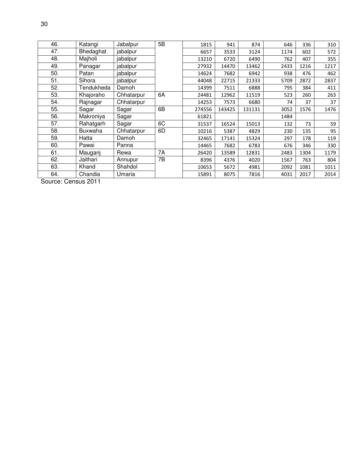| 46. | Katangi        | Jabalpur   | 5B | 1815   | 941    | 874    | 646  | 336  | 310  |
|-----|----------------|------------|----|--------|--------|--------|------|------|------|
| 47. | Bhedaghat      | jabalpur   |    | 6657   | 3533   | 3124   | 1174 | 602  | 572  |
| 48. | Majholi        | jabalpur   |    | 13210  | 6720   | 6490   | 762  | 407  | 355  |
| 49. | Panagar        | jabalpur   |    | 27932  | 14470  | 13462  | 2433 | 1216 | 1217 |
| 50. | Patan          | jabalpur   |    | 14624  | 7682   | 6942   | 938  | 476  | 462  |
| 51. | Sihora         | jabalpur   |    | 44048  | 22715  | 21333  | 5709 | 2872 | 2837 |
| 52. | Tendukheda     | Damoh      |    | 14399  | 7511   | 6888   | 795  | 384  | 411  |
| 53. | Khajoraho      | Chhatarpur | 6A | 24481  | 12962  | 11519  | 523  | 260  | 263  |
| 54. | Rajnagar       | Chhatarpur |    | 14253  | 7573   | 6680   | 74   | 37   | 37   |
| 55. | Sagar          | Sagar      | 6B | 274556 | 143425 | 131131 | 3052 | 1576 | 1476 |
| 56. | Makroniya      | Sagar      |    | 61821  |        |        | 1484 |      |      |
| 57. | Rahatgarh      | Sagar      | 6C | 31537  | 16524  | 15013  | 132  | 73   | 59   |
| 58. | <b>Buxwaha</b> | Chhatarpur | 6D | 10216  | 5387   | 4829   | 230  | 135  | 95   |
| 59. | Hatta          | Damoh      |    | 32465  | 17141  | 15324  | 297  | 178  | 119  |
| 60. | Pawai          | Panna      |    | 14465  | 7682   | 6783   | 676  | 346  | 330  |
| 61. | Mauganj        | Rewa       | 7A | 26420  | 13589  | 12831  | 2483 | 1304 | 1179 |
| 62. | Jaithari       | Annupur    | 7B | 8396   | 4376   | 4020   | 1567 | 763  | 804  |
| 63. | Khand          | Shahdol    |    | 10653  | 5672   | 4981   | 2092 | 1081 | 1011 |
| 64. | Chandia        | Umaria     |    | 15891  | 8075   | 7816   | 4031 | 2017 | 2014 |

Source: Census 2011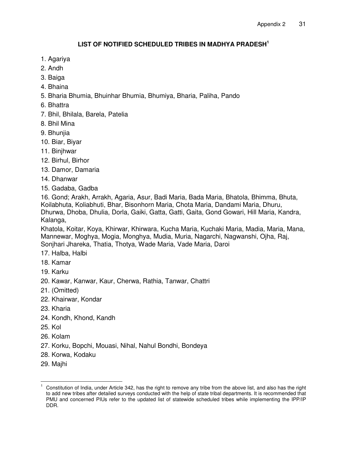## **LIST OF NOTIFIED SCHEDULED TRIBES IN MADHYA PRADESH<sup>1</sup>**

- 1. Agariya
- 2. Andh
- 3. Baiga
- 4. Bhaina
- 5. Bharia Bhumia, Bhuinhar Bhumia, Bhumiya, Bharia, Paliha, Pando
- 6. Bhattra
- 7. Bhil, Bhilala, Barela, Patelia
- 8. Bhil Mina
- 9. Bhunjia
- 10. Biar, Biyar
- 11. Binjhwar
- 12. Birhul, Birhor
- 13. Damor, Damaria
- 14. Dhanwar
- 15. Gadaba, Gadba

16. Gond; Arakh, Arrakh, Agaria, Asur, Badi Maria, Bada Maria, Bhatola, Bhimma, Bhuta, Koilabhuta, Koliabhuti, Bhar, Bisonhorn Maria, Chota Maria, Dandami Maria, Dhuru, Dhurwa, Dhoba, Dhulia, Dorla, Gaiki, Gatta, Gatti, Gaita, Gond Gowari, Hill Maria, Kandra, Kalanga,

Khatola, Koitar, Koya, Khirwar, Khirwara, Kucha Maria, Kuchaki Maria, Madia, Maria, Mana, Mannewar, Moghya, Mogia, Monghya, Mudia, Muria, Nagarchi, Nagwanshi, Ojha, Raj, Sonjhari Jhareka, Thatia, Thotya, Wade Maria, Vade Maria, Daroi

- 17. Halba, Halbi
- 18. Kamar
- 19. Karku
- 20. Kawar, Kanwar, Kaur, Cherwa, Rathia, Tanwar, Chattri
- 21. (Omitted)
- 22. Khairwar, Kondar
- 23. Kharia
- 24. Kondh, Khond, Kandh
- 25. Kol
- 26. Kolam
- 27. Korku, Bopchi, Mouasi, Nihal, Nahul Bondhi, Bondeya
- 28. Korwa, Kodaku
- 29. Majhi

 1 Constitution of India, under Article 342, has the right to remove any tribe from the above list, and also has the right to add new tribes after detailed surveys conducted with the help of state tribal departments. It is recommended that PMU and concerned PIUs refer to the updated list of statewide scheduled tribes while implementing the IPP/IP DDR.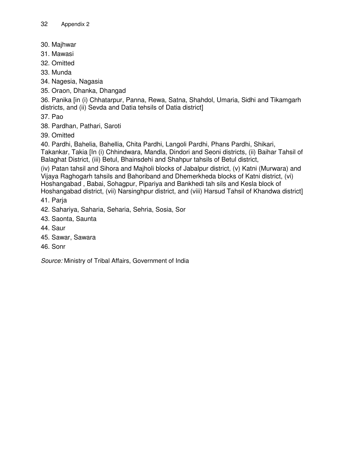- 30. Majhwar
- 31. Mawasi
- 32. Omitted
- 33. Munda
- 34. Nagesia, Nagasia
- 35. Oraon, Dhanka, Dhangad

36. Panika [in (i) Chhatarpur, Panna, Rewa, Satna, Shahdol, Umaria, Sidhi and Tikamgarh districts, and (ii) Sevda and Datia tehsils of Datia district]

37. Pao

- 38. Pardhan, Pathari, Saroti
- 39. Omitted

40. Pardhi, Bahelia, Bahellia, Chita Pardhi, Langoli Pardhi, Phans Pardhi, Shikari, Takankar, Takia [In (i) Chhindwara, Mandla, Dindori and Seoni districts, (ii) Baihar Tahsil of Balaghat District, (iii) Betul, Bhainsdehi and Shahpur tahsils of Betul district,

(iv) Patan tahsil and Sihora and Majholi blocks of Jabalpur district, (v) Katni (Murwara) and Vijaya Raghogarh tahsils and Bahoriband and Dhemerkheda blocks of Katni district, (vi) Hoshangabad , Babai, Sohagpur, Pipariya and Bankhedi tah sils and Kesla block of Hoshangabad district, (vii) Narsinghpur district, and (viii) Harsud Tahsil of Khandwa district]

41. Parja

- 42. Sahariya, Saharia, Seharia, Sehria, Sosia, Sor
- 43. Saonta, Saunta
- 44. Saur
- 45. Sawar, Sawara
- 46. Sonr

*Source:* Ministry of Tribal Affairs, Government of India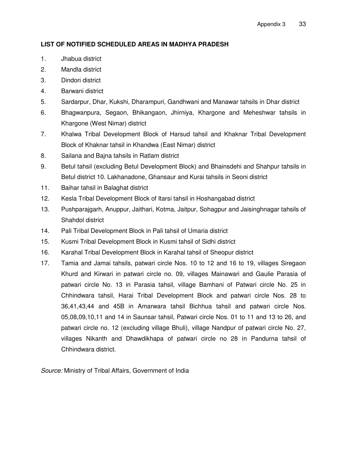## **LIST OF NOTIFIED SCHEDULED AREAS IN MADHYA PRADESH**

- 1. Jhabua district
- 2. Mandla district
- 3. Dindori district
- 4. Barwani district
- 5. Sardarpur, Dhar, Kukshi, Dharampuri, Gandhwani and Manawar tahsils in Dhar district
- 6. Bhagwanpura, Segaon, Bhikangaon, Jhirniya, Khargone and Meheshwar tahsils in Khargone (West Nimar) district
- 7. Khalwa Tribal Development Block of Harsud tahsil and Khaknar Tribal Development Block of Khaknar tahsil in Khandwa (East Nimar) district
- 8. Sailana and Bajna tahsils in Ratlam district
- 9. Betul tahsil (excluding Betul Development Block) and Bhainsdehi and Shahpur tahsils in Betul district 10. Lakhanadone, Ghansaur and Kurai tahsils in Seoni district
- 11. Baihar tahsil in Balaghat district
- 12. Kesla Tribal Development Block of Itarsi tahsil in Hoshangabad district
- 13. Pushparajgarh, Anuppur, Jaithari, Kotma, Jaitpur, Sohagpur and Jaisinghnagar tahsils of Shahdol district
- 14. Pali Tribal Development Block in Pali tahsil of Umaria district
- 15. Kusmi Tribal Development Block in Kusmi tahsil of Sidhi district
- 16. Karahal Tribal Development Block in Karahal tahsil of Sheopur district
- 17. Tamia and Jamai tahsils, patwari circle Nos. 10 to 12 and 16 to 19, villages Siregaon Khurd and Kirwari in patwari circle no. 09, villages Mainawari and Gaulie Parasia of patwari circle No. 13 in Parasia tahsil, village Bamhani of Patwari circle No. 25 in Chhindwara tahsil, Harai Tribal Development Block and patwari circle Nos. 28 to 36,41,43,44 and 45B in Amarwara tahsil Bichhua tahsil and patwari circle Nos. 05,08,09,10,11 and 14 in Saunsar tahsil, Patwari circle Nos. 01 to 11 and 13 to 26, and patwari circle no. 12 (excluding village Bhuli), village Nandpur of patwari circle No. 27, villages Nikanth and Dhawdikhapa of patwari circle no 28 in Pandurna tahsil of Chhindwara district.

*Source:* Ministry of Tribal Affairs, Government of India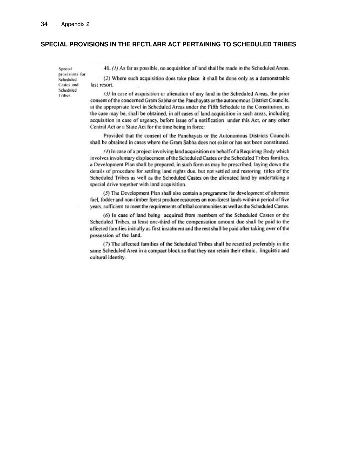### **SPECIAL PROVISIONS IN THE RFCTLARR ACT PERTAINING TO SCHEDULED TRIBES**

Special provisions for Scheduled Castes and Scheduled Tribes.

41. (1) As far as possible, no acquisition of land shall be made in the Scheduled Areas.

(2) Where such acquisition does take place it shall be done only as a demonstrable last resort.

(3) In case of acquisition or alienation of any land in the Scheduled Areas, the prior consent of the concerned Gram Sabha or the Panchayats or the autonomous District Councils. at the appropriate level in Scheduled Areas under the Fifth Schedule to the Constitution, as the case may be, shall be obtained, in all cases of land acquisition in such areas, including acquisition in case of urgency, before issue of a notification under this Act, or any other Central Act or a State Act for the time being in force:

Provided that the consent of the Panchayats or the Autonomous Districts Councils shall be obtained in cases where the Gram Sabha does not exist or has not been constituted.

(4) In case of a project involving land acquisition on behalf of a Requiring Body which involves involuntary displacement of the Scheduled Castes or the Scheduled Tribes families, a Development Plan shall be prepared, in such form as may be prescribed, laying down the details of procedure for settling land rights due, but not settled and restoring titles of the Scheduled Tribes as well as the Scheduled Castes on the alienated land by undertaking a special drive together with land acquisition.

(5) The Development Plan shall also contain a programme for development of alternate fuel, fodder and non-timber forest produce resources on non-forest lands within a period of five years, sufficient to meet the requirements of tribal communities as well as the Scheduled Castes.

(6) In case of land being acquired from members of the Scheduled Castes or the Scheduled Tribes, at least one-third of the compensation amount due shall be paid to the affected families initially as first instalment and the rest shall be paid after taking over of the possession of the land.

(7) The affected families of the Scheduled Tribes shall be resettled preferably in the same Scheduled Area in a compact block so that they can retain their ethnic. linguistic and cultural identity.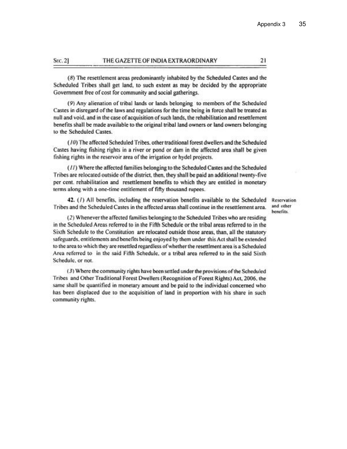#### THE GAZETTE OF INDIA EXTRAORDINARY SEC. 21

(8) The resettlement areas predominantly inhabited by the Scheduled Castes and the Scheduled Tribes shall get land, to such extent as may be decided by the appropriate Government free of cost for community and social gatherings.

(9) Any alienation of tribal lands or lands belonging to members of the Scheduled Castes in disregard of the laws and regulations for the time being in force shall be treated as null and void, and in the case of acquisition of such lands, the rehabilitation and resettlement benefits shall be made available to the original tribal land owners or land owners belonging to the Scheduled Castes.

(10) The affected Scheduled Tribes, other traditional forest dwellers and the Scheduled Castes having fishing rights in a river or pond or dam in the affected area shall be given fishing rights in the reservoir area of the irrigation or hydel projects.

(11) Where the affected families belonging to the Scheduled Castes and the Scheduled Tribes are relocated outside of the district, then, they shall be paid an additional twenty-five per cent. rehabilitation and resettlement benefits to which they are entitled in monetary terms along with a one-time entitlement of fifty thousand rupees.

42. (1) All benefits, including the reservation benefits available to the Scheduled Tribes and the Scheduled Castes in the affected areas shall continue in the resettlement area.

Reservation and other benefits.

(2) Whenever the affected families belonging to the Scheduled Tribes who are residing in the Scheduled Areas referred to in the Fifth Schedule or the tribal areas referred to in the Sixth Schedule to the Constitution are relocated outside those areas, than, all the statutory safeguards, entitlements and benefits being enjoyed by them under this Act shall be extended to the area to which they are resettled regardless of whether the resettlment area is a Scheduled Area referred to in the said Fifth Schedule, or a tribal area referred to in the said Sixth Schedule, or not.

(3) Where the community rights have been settled under the provisions of the Scheduled Tribes and Other Traditional Forest Dwellers (Recognition of Forest Rights) Act, 2006, the same shall be quantified in monetary amount and be paid to the individual concerned who has been displaced due to the acquisition of land in proportion with his share in such community rights.

21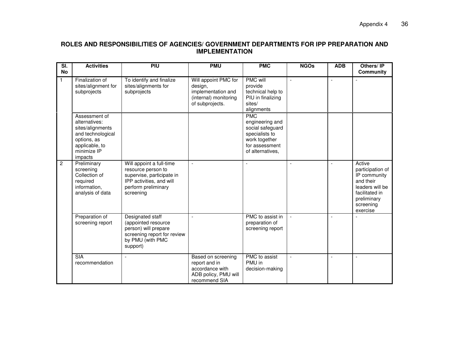## **ROLES AND RESPONSIBILITIES OF AGENCIES/ GOVERNMENT DEPARTMENTS FOR IPP PREPARATION AND IMPLEMENTATION**

| $\overline{\mathsf{SI}}$ .<br><b>No</b> | <b>Activities</b>                                                                                                                  | PIU                                                                                                                                         | <b>PMU</b>                                                                                        | <b>PMC</b>                                                                                                                 | <b>NGOs</b>              | <b>ADB</b>               | Others/IP<br><b>Community</b>                                                                                                        |
|-----------------------------------------|------------------------------------------------------------------------------------------------------------------------------------|---------------------------------------------------------------------------------------------------------------------------------------------|---------------------------------------------------------------------------------------------------|----------------------------------------------------------------------------------------------------------------------------|--------------------------|--------------------------|--------------------------------------------------------------------------------------------------------------------------------------|
| $\mathbf{1}$                            | Finalization of<br>sites/alignment for<br>subprojects                                                                              | To identify and finalize<br>sites/alignments for<br>subprojects                                                                             | Will appoint PMC for<br>design,<br>implementation and<br>(internal) monitoring<br>of subprojects. | <b>PMC will</b><br>provide<br>technical help to<br>PIU in finalizing<br>sites/<br>alignments                               |                          |                          |                                                                                                                                      |
|                                         | Assessment of<br>alternatives:<br>sites/alignments<br>and technological<br>options, as<br>applicable, to<br>minimize IP<br>impacts |                                                                                                                                             |                                                                                                   | <b>PMC</b><br>engineering and<br>social safeguard<br>specialists to<br>work together<br>for assessment<br>of alternatives, |                          |                          |                                                                                                                                      |
| $\overline{c}$                          | Preliminary<br>screening<br>Collection of<br>required<br>information,<br>analysis of data                                          | Will appoint a full-time<br>resource person to<br>supervise, participate in<br>IPP activities, and will<br>perform preliminary<br>screening | $\blacksquare$                                                                                    |                                                                                                                            |                          |                          | Active<br>participation of<br>IP community<br>and their<br>leaders will be<br>facilitated in<br>preliminary<br>screening<br>exercise |
|                                         | Preparation of<br>screening report                                                                                                 | Designated staff<br>(appointed resource<br>person) will prepare<br>screening report for review<br>by PMU (with PMC<br>support)              |                                                                                                   | PMC to assist in<br>preparation of<br>screening report                                                                     | $\mathbf{r}$             |                          |                                                                                                                                      |
|                                         | <b>SIA</b><br>recommendation                                                                                                       | $\overline{\phantom{a}}$                                                                                                                    | Based on screening<br>report and in<br>accordance with<br>ADB policy, PMU will<br>recommend SIA   | PMC to assist<br>PMU in<br>decision-making                                                                                 | $\overline{\phantom{a}}$ | $\overline{\phantom{a}}$ | $\blacksquare$                                                                                                                       |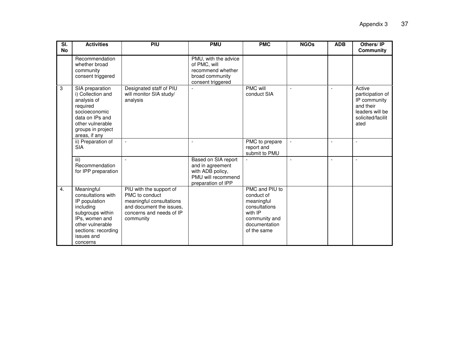| $\overline{\mathsf{SI}}$ .<br><b>No</b> | <b>Activities</b>                                                                                                                                                         | PIU                                                                                                                                        | <b>PMU</b>                                                                                              | <b>PMC</b>                                                                                                              | <b>NGOs</b>              | <b>ADB</b>     | Others/IP<br>Community                                                                                  |
|-----------------------------------------|---------------------------------------------------------------------------------------------------------------------------------------------------------------------------|--------------------------------------------------------------------------------------------------------------------------------------------|---------------------------------------------------------------------------------------------------------|-------------------------------------------------------------------------------------------------------------------------|--------------------------|----------------|---------------------------------------------------------------------------------------------------------|
|                                         | Recommendation<br>whether broad<br>community<br>consent triggered                                                                                                         |                                                                                                                                            | PMU, with the advice<br>of PMC, will<br>recommend whether<br>broad community<br>consent triggered       |                                                                                                                         |                          |                |                                                                                                         |
| 3                                       | SIA preparation<br>i) Collection and<br>analysis of<br>required<br>socioeconomic<br>data on IPs and<br>other vulnerable<br>groups in project<br>areas, if any             | Designated staff of PIU<br>will monitor SIA study/<br>analysis                                                                             |                                                                                                         | PMC will<br>conduct SIA                                                                                                 | $\overline{\phantom{a}}$ | $\overline{a}$ | Active<br>participation of<br>IP community<br>and their<br>leaders will be<br>solicited/facilit<br>ated |
|                                         | ii) Preparation of<br><b>SIA</b>                                                                                                                                          |                                                                                                                                            |                                                                                                         | PMC to prepare<br>report and<br>submit to PMU                                                                           | $\blacksquare$           |                | $\overline{a}$                                                                                          |
|                                         | iii)<br>Recommendation<br>for IPP preparation                                                                                                                             |                                                                                                                                            | Based on SIA report<br>and in agreement<br>with ADB policy,<br>PMU will recommend<br>preparation of IPP |                                                                                                                         | L,                       | $\overline{a}$ | $\overline{a}$                                                                                          |
| $\overline{4}$ .                        | Meaningful<br>consultations with<br>IP population<br>including<br>subgroups within<br>IPs, women and<br>other vulnerable<br>sections: recording<br>issues and<br>concerns | PIU with the support of<br>PMC to conduct<br>meaningful consultations<br>and document the issues,<br>concerns and needs of IP<br>community |                                                                                                         | PMC and PIU to<br>conduct of<br>meaningful<br>consultations<br>with IP<br>community and<br>documentation<br>of the same |                          |                |                                                                                                         |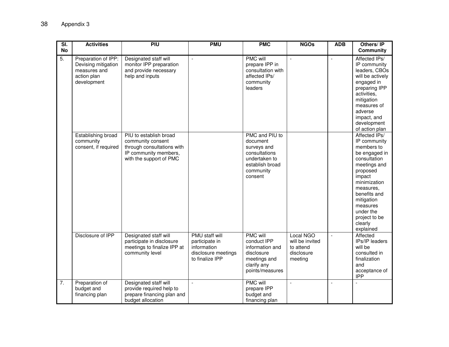| $\overline{\mathsf{SI}}$<br><b>No</b> | <b>Activities</b>                                                                        | PIU                                                                                                                           | <b>PMU</b>                                                                                | <b>PMC</b>                                                                                                             | <b>NGOs</b>                                                        | <b>ADB</b>               | Others/IP<br><b>Community</b>                                                                                                                                                                                                                   |
|---------------------------------------|------------------------------------------------------------------------------------------|-------------------------------------------------------------------------------------------------------------------------------|-------------------------------------------------------------------------------------------|------------------------------------------------------------------------------------------------------------------------|--------------------------------------------------------------------|--------------------------|-------------------------------------------------------------------------------------------------------------------------------------------------------------------------------------------------------------------------------------------------|
| $\overline{5}$ .                      | Preparation of IPP:<br>Devising mitigation<br>measures and<br>action plan<br>development | Designated staff will<br>monitor IPP preparation<br>and provide necessary<br>help and inputs                                  | $\overline{\phantom{a}}$                                                                  | <b>PMC</b> will<br>prepare IPP in<br>consultation with<br>affected IPs/<br>community<br>leaders                        | $\overline{\phantom{a}}$                                           | $\overline{\phantom{a}}$ | Affected IPs/<br>IP community<br>leaders, CBOs<br>will be actively<br>engaged in<br>preparing IPP<br>activities,<br>mitigation<br>measures of<br>adverse<br>impact, and<br>development<br>of action plan                                        |
|                                       | Establishing broad<br>community<br>consent, if required                                  | PIU to establish broad<br>community consent<br>through consultations with<br>IP community members,<br>with the support of PMC |                                                                                           | PMC and PIU to<br>document<br>surveys and<br>consultations<br>undertaken to<br>establish broad<br>community<br>consent |                                                                    |                          | Affected IPs/<br>IP community<br>members to<br>be engaged in<br>consultation<br>meetings and<br>proposed<br>impact<br>minimization<br>measures,<br>benefits and<br>mitigation<br>measures<br>under the<br>project to be<br>clearly<br>explained |
|                                       | Disclosure of IPP                                                                        | Designated staff will<br>participate in disclosure<br>meetings to finalize IPP at<br>community level                          | PMU staff will<br>participate in<br>information<br>disclosure meetings<br>to finalize IPP | <b>PMC will</b><br>conduct IPP<br>information and<br>disclosure<br>meetings and<br>clarify any<br>points/measures      | Local NGO<br>will be invited<br>to attend<br>disclosure<br>meeting | $\mathbb{L}$             | Affected<br>IPs/IP leaders<br>will be<br>consulted in<br>finalization<br>and<br>acceptance of<br><b>IPP</b>                                                                                                                                     |
| $\overline{7}$ .                      | Preparation of<br>budget and<br>financing plan                                           | Designated staff will<br>provide required help to<br>prepare financing plan and<br>budget allocation                          | $\overline{\phantom{a}}$                                                                  | <b>PMC will</b><br>prepare IPP<br>budget and<br>financing plan                                                         | $\blacksquare$                                                     | $\overline{a}$           |                                                                                                                                                                                                                                                 |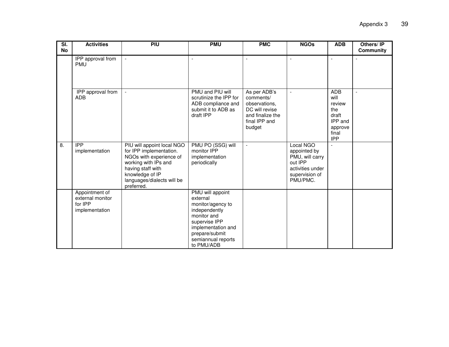| $\overline{\mathsf{SI}}$<br><b>No</b> | <b>Activities</b>                                               | PIU                                                                                                                                                                                          | <b>PMU</b>                                                                                                                                                                     | <b>PMC</b>                                                                                                  | <b>NGOs</b>                                                                                               | <b>ADB</b>                                                                                | Others/IP<br><b>Community</b> |
|---------------------------------------|-----------------------------------------------------------------|----------------------------------------------------------------------------------------------------------------------------------------------------------------------------------------------|--------------------------------------------------------------------------------------------------------------------------------------------------------------------------------|-------------------------------------------------------------------------------------------------------------|-----------------------------------------------------------------------------------------------------------|-------------------------------------------------------------------------------------------|-------------------------------|
|                                       | IPP approval from<br><b>PMU</b>                                 |                                                                                                                                                                                              | $\blacksquare$                                                                                                                                                                 | $\overline{\phantom{a}}$                                                                                    | $\overline{\phantom{a}}$                                                                                  | $\overline{\phantom{a}}$                                                                  |                               |
|                                       | IPP approval from<br>ADB                                        | $\omega$                                                                                                                                                                                     | PMU and PIU will<br>scrutinize the IPP for<br>ADB compliance and<br>submit it to ADB as<br>draft IPP                                                                           | As per ADB's<br>comments/<br>observations.<br>DC will revise<br>and finalize the<br>final IPP and<br>budget | $\blacksquare$                                                                                            | <b>ADB</b><br>will<br>review<br>the<br>draft<br>IPP and<br>approve<br>final<br><b>IPP</b> | $\overline{a}$                |
| 8.                                    | <b>IPP</b><br>implementation                                    | PIU will appoint local NGO<br>for IPP implementation.<br>NGOs with experience of<br>working with IPs and<br>having staff with<br>knowledge of IP<br>languages/dialects will be<br>preferred. | PMU PO (SSG) will<br>monitor IPP<br>implementation<br>periodically                                                                                                             | $\blacksquare$                                                                                              | Local NGO<br>appointed by<br>PMU, will carry<br>out IPP<br>activities under<br>supervision of<br>PMU/PMC. | $\overline{a}$                                                                            |                               |
|                                       | Appointment of<br>external monitor<br>for IPP<br>implementation |                                                                                                                                                                                              | PMU will appoint<br>external<br>monitor/agency to<br>independently<br>monitor and<br>supervise IPP<br>implementation and<br>prepare/submit<br>semiannual reports<br>to PMU/ADB |                                                                                                             |                                                                                                           |                                                                                           |                               |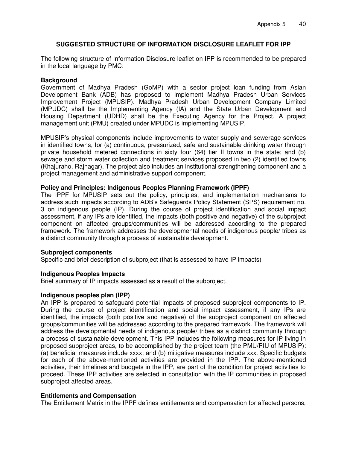## **SUGGESTED STRUCTURE OF INFORMATION DISCLOSURE LEAFLET FOR IPP**

The following structure of Information Disclosure leaflet on IPP is recommended to be prepared in the local language by PMC:

### **Background**

Government of Madhya Pradesh (GoMP) with a sector project loan funding from Asian Development Bank (ADB) has proposed to implement Madhya Pradesh Urban Services Improvement Project (MPUSIP). Madhya Pradesh Urban Development Company Limited (MPUDC) shall be the Implementing Agency (IA) and the State Urban Development and Housing Department (UDHD) shall be the Executing Agency for the Project. A project management unit (PMU) created under MPUDC is implementing MPUSIP.

MPUSIP's physical components include improvements to water supply and sewerage services in identified towns, for (a) continuous, pressurized, safe and sustainable drinking water through private household metered connections in sixty four (64) tier II towns in the state; and (b) sewage and storm water collection and treatment services proposed in two (2) identified towns (Khajuraho, Rajnagar). The project also includes an institutional strengthening component and a project management and administrative support component.

#### **Policy and Principles: Indigenous Peoples Planning Framework (IPPF)**

The IPPF for MPUSIP sets out the policy, principles, and implementation mechanisms to address such impacts according to ADB's Safeguards Policy Statement (SPS) requirement no. 3 on indigenous people (IP). During the course of project identification and social impact assessment, if any IPs are identified, the impacts (both positive and negative) of the subproject component on affected groups/communities will be addressed according to the prepared framework. The framework addresses the developmental needs of indigenous people/ tribes as a distinct community through a process of sustainable development.

#### **Subproject components**

Specific and brief description of subproject (that is assessed to have IP impacts)

## **Indigenous Peoples Impacts**

Brief summary of IP impacts assessed as a result of the subproject.

#### **Indigenous peoples plan (IPP)**

An IPP is prepared to safeguard potential impacts of proposed subproject components to IP. During the course of project identification and social impact assessment, if any IPs are identified, the impacts (both positive and negative) of the subproject component on affected groups/communities will be addressed according to the prepared framework. The framework will address the developmental needs of indigenous people/ tribes as a distinct community through a process of sustainable development. This IPP includes the following measures for IP living in proposed subproject areas, to be accomplished by the project team (the PMU/PIU of MPUSIP): (a) beneficial measures include xxxx; and (b) mitigative measures include xxx. Specific budgets for each of the above-mentioned activities are provided in the IPP. The above-mentioned activities, their timelines and budgets in the IPP, are part of the condition for project activities to proceed. These IPP activities are selected in consultation with the IP communities in proposed subproject affected areas.

#### **Entitlements and Compensation**

The Entitlement Matrix in the IPPF defines entitlements and compensation for affected persons,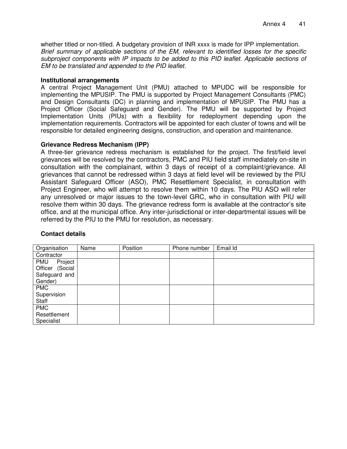whether titled or non-titled. A budgetary provision of INR xxxx is made for IPP implementation. *Brief summary of applicable sections of the EM, relevant to identified losses for the specific subproject components with IP impacts to be added to this PID leaflet. Applicable sections of EM to be translated and appended to the PID leaflet.*

#### **Institutional arrangements**

A central Project Management Unit (PMU) attached to MPUDC will be responsible for implementing the MPUSIP. The PMU is supported by Project Management Consultants (PMC) and Design Consultants (DC) in planning and implementation of MPUSIP. The PMU has a Project Officer (Social Safeguard and Gender). The PMU will be supported by Project Implementation Units (PIUs) with a flexibility for redeployment depending upon the implementation requirements. Contractors will be appointed for each cluster of towns and will be responsible for detailed engineering designs, construction, and operation and maintenance.

#### **Grievance Redress Mechanism (IPP)**

A three-tier grievance redress mechanism is established for the project. The first/field level grievances will be resolved by the contractors, PMC and PIU field staff immediately on-site in consultation with the complainant, within 3 days of receipt of a complaint/grievance. All grievances that cannot be redressed within 3 days at field level will be reviewed by the PIU Assistant Safeguard Officer (ASO), PMC Resettlement Specialist, in consultation with Project Engineer, who will attempt to resolve them within 10 days. The PIU ASO will refer any unresolved or major issues to the town-level GRC, who in consultation with PIU will resolve them within 30 days. The grievance redress form is available at the contractor's site office, and at the municipal office. Any inter-jurisdictional or inter-departmental issues will be referred by the PIU to the PMU for resolution, as necessary.

| Organisation    | Name | Position | Phone number | Email Id |
|-----------------|------|----------|--------------|----------|
| Contractor      |      |          |              |          |
| Project<br>PMU  |      |          |              |          |
| Officer (Social |      |          |              |          |
| Safeguard and   |      |          |              |          |
| Gender)         |      |          |              |          |
| <b>PMC</b>      |      |          |              |          |
| Supervision     |      |          |              |          |
| Staff           |      |          |              |          |
| <b>PMC</b>      |      |          |              |          |
| Resettlement    |      |          |              |          |
| Specialist      |      |          |              |          |

## **Contact details**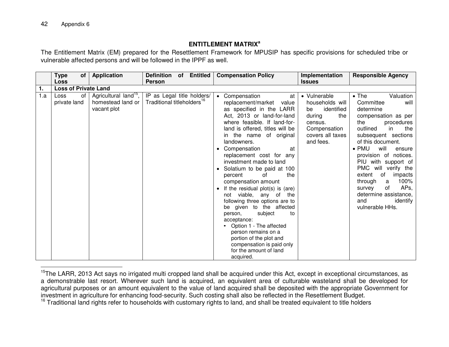## **ENTITLEMENT MATRIX<sup>a</sup>**

The Entitlement Matrix (EM) prepared for the Resettlement Framework for MPUSIP has specific provisions for scheduled tribe or vulnerable affected persons and will be followed in the IPPF as well.

|     | Type<br>оf<br>Loss          | <b>Application</b>                                                    | <b>Definition</b><br>of Entitled<br><b>Person</b>                    | <b>Compensation Policy</b>                                                                                                                                                                                                                                                                                                                                                                                                                                                                                                                                                                                                                                                                                           | Implementation<br><b>Issues</b>                                                                                                  | <b>Responsible Agency</b>                                                                                                                                                                                                                                                                                                                                                                                                                       |
|-----|-----------------------------|-----------------------------------------------------------------------|----------------------------------------------------------------------|----------------------------------------------------------------------------------------------------------------------------------------------------------------------------------------------------------------------------------------------------------------------------------------------------------------------------------------------------------------------------------------------------------------------------------------------------------------------------------------------------------------------------------------------------------------------------------------------------------------------------------------------------------------------------------------------------------------------|----------------------------------------------------------------------------------------------------------------------------------|-------------------------------------------------------------------------------------------------------------------------------------------------------------------------------------------------------------------------------------------------------------------------------------------------------------------------------------------------------------------------------------------------------------------------------------------------|
| 1.  | <b>Loss of Private Land</b> |                                                                       |                                                                      |                                                                                                                                                                                                                                                                                                                                                                                                                                                                                                                                                                                                                                                                                                                      |                                                                                                                                  |                                                                                                                                                                                                                                                                                                                                                                                                                                                 |
| 1.a | of<br>Loss<br>private land  | Agricultural land <sup>15</sup> ,<br>homestead land or<br>vacant plot | IP as Legal title holders/<br>Traditional titleholders <sup>16</sup> | • Compensation<br>at<br>replacement/market<br>value<br>as specified in the LARR<br>Act, 2013 or land-for-land<br>where feasible. If land-for-<br>land is offered, titles will be<br>in the name of original<br>landowners.<br>Compensation<br>at<br>replacement cost for any<br>investment made to land<br>• Solatium to be paid at 100<br>the<br>percent<br>0f<br>compensation amount<br>If the residual plot(s) is (are)<br>not viable, any<br>of<br>the<br>following three options are to<br>be given to the affected<br>subject<br>person,<br>to<br>acceptance:<br>Option 1 - The affected<br>person remains on a<br>portion of the plot and<br>compensation is paid only<br>for the amount of land<br>acquired. | • Vulnerable<br>households will<br>identified<br>be<br>the<br>during<br>census.<br>Compensation<br>covers all taxes<br>and fees. | $\bullet$ The<br>Valuation<br>Committee<br>will<br>determine<br>compensation as per<br>the<br>procedures<br>outlined<br>in<br>the<br>subsequent sections<br>of this document.<br>$\bullet$ PMU<br>will<br>ensure<br>provision of notices.<br>with support of<br>PIU<br>PMC will verify the<br>of<br>extent<br>impacts<br>100%<br>through<br>a<br>AP <sub>s</sub><br>οf<br>survey<br>determine assistance,<br>identify<br>and<br>vulnerable HHs. |

 $\overline{a}$ <sup>15</sup>The LARR, 2013 Act says no irrigated multi cropped land shall be acquired under this Act, except in exceptional circumstances, as a demonstrable last resort. Wherever such land is acquired, an equivalent area of culturable wasteland shall be developed for agricultural purposes or an amount equivalent to the value of land acquired shall be deposited with the appropriate Government for investment in agriculture for enhancing food-security. Such costing shall also be reflected in the Resettlement Budget.

<sup>16</sup> Traditional land rights refer to households with customary rights to land, and shall be treated equivalent to title holders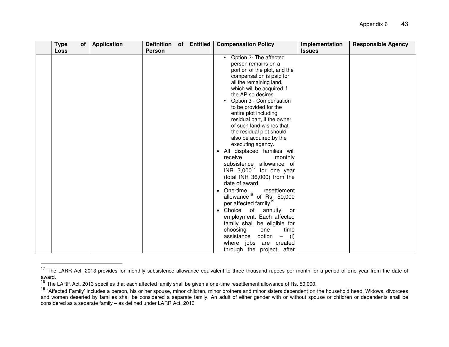| <b>Type</b> | of | <b>Application</b> | Definition of Entitled |  | <b>Compensation Policy</b>                                                                                                                                                                                                                                                                                                                                                                                                                                                                                                                                                                                                                                                                                                                                                                                                                                                                                                            | Implementation | <b>Responsible Agency</b> |
|-------------|----|--------------------|------------------------|--|---------------------------------------------------------------------------------------------------------------------------------------------------------------------------------------------------------------------------------------------------------------------------------------------------------------------------------------------------------------------------------------------------------------------------------------------------------------------------------------------------------------------------------------------------------------------------------------------------------------------------------------------------------------------------------------------------------------------------------------------------------------------------------------------------------------------------------------------------------------------------------------------------------------------------------------|----------------|---------------------------|
| <b>Loss</b> |    |                    | Person                 |  |                                                                                                                                                                                                                                                                                                                                                                                                                                                                                                                                                                                                                                                                                                                                                                                                                                                                                                                                       | <b>Issues</b>  |                           |
|             |    |                    |                        |  | Option 2- The affected<br>person remains on a<br>portion of the plot, and the<br>compensation is paid for<br>all the remaining land,<br>which will be acquired if<br>the AP so desires.<br>Option 3 - Compensation<br>to be provided for the<br>entire plot including<br>residual part, if the owner<br>of such land wishes that<br>the residual plot should<br>also be acquired by the<br>executing agency.<br>• All displaced families will<br>receive<br>monthly<br>subsistence allowance of<br>INR $3,000^{17}$ for one year<br>(total INR 36,000) from the<br>date of award.<br>resettlement<br>• One-time<br>allowance <sup>18</sup> of Rs. 50,000<br>per affected family <sup>19</sup><br>• Choice of annuity<br>or<br>employment: Each affected<br>family shall be eligible for<br>choosing<br>time<br>one<br>option<br>assistance<br>(i)<br>$\overline{\phantom{m}}$<br>where jobs are created<br>through the project, after |                |                           |

<sup>&</sup>lt;sup>17</sup> The LARR Act, 2013 provides for monthly subsistence allowance equivalent to three thousand rupees per month for a period of one year from the date of award.

**-**

<sup>&</sup>lt;sup>18</sup> The LARR Act, 2013 specifies that each affected family shall be given a one-time resettlement allowance of Rs. 50,000.

<sup>&</sup>lt;sup>19</sup> 'Affected Family' includes a person, his or her spouse, minor children, minor brothers and minor sisters dependent on the household head. Widows, divorcees and women deserted by families shall be considered a separate family. An adult of either gender with or without spouse or children or dependents shall be considered as a separate family – as defined under LARR Act, 2013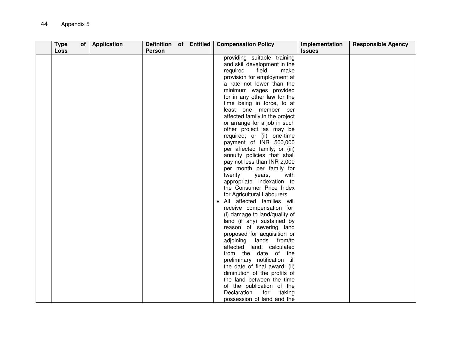| <b>Type</b><br>of<br><b>Loss</b> | Application | Definition of Entitled<br><b>Person</b> |  | <b>Compensation Policy</b>     | Implementation<br><b>Issues</b> | <b>Responsible Agency</b> |
|----------------------------------|-------------|-----------------------------------------|--|--------------------------------|---------------------------------|---------------------------|
|                                  |             |                                         |  | providing suitable training    |                                 |                           |
|                                  |             |                                         |  | and skill development in the   |                                 |                           |
|                                  |             |                                         |  | required<br>field,<br>make     |                                 |                           |
|                                  |             |                                         |  | provision for employment at    |                                 |                           |
|                                  |             |                                         |  | a rate not lower than the      |                                 |                           |
|                                  |             |                                         |  | minimum wages provided         |                                 |                           |
|                                  |             |                                         |  | for in any other law for the   |                                 |                           |
|                                  |             |                                         |  | time being in force, to at     |                                 |                           |
|                                  |             |                                         |  | least one member per           |                                 |                           |
|                                  |             |                                         |  | affected family in the project |                                 |                           |
|                                  |             |                                         |  | or arrange for a job in such   |                                 |                           |
|                                  |             |                                         |  | other project as may be        |                                 |                           |
|                                  |             |                                         |  | required; or (ii) one-time     |                                 |                           |
|                                  |             |                                         |  | payment of INR 500,000         |                                 |                           |
|                                  |             |                                         |  | per affected family; or (iii)  |                                 |                           |
|                                  |             |                                         |  | annuity policies that shall    |                                 |                           |
|                                  |             |                                         |  | pay not less than INR 2,000    |                                 |                           |
|                                  |             |                                         |  | per month per family for       |                                 |                           |
|                                  |             |                                         |  | twenty<br>years,<br>with       |                                 |                           |
|                                  |             |                                         |  | appropriate indexation to      |                                 |                           |
|                                  |             |                                         |  | the Consumer Price Index       |                                 |                           |
|                                  |             |                                         |  | for Agricultural Labourers     |                                 |                           |
|                                  |             |                                         |  | All affected families will     |                                 |                           |
|                                  |             |                                         |  | receive compensation for:      |                                 |                           |
|                                  |             |                                         |  | (i) damage to land/quality of  |                                 |                           |
|                                  |             |                                         |  | land (if any) sustained by     |                                 |                           |
|                                  |             |                                         |  | reason of severing land        |                                 |                           |
|                                  |             |                                         |  | proposed for acquisition or    |                                 |                           |
|                                  |             |                                         |  | adjoining<br>lands from/to     |                                 |                           |
|                                  |             |                                         |  | affected land; calculated      |                                 |                           |
|                                  |             |                                         |  | from the date of the           |                                 |                           |
|                                  |             |                                         |  | preliminary notification till  |                                 |                           |
|                                  |             |                                         |  | the date of final award; (ii)  |                                 |                           |
|                                  |             |                                         |  | diminution of the profits of   |                                 |                           |
|                                  |             |                                         |  | the land between the time      |                                 |                           |
|                                  |             |                                         |  | of the publication of the      |                                 |                           |
|                                  |             |                                         |  | Declaration<br>for<br>taking   |                                 |                           |
|                                  |             |                                         |  | possession of land and the     |                                 |                           |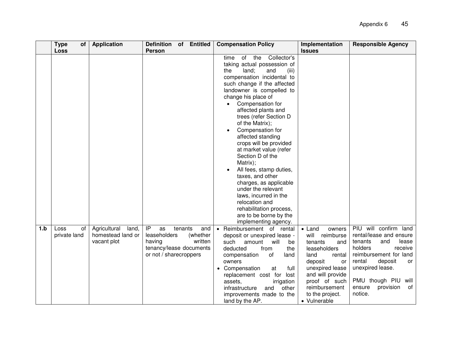|     | <b>Type</b><br>οf<br><b>Loss</b> | <b>Application</b>                                        | Definition of<br><b>Entitled</b><br><b>Person</b>                                                                                | <b>Compensation Policy</b>                                                                                                                                                                                                                                                                                                                                                                                                                                                                                                                                                                                                                             | Implementation<br><b>Issues</b>                                                                                                                                                                                                | <b>Responsible Agency</b>                                                                                                                                                                                                                 |
|-----|----------------------------------|-----------------------------------------------------------|----------------------------------------------------------------------------------------------------------------------------------|--------------------------------------------------------------------------------------------------------------------------------------------------------------------------------------------------------------------------------------------------------------------------------------------------------------------------------------------------------------------------------------------------------------------------------------------------------------------------------------------------------------------------------------------------------------------------------------------------------------------------------------------------------|--------------------------------------------------------------------------------------------------------------------------------------------------------------------------------------------------------------------------------|-------------------------------------------------------------------------------------------------------------------------------------------------------------------------------------------------------------------------------------------|
|     |                                  |                                                           |                                                                                                                                  | of the Collector's<br>time<br>taking actual possession of<br>land;<br>the<br>and<br>(iii)<br>compensation incidental to<br>such change if the affected<br>landowner is compelled to<br>change his place of<br>Compensation for<br>affected plants and<br>trees (refer Section D<br>of the Matrix);<br>Compensation for<br>affected standing<br>crops will be provided<br>at market value (refer<br>Section D of the<br>Matrix);<br>All fees, stamp duties,<br>taxes, and other<br>charges, as applicable<br>under the relevant<br>laws, incurred in the<br>relocation and<br>rehabilitation process,<br>are to be borne by the<br>implementing agency. |                                                                                                                                                                                                                                |                                                                                                                                                                                                                                           |
| 1.b | Loss<br>of<br>private land       | Agricultural<br>land,<br>homestead land or<br>vacant plot | IP<br>tenants<br>as<br>and<br>leaseholders<br>(whether<br>having<br>written<br>tenancy/lease documents<br>or not / sharecroppers | • Reimbursement of rental<br>deposit or unexpired lease -<br>such<br>will<br>amount<br>be<br>deducted<br>from<br>the<br>of<br>compensation<br>land<br>owners<br>• Compensation<br>full<br>at<br>replacement cost for<br>lost<br>assets.<br>irrigation<br>other<br>infrastructure<br>and<br>improvements made to the<br>land by the AP.                                                                                                                                                                                                                                                                                                                 | owners<br>$\bullet$ Land<br>will<br>reimburse<br>tenants<br>and<br>leaseholders<br>land<br>rental<br>deposit<br>or<br>unexpired lease<br>and will provide<br>proof of such<br>reimbursement<br>to the project.<br>• Vulnerable | PIU will confirm land<br>rental/lease and ensure<br>tenants<br>and<br>lease<br>holders<br>receive<br>reimbursement for land<br>rental<br>deposit<br>or<br>unexpired lease.<br>PMU though PIU will<br>provision<br>of<br>ensure<br>notice. |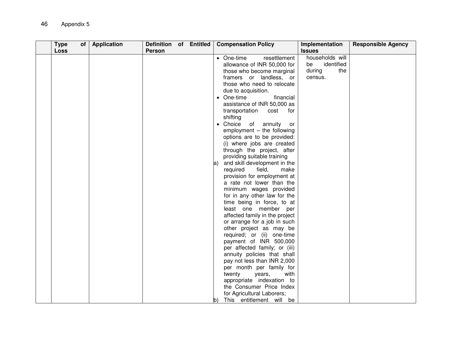| <b>Type</b><br>Loss | of   Application | Definition of Entitled<br>Person |  | <b>Compensation Policy</b>                                                                                                                                                                                                                                                                                                                                                                                                                                                                                                                                                                                                                                                                                                                                                                                                                                                                                                                                                                                                                                                                                               | Implementation<br><b>Issues</b>                                 | <b>Responsible Agency</b> |
|---------------------|------------------|----------------------------------|--|--------------------------------------------------------------------------------------------------------------------------------------------------------------------------------------------------------------------------------------------------------------------------------------------------------------------------------------------------------------------------------------------------------------------------------------------------------------------------------------------------------------------------------------------------------------------------------------------------------------------------------------------------------------------------------------------------------------------------------------------------------------------------------------------------------------------------------------------------------------------------------------------------------------------------------------------------------------------------------------------------------------------------------------------------------------------------------------------------------------------------|-----------------------------------------------------------------|---------------------------|
|                     |                  |                                  |  | • One-time<br>resettlement<br>allowance of INR 50,000 for<br>those who become marginal<br>framers or landless, or<br>those who need to relocate<br>due to acquisition.<br>• One-time<br>financial<br>assistance of INR 50,000 as<br>transportation<br>cost<br>for<br>shifting<br>• Choice<br>of annuity<br>or<br>employment - the following<br>options are to be provided:<br>(i) where jobs are created<br>through the project, after<br>providing suitable training<br>and skill development in the<br>a)<br>field,<br>required<br>make<br>provision for employment at<br>a rate not lower than the<br>minimum wages provided<br>for in any other law for the<br>time being in force, to at<br>least one member per<br>affected family in the project<br>or arrange for a job in such<br>other project as may be<br>required; or (ii) one-time<br>payment of INR 500,000<br>per affected family; or (iii)<br>annuity policies that shall<br>pay not less than INR 2,000<br>per month per family for<br>twenty<br>years,<br>with<br>appropriate indexation to<br>the Consumer Price Index<br>for Agricultural Laborers; | households will<br>identified<br>be<br>the<br>during<br>census. |                           |
|                     |                  |                                  |  | This entitlement will be<br>b)                                                                                                                                                                                                                                                                                                                                                                                                                                                                                                                                                                                                                                                                                                                                                                                                                                                                                                                                                                                                                                                                                           |                                                                 |                           |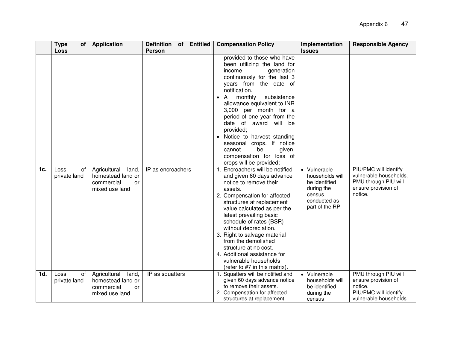|     | <b>Type</b><br><b>of</b><br>Loss | <b>Application</b>                                                               | <b>Entitled</b><br><b>Definition</b><br><b>of</b><br><b>Person</b> | <b>Compensation Policy</b>                                                                                                                                                                                                                                                                                                                                                                                                                                                                                                                                                                                                                                                                                                                                                                              | Implementation<br><b>Issues</b>                                                                             | <b>Responsible Agency</b>                                                                                 |
|-----|----------------------------------|----------------------------------------------------------------------------------|--------------------------------------------------------------------|---------------------------------------------------------------------------------------------------------------------------------------------------------------------------------------------------------------------------------------------------------------------------------------------------------------------------------------------------------------------------------------------------------------------------------------------------------------------------------------------------------------------------------------------------------------------------------------------------------------------------------------------------------------------------------------------------------------------------------------------------------------------------------------------------------|-------------------------------------------------------------------------------------------------------------|-----------------------------------------------------------------------------------------------------------|
| 1c. | Loss<br>οf<br>private land       | Agricultural<br>land,<br>homestead land or<br>commercial<br>or<br>mixed use land | IP as encroachers                                                  | provided to those who have<br>been utilizing the land for<br>income<br>generation<br>continuously for the last 3<br>years from the date of<br>notification.<br>monthly<br>subsistence<br>allowance equivalent to INR<br>3,000 per month for a<br>period of one year from the<br>date of award will be<br>provided;<br>• Notice to harvest standing<br>seasonal crops. If notice<br>given,<br>cannot<br>be<br>compensation for loss of<br>crops will be provided;<br>1. Encroachers will be notified<br>and given 60 days advance<br>notice to remove their<br>assets.<br>2. Compensation for affected<br>structures at replacement<br>value calculated as per the<br>latest prevailing basic<br>schedule of rates (BSR)<br>without depreciation.<br>3. Right to salvage material<br>from the demolished | • Vulnerable<br>households will<br>be identified<br>during the<br>census<br>conducted as<br>part of the RP. | PIU/PMC will identify<br>vulnerable households.<br>PMU through PIU will<br>ensure provision of<br>notice. |
|     |                                  |                                                                                  |                                                                    | structure at no cost.<br>4. Additional assistance for<br>vulnerable households<br>(refer to #7 in this matrix).                                                                                                                                                                                                                                                                                                                                                                                                                                                                                                                                                                                                                                                                                         |                                                                                                             |                                                                                                           |
| 1d. | Loss<br>of<br>private land       | Agricultural<br>land,<br>homestead land or<br>commercial<br>or<br>mixed use land | IP as squatters                                                    | 1. Squatters will be notified and<br>given 60 days advance notice<br>to remove their assets.<br>2. Compensation for affected<br>structures at replacement                                                                                                                                                                                                                                                                                                                                                                                                                                                                                                                                                                                                                                               | • Vulnerable<br>households will<br>be identified<br>during the<br>census                                    | PMU through PIU will<br>ensure provision of<br>notice.<br>PIU/PMC will identify<br>vulnerable households. |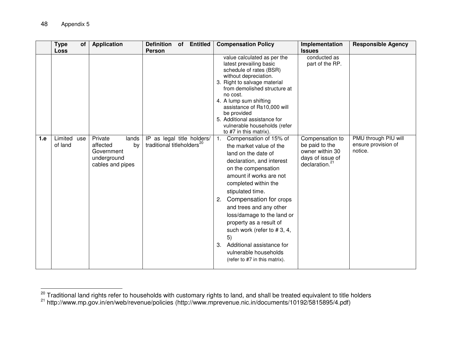$\ddot{\phantom{a}}$ 

|     | <b>Type</b><br>of<br><b>Loss</b> | <b>Application</b>                                                                  | <b>Definition</b><br><b>Entitled</b><br>of<br><b>Person</b>          | <b>Compensation Policy</b>                                                                                                                                                                                                                                                                                                                                                                                                                                        | Implementation<br><b>Issues</b>                                                                        | <b>Responsible Agency</b>                              |
|-----|----------------------------------|-------------------------------------------------------------------------------------|----------------------------------------------------------------------|-------------------------------------------------------------------------------------------------------------------------------------------------------------------------------------------------------------------------------------------------------------------------------------------------------------------------------------------------------------------------------------------------------------------------------------------------------------------|--------------------------------------------------------------------------------------------------------|--------------------------------------------------------|
|     |                                  |                                                                                     |                                                                      | value calculated as per the<br>latest prevailing basic<br>schedule of rates (BSR)<br>without depreciation.<br>3. Right to salvage material<br>from demolished structure at<br>no cost.<br>4. A lump sum shifting<br>assistance of Rs10,000 will<br>be provided<br>5. Additional assistance for<br>vulnerable households (refer<br>to #7 in this matrix).                                                                                                          | conducted as<br>part of the RP.                                                                        |                                                        |
| 1.e | Limited use<br>of land           | Private<br>lands<br>by<br>affected<br>Government<br>underground<br>cables and pipes | IP as legal title holders/<br>traditional titleholders <sup>20</sup> | Compensation of 15% of<br>1.<br>the market value of the<br>land on the date of<br>declaration, and interest<br>on the compensation<br>amount if works are not<br>completed within the<br>stipulated time.<br>Compensation for crops<br>2.<br>and trees and any other<br>loss/damage to the land or<br>property as a result of<br>such work (refer to $# 3, 4,$<br>5)<br>Additional assistance for<br>3.<br>vulnerable households<br>(refer to #7 in this matrix). | Compensation to<br>be paid to the<br>owner within 30<br>days of issue of<br>declaration. <sup>21</sup> | PMU through PIU will<br>ensure provision of<br>notice. |

<sup>&</sup>lt;sup>20</sup> Traditional land rights refer to households with customary rights to land, and shall be treated equivalent to title holders

<sup>&</sup>lt;sup>21</sup> http://www.mp.gov.in/en/web/revenue/policies (http://www.mprevenue.nic.in/documents/10192/5815895/4.pdf)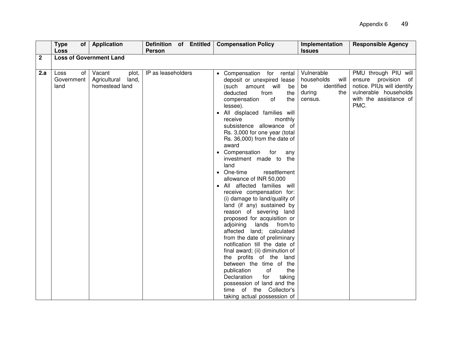|              | <b>Type</b><br>Loss                     | of   Application                                           | Definition of Entitled<br>Person | <b>Compensation Policy</b>                                                                                                                                                                                                                                                                                                                                                                                                                                                                                                                                                                                                                                                                                                                                                                                                                                                                                                                                                                                 | Implementation<br><b>Issues</b>                                                  | <b>Responsible Agency</b>                                                                                                            |
|--------------|-----------------------------------------|------------------------------------------------------------|----------------------------------|------------------------------------------------------------------------------------------------------------------------------------------------------------------------------------------------------------------------------------------------------------------------------------------------------------------------------------------------------------------------------------------------------------------------------------------------------------------------------------------------------------------------------------------------------------------------------------------------------------------------------------------------------------------------------------------------------------------------------------------------------------------------------------------------------------------------------------------------------------------------------------------------------------------------------------------------------------------------------------------------------------|----------------------------------------------------------------------------------|--------------------------------------------------------------------------------------------------------------------------------------|
| $\mathbf{2}$ |                                         | <b>Loss of Government Land</b>                             |                                  |                                                                                                                                                                                                                                                                                                                                                                                                                                                                                                                                                                                                                                                                                                                                                                                                                                                                                                                                                                                                            |                                                                                  |                                                                                                                                      |
|              |                                         |                                                            |                                  |                                                                                                                                                                                                                                                                                                                                                                                                                                                                                                                                                                                                                                                                                                                                                                                                                                                                                                                                                                                                            |                                                                                  |                                                                                                                                      |
| 2.a          | <b>Loss</b><br>of<br>Government<br>land | Vacant<br>plot,<br>Agricultural<br>land,<br>homestead land | IP as leaseholders               | • Compensation for rental<br>deposit or unexpired lease<br>(such amount will<br>be<br>deducted<br>from<br>the<br>the<br>compensation<br>of<br>lessee).<br>• All displaced families will<br>receive<br>monthly<br>subsistence allowance of<br>Rs. 3,000 for one year (total<br>Rs. 36,000) from the date of<br>award<br>• Compensation<br>for<br>any<br>investment made to the<br>land<br>• One-time<br>resettlement<br>allowance of INR 50,000<br>• All affected families will<br>receive compensation for:<br>(i) damage to land/quality of<br>land (if any) sustained by<br>reason of severing land<br>proposed for acquisition or<br>adjoining lands from/to<br>affected land; calculated<br>from the date of preliminary<br>notification till the date of<br>final award; (ii) diminution of<br>the profits of the land<br>between the time of the<br>publication<br>of<br>the<br>Declaration<br>for<br>taking<br>possession of land and the<br>time of the Collector's<br>taking actual possession of | Vulnerable<br>households<br>will<br>identified<br>be<br>during<br>the<br>census. | PMU through PIU will<br>ensure provision of<br>notice. PIUs will identify<br>vulnerable households<br>with the assistance of<br>PMC. |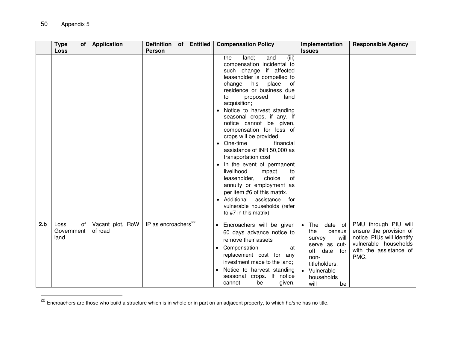|     | <b>Type</b><br>οf<br><b>Loss</b> | <b>Application</b>          | <b>Definition</b><br><b>Person</b> | of Entitled | <b>Compensation Policy</b>                                                                                                                                                                                                                                                                                                                                                                                                                                                                                                                                                                                                                                                                                       | Implementation<br><b>Issues</b>                                                                                                                                       | <b>Responsible Agency</b>                                                                                                                |
|-----|----------------------------------|-----------------------------|------------------------------------|-------------|------------------------------------------------------------------------------------------------------------------------------------------------------------------------------------------------------------------------------------------------------------------------------------------------------------------------------------------------------------------------------------------------------------------------------------------------------------------------------------------------------------------------------------------------------------------------------------------------------------------------------------------------------------------------------------------------------------------|-----------------------------------------------------------------------------------------------------------------------------------------------------------------------|------------------------------------------------------------------------------------------------------------------------------------------|
|     |                                  |                             |                                    |             | (iii)<br>the<br>land;<br>and<br>compensation incidental to<br>such change if affected<br>leaseholder is compelled to<br>change<br>his<br>place<br>of<br>residence or business due<br>land<br>proposed<br>to<br>acquisition;<br>Notice to harvest standing<br>seasonal crops, if any. If<br>notice cannot be given,<br>compensation for loss of<br>crops will be provided<br>• One-time<br>financial<br>assistance of INR 50,000 as<br>transportation cost<br>• In the event of permanent<br>livelihood<br>impact<br>to<br>choice<br>of<br>leaseholder,<br>annuity or employment as<br>per item #6 of this matrix.<br>• Additional<br>assistance<br>for<br>vulnerable households (refer<br>to #7 in this matrix). |                                                                                                                                                                       |                                                                                                                                          |
| 2.b | Loss<br>of<br>Government<br>land | Vacant plot, RoW<br>of road | IP as encroachers <sup>22</sup>    |             | Encroachers will be given<br>60 days advance notice to<br>remove their assets<br>Compensation<br>at<br>replacement cost for any<br>investment made to the land;<br>Notice to harvest standing<br>$\bullet$<br>seasonal crops. If notice<br>cannot<br>be<br>given,                                                                                                                                                                                                                                                                                                                                                                                                                                                | $\bullet$ The<br>date of<br>the<br>census<br>will<br>survey<br>serve as cut-<br>off<br>date<br>for<br>non-<br>titleholders.<br>Vulnerable<br>households<br>will<br>be | PMU through PIU will<br>ensure the provision of<br>notice. PIUs will identify<br>vulnerable households<br>with the assistance of<br>PMC. |

<sup>&</sup>lt;sup>22</sup> Encroachers are those who build a structure which is in whole or in part on an adjacent property, to which he/she has no title.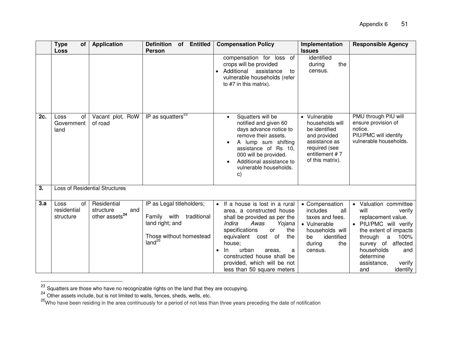|     | <b>Type</b><br><b>of</b><br><b>Loss</b> | <b>Application</b>                                            | <b>Definition</b><br>of Entitled<br><b>Person</b>                                                                           | <b>Compensation Policy</b>                                                                                                                                                                                                                                                                                                    | Implementation<br><b>Issues</b>                                                                                                          | <b>Responsible Agency</b>                                                                                                                                                                                                                              |
|-----|-----------------------------------------|---------------------------------------------------------------|-----------------------------------------------------------------------------------------------------------------------------|-------------------------------------------------------------------------------------------------------------------------------------------------------------------------------------------------------------------------------------------------------------------------------------------------------------------------------|------------------------------------------------------------------------------------------------------------------------------------------|--------------------------------------------------------------------------------------------------------------------------------------------------------------------------------------------------------------------------------------------------------|
|     |                                         |                                                               |                                                                                                                             | compensation for loss of<br>crops will be provided<br>Additional<br>assistance<br>to<br>vulnerable households (refer<br>to #7 in this matrix).                                                                                                                                                                                | identified<br>the<br>during<br>census.                                                                                                   |                                                                                                                                                                                                                                                        |
| 2c. | Loss<br>οf<br>Government<br>land        | Vacant plot, RoW<br>of road                                   | IP as squatters $^{23}$                                                                                                     | Squatters will be<br>notified and given 60<br>days advance notice to<br>remove their assets.<br>A lump sum shifting<br>assistance of Rs 10,<br>000 will be provided.<br>Additional assistance to<br>vulnerable households.<br>C)                                                                                              | • Vulnerable<br>households will<br>be identified<br>and provided<br>assistance as<br>required (see<br>entitlement #7<br>of this matrix). | PMU through PIU will<br>ensure provision of<br>notice.<br>PIU/PMC will identify<br>vulnerable households.                                                                                                                                              |
| 3.  |                                         | <b>Loss of Residential Structures</b>                         |                                                                                                                             |                                                                                                                                                                                                                                                                                                                               |                                                                                                                                          |                                                                                                                                                                                                                                                        |
| 3.a | Loss<br>0f<br>residential<br>structure  | Residential<br>structure<br>and<br>other assets <sup>24</sup> | IP as Legal titleholders;<br>traditional<br>Family with<br>land right; and<br>Those without homestead<br>land <sup>25</sup> | If a house is lost in a rural<br>area, a constructed house<br>shall be provided as per the<br>Awas<br>Indira<br>Yojana<br>specifications<br>the<br><b>or</b><br>equivalent cost of<br>the<br>house;<br>urban<br>In.<br>areas,<br>a<br>constructed house shall be<br>provided, which will be not<br>less than 50 square meters | • Compensation<br>includes<br>all<br>taxes and fees.<br>• Vulnerable<br>households will<br>identified<br>be<br>during<br>the<br>census.  | Valuation committee<br>$\bullet$<br>will<br>verify<br>replacement value.<br>· PIU/PMC will verify<br>the extent of impacts<br>through<br>100%<br>a<br>survey of affected<br>households<br>and<br>determine<br>assistance,<br>verify<br>identify<br>and |

 $^{23}$  Squatters are those who have no recognizable rights on the land that they are occupying.

 $\ddot{\phantom{a}}$ 

 $^{24}$  Other assets include, but is not limited to walls, fences, sheds, wells, etc.

<sup>&</sup>lt;sup>25</sup>Who have been residing in the area continuously for a period of not less than three years preceding the date of notification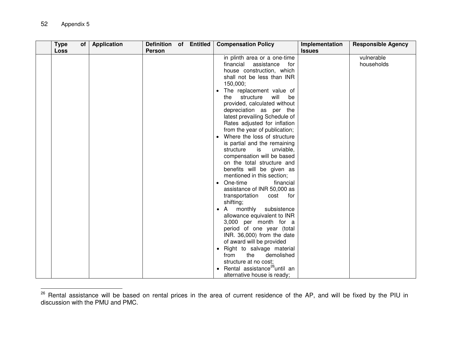| <b>Type</b> | of | <b>Application</b> | Definition of Entitled |  | <b>Compensation Policy</b>               | Implementation | <b>Responsible Agency</b> |
|-------------|----|--------------------|------------------------|--|------------------------------------------|----------------|---------------------------|
| Loss        |    |                    | <b>Person</b>          |  |                                          | <b>Issues</b>  |                           |
|             |    |                    |                        |  | in plinth area or a one-time             |                | vulnerable                |
|             |    |                    |                        |  | financial<br>assistance<br>for           |                | households                |
|             |    |                    |                        |  | house construction, which                |                |                           |
|             |    |                    |                        |  | shall not be less than INR               |                |                           |
|             |    |                    |                        |  | 150,000;                                 |                |                           |
|             |    |                    |                        |  | The replacement value of                 |                |                           |
|             |    |                    |                        |  | structure<br>will<br>the<br>be           |                |                           |
|             |    |                    |                        |  | provided, calculated without             |                |                           |
|             |    |                    |                        |  | depreciation as per the                  |                |                           |
|             |    |                    |                        |  | latest prevailing Schedule of            |                |                           |
|             |    |                    |                        |  | Rates adjusted for inflation             |                |                           |
|             |    |                    |                        |  | from the year of publication;            |                |                           |
|             |    |                    |                        |  | Where the loss of structure              |                |                           |
|             |    |                    |                        |  | is partial and the remaining             |                |                           |
|             |    |                    |                        |  | structure<br>is<br>unviable,             |                |                           |
|             |    |                    |                        |  | compensation will be based               |                |                           |
|             |    |                    |                        |  | on the total structure and               |                |                           |
|             |    |                    |                        |  | benefits will be given as                |                |                           |
|             |    |                    |                        |  | mentioned in this section;               |                |                           |
|             |    |                    |                        |  | One-time<br>financial<br>$\bullet$       |                |                           |
|             |    |                    |                        |  | assistance of INR 50,000 as              |                |                           |
|             |    |                    |                        |  | transportation<br>cost<br>for            |                |                           |
|             |    |                    |                        |  | shifting;                                |                |                           |
|             |    |                    |                        |  | monthly<br>subsistence<br>A              |                |                           |
|             |    |                    |                        |  | allowance equivalent to INR              |                |                           |
|             |    |                    |                        |  | 3,000 per month for a                    |                |                           |
|             |    |                    |                        |  | period of one year (total                |                |                           |
|             |    |                    |                        |  | INR. 36,000) from the date               |                |                           |
|             |    |                    |                        |  | of award will be provided                |                |                           |
|             |    |                    |                        |  | Right to salvage material<br>$\bullet$   |                |                           |
|             |    |                    |                        |  | the<br>demolished<br>from                |                |                           |
|             |    |                    |                        |  | structure at no cost;                    |                |                           |
|             |    |                    |                        |  | Rental assistance <sup>26</sup> until an |                |                           |
|             |    |                    |                        |  | alternative house is ready;              |                |                           |

 $\ddot{\phantom{a}}$ <sup>26</sup> Rental assistance will be based on rental prices in the area of current residence of the AP, and will be fixed by the PIU in discussion with the PMU and PMC.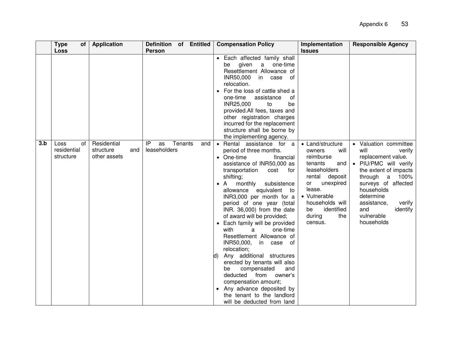| <b>Loss</b><br><b>Person</b><br><b>Issues</b><br>• Each affected family shall<br>given<br>be<br>a<br>one-time                                                                                                                                                                                                                                                                                                                                                                                                                                                                                                                                                                                                                                                                                                                                                                                                                                                                                                                                                                                                                                                                                                                                                                                                                                                                                                                                                                                                                                                                                  |                                                                                        |
|------------------------------------------------------------------------------------------------------------------------------------------------------------------------------------------------------------------------------------------------------------------------------------------------------------------------------------------------------------------------------------------------------------------------------------------------------------------------------------------------------------------------------------------------------------------------------------------------------------------------------------------------------------------------------------------------------------------------------------------------------------------------------------------------------------------------------------------------------------------------------------------------------------------------------------------------------------------------------------------------------------------------------------------------------------------------------------------------------------------------------------------------------------------------------------------------------------------------------------------------------------------------------------------------------------------------------------------------------------------------------------------------------------------------------------------------------------------------------------------------------------------------------------------------------------------------------------------------|----------------------------------------------------------------------------------------|
| Resettlement Allowance of<br>INR50,000<br>in case of<br>relocation.<br>• For the loss of cattle shed a<br>assistance<br>οf<br>one-time<br>INR25,000<br>to<br>be<br>provided.All fees, taxes and<br>other registration charges<br>incurred for the replacement<br>structure shall be borne by<br>the implementing agency.<br>Tenants<br>Residential<br>IP<br>3.b<br><b>Loss</b><br>οf<br>as<br>and<br>• Rental assistance for a<br>• Land/structure<br>• Valuation committee<br>leaseholders<br>residential<br>structure<br>period of three months.<br>will<br>and<br>will<br>owners<br>structure<br>other assets<br>reimburse<br>replacement value.<br>• One-time<br>financial<br>assistance of INR50,000 as<br>tenants<br>· PIU/PMC will verify<br>and<br>leaseholders<br>transportation<br>cost<br>for<br>deposit<br>shifting;<br>rental<br>through<br>unexpired<br>or<br>monthly<br>subsistence<br>$\bullet$ A<br>lease.<br>households<br>allowance<br>equivalent to<br>• Vulnerable<br>determine<br>INR3,000 per month for a<br>households will<br>assistance,<br>period of one year (total<br>identified<br>be<br>and<br>INR. 36,000) from the date<br>during<br>vulnerable<br>the<br>of award will be provided;<br>households<br>census.<br>• Each family will be provided<br>with<br>one-time<br>a<br>Resettlement Allowance of<br>INR50,000,<br>in case of<br>relocation;<br>Any additional structures<br>N)<br>erected by tenants will also<br>compensated<br>and<br>be<br>deducted<br>from owner's<br>compensation amount;<br>Any advance deposited by<br>the tenant to the landlord | verify<br>the extent of impacts<br>a 100%<br>surveys of affected<br>verify<br>identify |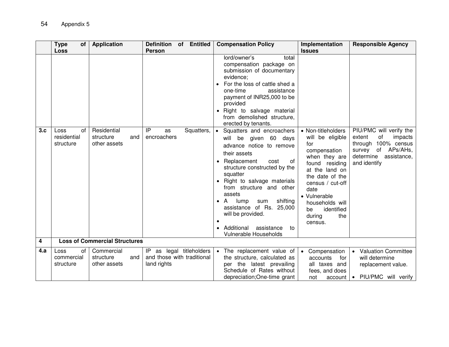|     | <b>Type</b><br>0f                                     | <b>Application</b>                              | <b>Definition</b><br>of Entitled                                         | <b>Compensation Policy</b>                                                                                                                                                                                                                                                                                                                                                                                                                                                                                                                                                                                                                                              | Implementation                                                                                                                                                                                                                                                           | <b>Responsible Agency</b>                                                                                                                      |
|-----|-------------------------------------------------------|-------------------------------------------------|--------------------------------------------------------------------------|-------------------------------------------------------------------------------------------------------------------------------------------------------------------------------------------------------------------------------------------------------------------------------------------------------------------------------------------------------------------------------------------------------------------------------------------------------------------------------------------------------------------------------------------------------------------------------------------------------------------------------------------------------------------------|--------------------------------------------------------------------------------------------------------------------------------------------------------------------------------------------------------------------------------------------------------------------------|------------------------------------------------------------------------------------------------------------------------------------------------|
| 3.c | <b>Loss</b><br>οf<br>Loss<br>residential<br>structure | Residential<br>structure<br>and<br>other assets | <b>Person</b><br>IP<br>Squatters,<br>as<br>encroachers                   | lord/owner's<br>total<br>compensation package on<br>submission of documentary<br>evidence;<br>For the loss of cattle shed a<br>one-time<br>assistance<br>payment of INR25,000 to be<br>provided<br>Right to salvage material<br>from demolished structure,<br>erected by tenants.<br>Squatters and encroachers<br>ه ا<br>will be given 60 days<br>advance notice to remove<br>their assets<br>Replacement<br>cost<br>0f<br>structure constructed by the<br>squatter<br>Right to salvage materials<br>from structure and other<br>assets<br>shifting<br>A<br>lump<br>sum<br>assistance of Rs. 25,000<br>will be provided.<br>$\bullet$<br>Additional<br>assistance<br>to | <b>Issues</b><br>• Non-titleholders<br>will be eligible<br>for<br>compensation<br>when they are<br>found<br>residing<br>at the land on<br>the date of the<br>census / cut-off<br>date<br>• Vulnerable<br>households will<br>be<br>identified<br>the<br>during<br>census. | PIU/PMC will verify the<br>of<br>extent<br>impacts<br>through 100% census<br>of APs/AHs,<br>survey<br>determine<br>assistance,<br>and identify |
| 4   |                                                       | <b>Loss of Commercial Structures</b>            |                                                                          | <b>Vulnerable Households</b>                                                                                                                                                                                                                                                                                                                                                                                                                                                                                                                                                                                                                                            |                                                                                                                                                                                                                                                                          |                                                                                                                                                |
| 4.a | of<br>Loss<br>commercial<br>structure                 | Commercial<br>structure<br>and<br>other assets  | as legal titleholders<br>IP<br>and those with traditional<br>land rights | • The replacement value of<br>the structure, calculated as<br>per the latest prevailing<br>Schedule of Rates without<br>depreciation; One-time grant                                                                                                                                                                                                                                                                                                                                                                                                                                                                                                                    | • Compensation<br>accounts<br>for<br>all taxes and<br>fees, and does<br>not<br>account                                                                                                                                                                                   | • Valuation Committee<br>will determine<br>replacement value.<br>PIU/PMC will verify<br>$\bullet$                                              |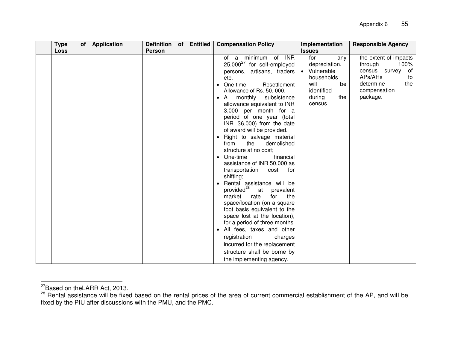| <b>Type</b> | of | <b>Application</b> | Definition of Entitled |  | <b>Compensation Policy</b>                                                                                                                                                                                                                                                                                                                                                                                                                                                                                                                                                                                                                                                                                                                                                                                                                                                                         | Implementation                                                                                                                     | <b>Responsible Agency</b>                                                                                                        |
|-------------|----|--------------------|------------------------|--|----------------------------------------------------------------------------------------------------------------------------------------------------------------------------------------------------------------------------------------------------------------------------------------------------------------------------------------------------------------------------------------------------------------------------------------------------------------------------------------------------------------------------------------------------------------------------------------------------------------------------------------------------------------------------------------------------------------------------------------------------------------------------------------------------------------------------------------------------------------------------------------------------|------------------------------------------------------------------------------------------------------------------------------------|----------------------------------------------------------------------------------------------------------------------------------|
| <b>Loss</b> |    |                    | <b>Person</b>          |  | of a minimum of INR<br>25,000 <sup>27</sup> for self-employed<br>persons, artisans, traders<br>etc.<br>One-time<br>Resettlement<br>Allowance of Rs. 50, 000.<br>monthly subsistence<br>A<br>allowance equivalent to INR<br>3,000 per month for a<br>period of one year (total<br>INR. 36,000) from the date<br>of award will be provided.<br>Right to salvage material<br>the<br>demolished<br>from<br>structure at no cost;<br>One-time<br>financial<br>assistance of INR 50,000 as<br>transportation<br>for<br>cost<br>shifting;<br>Rental assistance will be<br>provided <sup>28</sup><br>at<br>prevalent<br>market<br>the<br>rate<br>for<br>space/location (on a square<br>foot basis equivalent to the<br>space lost at the location),<br>for a period of three months<br>All fees, taxes and other<br>registration<br>charges<br>incurred for the replacement<br>structure shall be borne by | <b>Issues</b><br>for<br>any<br>depreciation.<br>• Vulnerable<br>households<br>will<br>be<br>identified<br>the<br>during<br>census. | the extent of impacts<br>100%<br>through<br>of<br>census survey<br>APs/AHs<br>to<br>determine<br>the<br>compensation<br>package. |
|             |    |                    |                        |  | the implementing agency.                                                                                                                                                                                                                                                                                                                                                                                                                                                                                                                                                                                                                                                                                                                                                                                                                                                                           |                                                                                                                                    |                                                                                                                                  |

 $\ddot{\phantom{a}}$ <sup>27</sup>Based on theLARR Act, 2013.

<sup>&</sup>lt;sup>28</sup> Rental assistance will be fixed based on the rental prices of the area of current commercial establishment of the AP, and will be fixed by the PIU after discussions with the PMU, and the PMC.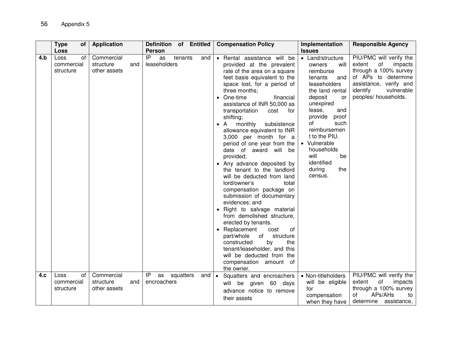|     | <b>Type</b><br>οf<br>Loss             | <b>Application</b>                             | Definition of Entitled<br><b>Person</b>               | <b>Compensation Policy</b>                                                                                                                                                                                                                                                                                                                                                                                                                                                                                                                                                                                                                                                                                                                                                                                                                                                                                                               | Implementation<br><b>Issues</b>                                                                                                                                                                                                                                                                              | <b>Responsible Agency</b>                                                                                                                                                      |
|-----|---------------------------------------|------------------------------------------------|-------------------------------------------------------|------------------------------------------------------------------------------------------------------------------------------------------------------------------------------------------------------------------------------------------------------------------------------------------------------------------------------------------------------------------------------------------------------------------------------------------------------------------------------------------------------------------------------------------------------------------------------------------------------------------------------------------------------------------------------------------------------------------------------------------------------------------------------------------------------------------------------------------------------------------------------------------------------------------------------------------|--------------------------------------------------------------------------------------------------------------------------------------------------------------------------------------------------------------------------------------------------------------------------------------------------------------|--------------------------------------------------------------------------------------------------------------------------------------------------------------------------------|
| 4.b | Loss<br>οf<br>commercial<br>structure | Commercial<br>structure<br>and<br>other assets | IP<br>tenants<br>as<br>and<br>leaseholders            | • Rental assistance will be<br>provided at the prevalent<br>rate of the area on a square<br>feet basis equivalent to the<br>space lost, for a period of<br>three months;<br>• One-time<br>financial<br>assistance of INR 50,000 as<br>transportation<br>cost<br>for<br>shifting;<br>monthly<br>subsistence<br>$\bullet$ A<br>allowance equivalent to INR<br>3,000 per month for a<br>period of one year from the<br>date of award will be<br>provided;<br>• Any advance deposited by<br>the tenant to the landlord<br>will be deducted from land<br>lord/owner's<br>total<br>compensation package on<br>submission of documentary<br>evidences; and<br>• Right to salvage material<br>from demolished structure,<br>erected by tenants.<br>• Replacement<br>cost<br>οf<br>part/whole<br>of<br>structure<br>by<br>the<br>constructed<br>tenant/leaseholder, and this<br>will be deducted from the<br>compensation amount of<br>the owner. | • Land/structure<br>will<br>owners<br>reimburse<br>tenants<br>and<br>leaseholders<br>the land rental<br>deposit<br>or<br>unexpired<br>lease,<br>and<br>provide<br>proof<br>of<br>such<br>reimbursemen<br>t to the PIU.<br>• Vulnerable<br>households<br>will<br>be<br>identified<br>during<br>the<br>census. | PIU/PMC will verify the<br>of<br>impacts<br>extent<br>through a 100% survey<br>of APs to determine<br>assistance, verify and<br>identify<br>vulnerable<br>peoples/ households. |
| 4.c | Loss<br>οf<br>commercial<br>structure | Commercial<br>structure<br>and<br>other assets | IP<br>as<br>squatters<br>and $\bullet$<br>encroachers | Squatters and encroachers<br>given 60 days<br>will be<br>advance notice to remove<br>their assets                                                                                                                                                                                                                                                                                                                                                                                                                                                                                                                                                                                                                                                                                                                                                                                                                                        | • Non-titleholders<br>will be eligible<br>for<br>compensation<br>when they have                                                                                                                                                                                                                              | PIU/PMC will verify the<br>extent<br>of<br>impacts<br>through a 100% survey<br>APs/AHs<br>οf<br>to<br>determine assistance,                                                    |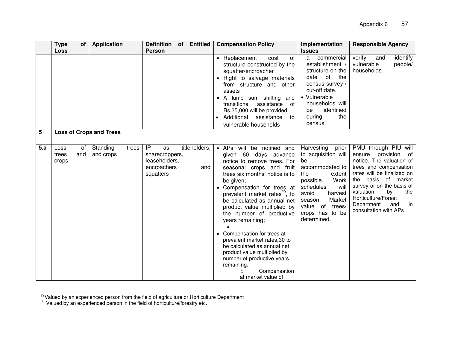|     | <b>Type</b><br>Οf<br><b>Loss</b>    | <b>Application</b>             | <b>Definition</b><br>of Entitled<br><b>Person</b>                                               | <b>Compensation Policy</b>                                                                                                                                                                                                                                                                                                                                                                                                                                                                                                                                                 | Implementation<br><b>Issues</b>                                                                                                                                                                                              | <b>Responsible Agency</b>                                                                                                                                                                                                                                                                      |
|-----|-------------------------------------|--------------------------------|-------------------------------------------------------------------------------------------------|----------------------------------------------------------------------------------------------------------------------------------------------------------------------------------------------------------------------------------------------------------------------------------------------------------------------------------------------------------------------------------------------------------------------------------------------------------------------------------------------------------------------------------------------------------------------------|------------------------------------------------------------------------------------------------------------------------------------------------------------------------------------------------------------------------------|------------------------------------------------------------------------------------------------------------------------------------------------------------------------------------------------------------------------------------------------------------------------------------------------|
|     |                                     |                                |                                                                                                 | of<br>• Replacement<br>cost<br>structure constructed by the<br>squatter/encroacher<br>• Right to salvage materials<br>from structure and other<br>assets<br>• A lump sum shifting and<br>transitional<br>assistance<br>of<br>Rs.25,000 will be provided.<br>Additional<br>assistance<br>to<br>vulnerable households                                                                                                                                                                                                                                                        | commercial<br>a -<br>establishment /<br>structure on the<br>of<br>the<br>date<br>census survey /<br>cut-off date.<br>• Vulnerable<br>households will<br>identified<br>be<br>during<br>the<br>census.                         | verify<br>identify<br>and<br>vulnerable<br>people/<br>households.                                                                                                                                                                                                                              |
| 5   |                                     | <b>Loss of Crops and Trees</b> |                                                                                                 |                                                                                                                                                                                                                                                                                                                                                                                                                                                                                                                                                                            |                                                                                                                                                                                                                              |                                                                                                                                                                                                                                                                                                |
| 5.a | Loss<br>0f<br>trees<br>and<br>crops | Standing<br>trees<br>and crops | titleholders,<br>IP<br>as<br>sharecroppers,<br>leaseholders,<br>encroachers<br>and<br>squatters | be notified and<br>• APs will<br>given 60 days advance<br>notice to remove trees. For<br>seasonal crops and fruit<br>trees six months' notice is to<br>be given;<br>• Compensation for trees at<br>prevalent market rates <sup>29</sup> , to<br>be calculated as annual net<br>product value multiplied by<br>the number of productive<br>years remaining;<br>• Compensation for trees at<br>prevalent market rates, 30 to<br>be calculated as annual net<br>product value multiplied by<br>number of productive years<br>remaining.<br>Compensation<br>at market value of | Harvesting<br>prior<br>to acquisition will<br>be<br>accommodated to<br>the<br>extent<br>possible.<br>Work<br>schedules<br>will<br>avoid<br>harvest<br>Market<br>season.<br>value of trees/<br>crops has to be<br>determined. | PMU through PIU will<br>ensure provision<br>of<br>notice. The valuation of<br>trees and compensation<br>rates will be finalized on<br>basis of market<br>the<br>survey or on the basis of<br>valuation<br>bv<br>the<br>Horticulture/Forest<br>Department<br>in<br>and<br>consultation with APs |

 $\overline{a}$  $29$ Valued by an experienced person from the field of agriculture or Horticulture Department

<sup>&</sup>lt;sup>30</sup> Valued by an experienced person in the field of horticulture/forestry etc.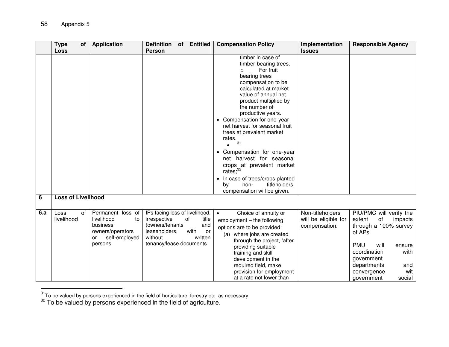$\ddot{\phantom{a}}$ 

|     | <b>Type</b><br>Οf         | <b>Application</b>                    | <b>Definition</b><br><b>Entitled</b><br>of                    | <b>Compensation Policy</b>                 | Implementation       | <b>Responsible Agency</b>        |
|-----|---------------------------|---------------------------------------|---------------------------------------------------------------|--------------------------------------------|----------------------|----------------------------------|
|     | Loss                      |                                       | <b>Person</b>                                                 |                                            | <b>Issues</b>        |                                  |
|     |                           |                                       |                                                               | timber in case of                          |                      |                                  |
|     |                           |                                       |                                                               | timber-bearing trees.                      |                      |                                  |
|     |                           |                                       |                                                               | For fruit<br>$\circ$                       |                      |                                  |
|     |                           |                                       |                                                               | bearing trees                              |                      |                                  |
|     |                           |                                       |                                                               | compensation to be<br>calculated at market |                      |                                  |
|     |                           |                                       |                                                               | value of annual net                        |                      |                                  |
|     |                           |                                       |                                                               | product multiplied by                      |                      |                                  |
|     |                           |                                       |                                                               | the number of                              |                      |                                  |
|     |                           |                                       |                                                               | productive years.                          |                      |                                  |
|     |                           |                                       |                                                               | • Compensation for one-year                |                      |                                  |
|     |                           |                                       |                                                               | net harvest for seasonal fruit             |                      |                                  |
|     |                           |                                       |                                                               | trees at prevalent market                  |                      |                                  |
|     |                           |                                       |                                                               | rates.                                     |                      |                                  |
|     |                           |                                       |                                                               | 31                                         |                      |                                  |
|     |                           |                                       |                                                               | • Compensation for one-year                |                      |                                  |
|     |                           |                                       |                                                               | net harvest for seasonal                   |                      |                                  |
|     |                           |                                       |                                                               | crops at prevalent market                  |                      |                                  |
|     |                           |                                       |                                                               | rates; <sup>32</sup>                       |                      |                                  |
|     |                           |                                       |                                                               | In case of trees/crops planted             |                      |                                  |
|     |                           |                                       |                                                               | titleholders,<br>by<br>non-                |                      |                                  |
|     | <b>Loss of Livelihood</b> |                                       |                                                               | compensation will be given.                |                      |                                  |
| 6   |                           |                                       |                                                               |                                            |                      |                                  |
|     |                           |                                       |                                                               |                                            |                      |                                  |
| 6.a | Loss<br>0f                | Permanent loss of<br>livelihood<br>to | IPs facing loss of livelihood,<br>irrespective<br>of<br>title | Choice of annuity or<br>$\bullet$          | Non-titleholders     | PIU/PMC will verify the          |
|     | livelihood                | business                              | (owners/tenants<br>and                                        | employment - the following                 | will be eligible for | of<br>extent<br>impacts          |
|     |                           | owners/operators                      | leaseholders,<br>with<br>or                                   | options are to be provided:                | compensation.        | through a 100% survey<br>of APs. |
|     |                           | self-employed<br>or                   | without<br>written                                            | (a) where jobs are created                 |                      |                                  |
|     |                           | persons                               | tenancy/lease documents                                       | through the project, 'after                |                      | will<br><b>PMU</b><br>ensure     |
|     |                           |                                       |                                                               | providing suitable                         |                      | coordination<br>with             |
|     |                           |                                       |                                                               | training and skill                         |                      | government                       |
|     |                           |                                       |                                                               | development in the<br>required field, make |                      | departments<br>and               |
|     |                           |                                       |                                                               | provision for employment                   |                      | wit<br>convergence               |
|     |                           |                                       |                                                               | at a rate not lower than                   |                      | social<br>government             |

 $^{31}$ To be valued by persons experienced in the field of horticulture, forestry etc. as necessary

 $32$  To be valued by persons experienced in the field of agriculture.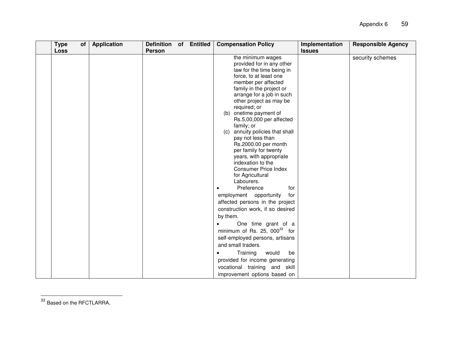| <b>Type</b><br><b>Loss</b> | of | <b>Application</b> | Definition of Entitled<br>Person |  | <b>Compensation Policy</b>                                                                                                                                                                                                                                                                                                                                                                                                                                                                                                                                                                                                                                                                                                                                                                                                                                        | Implementation<br><b>Issues</b> | <b>Responsible Agency</b> |
|----------------------------|----|--------------------|----------------------------------|--|-------------------------------------------------------------------------------------------------------------------------------------------------------------------------------------------------------------------------------------------------------------------------------------------------------------------------------------------------------------------------------------------------------------------------------------------------------------------------------------------------------------------------------------------------------------------------------------------------------------------------------------------------------------------------------------------------------------------------------------------------------------------------------------------------------------------------------------------------------------------|---------------------------------|---------------------------|
|                            |    |                    |                                  |  | the minimum wages<br>provided for in any other<br>law for the time being in<br>force, to at least one<br>member per affected<br>family in the project or<br>arrange for a job in such<br>other project as may be<br>required; or<br>(b) onetime payment of<br>Rs.5,00,000 per affected<br>family; or<br>annuity policies that shall<br>(c)<br>pay not less than<br>Rs.2000.00 per month<br>per family for twenty<br>years, with appropriate<br>indexation to the<br><b>Consumer Price Index</b><br>for Agricultural<br>Labourers.<br>Preference<br>for<br>$\bullet$<br>employment opportunity<br>for<br>affected persons in the project<br>construction work, if so desired<br>by them.<br>One time grant of a<br>$\bullet$<br>minimum of Rs. 25, $000^{33}$ for<br>self-employed persons, artisans<br>and small traders.<br>Training<br>would<br>be<br>$\bullet$ |                                 | security schemes          |
|                            |    |                    |                                  |  | provided for income generating<br>vocational training and skill<br>improvement options based on                                                                                                                                                                                                                                                                                                                                                                                                                                                                                                                                                                                                                                                                                                                                                                   |                                 |                           |

 $^{33}$  Based on the RFCTLARRA.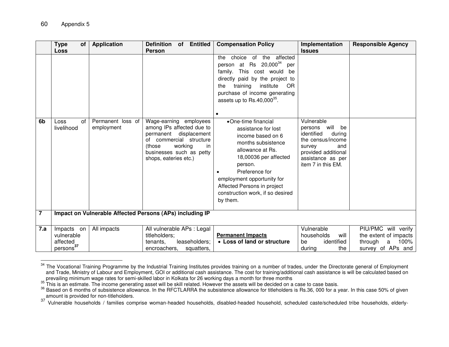$\overline{\phantom{a}}$ 

|                | Type<br>0f                                                    | <b>Application</b>              | <b>Definition</b><br>of Entitled                                                                                                                                                           | <b>Compensation Policy</b>                                                                                                                                                                                                                                                   | Implementation                                                                                                                                                   | <b>Responsible Agency</b>                                                                 |
|----------------|---------------------------------------------------------------|---------------------------------|--------------------------------------------------------------------------------------------------------------------------------------------------------------------------------------------|------------------------------------------------------------------------------------------------------------------------------------------------------------------------------------------------------------------------------------------------------------------------------|------------------------------------------------------------------------------------------------------------------------------------------------------------------|-------------------------------------------------------------------------------------------|
|                | Loss                                                          |                                 | <b>Person</b>                                                                                                                                                                              |                                                                                                                                                                                                                                                                              | <b>Issues</b>                                                                                                                                                    |                                                                                           |
|                |                                                               |                                 |                                                                                                                                                                                            | choice of the affected<br>the<br>person at Rs $20,000^{34}$<br>per<br>family. This cost would<br>be<br>directly paid by the project to<br>training<br>institute<br>OR<br>the<br>purchase of income generating<br>assets up to $Rs.40,000^{35}$ .<br>$\bullet$                |                                                                                                                                                                  |                                                                                           |
| 6b             | Loss<br>of<br>livelihood                                      | Permanent loss of<br>employment | Wage-earning employees<br>among IPs affected due to<br>permanent displacement<br>of commercial structure<br>(those)<br>working<br>in.<br>businesses such as petty<br>shops, eateries etc.) | •One-time financial<br>assistance for lost<br>income based on 6<br>months subsistence<br>allowance at Rs.<br>18,00036 per affected<br>person.<br>Preference for<br>employment opportunity for<br>Affected Persons in project<br>construction work, if so desired<br>by them. | Vulnerable<br>persons will<br>be<br>identified<br>during<br>the census/income<br>survey<br>and<br>provided additional<br>assistance as per<br>item 7 in this EM. |                                                                                           |
| $\overline{7}$ |                                                               |                                 | Impact on Vulnerable Affected Persons (APs) including IP                                                                                                                                   |                                                                                                                                                                                                                                                                              |                                                                                                                                                                  |                                                                                           |
| 7.a            | Impacts on<br>vulnerable<br>affected<br>persons <sup>37</sup> | All impacts                     | All vulnerable APs : Legal<br>titleholders;<br>leaseholders;<br>tenants.<br>encroachers,<br>squatters,                                                                                     | <b>Permanent Impacts</b><br>• Loss of land or structure                                                                                                                                                                                                                      | Vulnerable<br>will<br>households<br>identified<br>be<br>the<br>during                                                                                            | PIU/PMC will verify<br>the extent of impacts<br>100%<br>through<br>a<br>survey of APs and |

<sup>&</sup>lt;sup>34</sup> The Vocational Training Programme by the Industrial Training Institutes provides training on a number of trades, under the Directorate general of Employment and Trade, Ministry of Labour and Employment, GOI or additional cash assistance. The cost for training/additional cash assistance is will be calculated based on prevailing minimum wage rates for semi-skilled labor in Kolkata for 26 working days a month for three months

37 Vulnerable households / families comprise woman-headed households, disabled-headed household, scheduled caste/scheduled tribe households, elderly-

 $35$  This is an estimate. The income generating asset will be skill related. However the assets will be decided on a case to case basis.

<sup>&</sup>lt;sup>36</sup> Based on 6 months of subsistence allowance. In the RFCTLARRA the subsistence allowance for titleholders is Rs.36, 000 for a year. In this case 50% of given amount is provided for non-titleholders.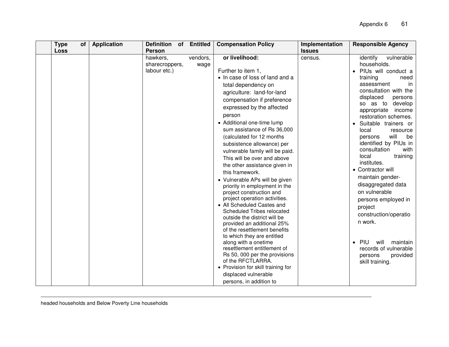| <b>Type</b><br><b>of</b><br><b>Loss</b> | <b>Application</b><br><b>Definition</b><br><b>Person</b> | of Entitled      | <b>Compensation Policy</b><br>Implementation<br><b>Issues</b>                                                                                                                                                                                                                                                                                                                                                                                                                                                                                                                                                                                                                                                                                                                                                                                                                                                                                                                 |         | <b>Responsible Agency</b>                                                                                                                                                                                                                                                                                                                                                                                                                                                                                                                                                                                                                                                               |
|-----------------------------------------|----------------------------------------------------------|------------------|-------------------------------------------------------------------------------------------------------------------------------------------------------------------------------------------------------------------------------------------------------------------------------------------------------------------------------------------------------------------------------------------------------------------------------------------------------------------------------------------------------------------------------------------------------------------------------------------------------------------------------------------------------------------------------------------------------------------------------------------------------------------------------------------------------------------------------------------------------------------------------------------------------------------------------------------------------------------------------|---------|-----------------------------------------------------------------------------------------------------------------------------------------------------------------------------------------------------------------------------------------------------------------------------------------------------------------------------------------------------------------------------------------------------------------------------------------------------------------------------------------------------------------------------------------------------------------------------------------------------------------------------------------------------------------------------------------|
|                                         | hawkers,<br>sharecroppers,<br>labour etc.)               | vendors,<br>wage | or livelihood:<br>Further to item 1,<br>• In case of loss of land and a<br>total dependency on<br>agriculture: land-for-land<br>compensation if preference<br>expressed by the affected<br>person<br>• Additional one-time lump<br>sum assistance of Rs 36,000<br>(calculated for 12 months<br>subsistence allowance) per<br>vulnerable family will be paid.<br>This will be over and above<br>the other assistance given in<br>this framework.<br>• Vulnerable APs will be given<br>priority in employment in the<br>project construction and<br>project operation activities.<br>• All Scheduled Castes and<br>Scheduled Tribes relocated<br>outside the district will be<br>provided an additional 25%<br>of the resettlement benefits<br>to which they are entitled<br>along with a onetime<br>resettlement entitlement of<br>Rs 50, 000 per the provisions<br>of the RFCTLARRA.<br>• Provision for skill training for<br>displaced vulnerable<br>persons, in addition to | census. | vulnerable<br>identify<br>households.<br>PIUs will conduct a<br>$\bullet$<br>training<br>need<br>assessment<br>in<br>consultation with the<br>displaced<br>persons<br>so as to develop<br>income<br>appropriate<br>restoration schemes.<br>Suitable trainers or<br>$\bullet$<br>local<br>resource<br>will<br>be<br>persons<br>identified by PIUs in<br>consultation<br>with<br>local<br>training<br>institutes.<br>• Contractor will<br>maintain gender-<br>disaggregated data<br>on vulnerable<br>persons employed in<br>project<br>construction/operatio<br>n work.<br><b>PIU</b><br>will<br>maintain<br>$\bullet$<br>records of vulnerable<br>provided<br>persons<br>skill training. |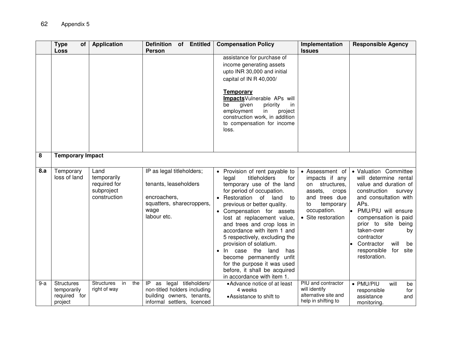|       | <b>Type</b><br>οf<br>Loss                            | <b>Application</b>                                                | Definition of Entitled<br><b>Person</b>                                                                                     | <b>Compensation Policy</b>                                                                                                                                                                                                                                                                                                                                                                                                                                                                                                      | Implementation<br><b>Issues</b>                                                                                                                     | <b>Responsible Agency</b>                                                                                                                                                                                                                                                                                              |
|-------|------------------------------------------------------|-------------------------------------------------------------------|-----------------------------------------------------------------------------------------------------------------------------|---------------------------------------------------------------------------------------------------------------------------------------------------------------------------------------------------------------------------------------------------------------------------------------------------------------------------------------------------------------------------------------------------------------------------------------------------------------------------------------------------------------------------------|-----------------------------------------------------------------------------------------------------------------------------------------------------|------------------------------------------------------------------------------------------------------------------------------------------------------------------------------------------------------------------------------------------------------------------------------------------------------------------------|
|       |                                                      |                                                                   |                                                                                                                             | assistance for purchase of<br>income generating assets<br>upto INR 30,000 and initial<br>capital of IN R 40,000/<br><b>Temporary</b><br>ImpactsVulnerable APs will<br>given<br>priority<br>be<br>in<br>employment<br>in<br>project<br>construction work, in addition<br>to compensation for income<br>loss.                                                                                                                                                                                                                     |                                                                                                                                                     |                                                                                                                                                                                                                                                                                                                        |
| 8     | <b>Temporary Impact</b>                              |                                                                   |                                                                                                                             |                                                                                                                                                                                                                                                                                                                                                                                                                                                                                                                                 |                                                                                                                                                     |                                                                                                                                                                                                                                                                                                                        |
| 8.a   | Temporary<br>loss of land                            | Land<br>temporarily<br>required for<br>subproject<br>construction | IP as legal titleholders;<br>tenants, leaseholders<br>encroachers,<br>squatters, sharecroppers,<br>wage<br>labour etc.      | • Provision of rent payable to<br>titleholders<br>legal<br>for<br>temporary use of the land<br>for period of occupation.<br>• Restoration of land<br>to<br>previous or better quality.<br>• Compensation for assets<br>lost at replacement value,<br>and trees and crop loss in<br>accordance with item 1 and<br>5 respectively, excluding the<br>provision of solatium.<br>In case the<br>land<br>has<br>become permanently unfit<br>for the purpose it was used<br>before, it shall be acquired<br>in accordance with item 1. | • Assessment of<br>impacts if any<br>structures,<br>on<br>assets,<br>crops<br>and trees due<br>to<br>temporary<br>occupation.<br>• Site restoration | • Valuation Committee<br>will determine rental<br>value and duration of<br>construction<br>survey<br>and consultation with<br>APs.<br>• PMU/PIU will ensure<br>compensation is paid<br>prior to site being<br>taken-over<br>by<br>contractor<br>will<br>Contractor<br>be<br>responsible<br>for<br>site<br>restoration. |
| $9-a$ | Structures<br>temporarily<br>required for<br>project | <b>Structures</b><br>in<br>the<br>right of way                    | legal titleholders/<br>IP<br>as<br>non-titled holders including<br>building owners, tenants,<br>informal settlers, licenced | • Advance notice of at least<br>4 weeks<br>• Assistance to shift to                                                                                                                                                                                                                                                                                                                                                                                                                                                             | PIU and contractor<br>will identify<br>alternative site and<br>help in shifting to                                                                  | • PMU/PIU<br>will<br>be<br>responsible<br>for<br>assistance<br>and<br>monitoring.                                                                                                                                                                                                                                      |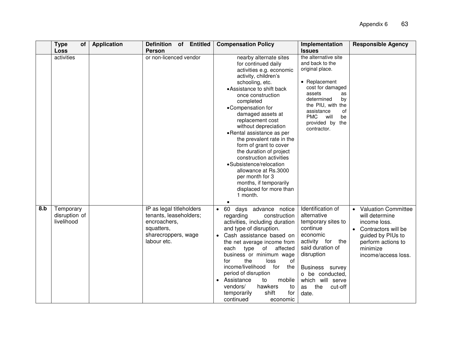|     | <b>Type</b><br>0f<br><b>Loss</b>         | <b>Application</b> | Definition of<br><b>Entitled</b><br>Person                                                                             | <b>Compensation Policy</b>                                                                                                                                                                                                                                                                                                                                                                                                                                                                                                                                   | Implementation<br><b>Issues</b>                                                                                                                                                                                                  | <b>Responsible Agency</b>                                                                                                                                         |
|-----|------------------------------------------|--------------------|------------------------------------------------------------------------------------------------------------------------|--------------------------------------------------------------------------------------------------------------------------------------------------------------------------------------------------------------------------------------------------------------------------------------------------------------------------------------------------------------------------------------------------------------------------------------------------------------------------------------------------------------------------------------------------------------|----------------------------------------------------------------------------------------------------------------------------------------------------------------------------------------------------------------------------------|-------------------------------------------------------------------------------------------------------------------------------------------------------------------|
|     | activities                               |                    | or non-licenced vendor                                                                                                 | nearby alternate sites<br>for continued daily<br>activities e.g. economic<br>activity, children's<br>schooling, etc.<br>• Assistance to shift back<br>once construction<br>completed<br>•Compensation for<br>damaged assets at<br>replacement cost<br>without depreciation<br>• Rental assistance as per<br>the prevalent rate in the<br>form of grant to cover<br>the duration of project<br>construction activities<br>•Subsistence/relocation<br>allowance at Rs.3000<br>per month for 3<br>months, if temporarily<br>displaced for more than<br>1 month. | the alternative site<br>and back to the<br>original place.<br>• Replacement<br>cost for damaged<br>assets<br>as<br>determined<br>by<br>the PIU, with the<br>assistance<br>of<br>PMC will<br>be<br>provided by the<br>contractor. |                                                                                                                                                                   |
| 8.b | Temporary<br>disruption of<br>livelihood |                    | IP as legal titleholders<br>tenants, leaseholders;<br>encroachers,<br>squatters,<br>sharecroppers, wage<br>labour etc. | • 60<br>days advance notice<br>regarding<br>construction<br>activities, including duration<br>and type of disruption.<br>Cash assistance based on<br>the net average income from<br>affected<br>type of<br>each<br>business or minimum wage<br>of<br>the<br>for<br>loss<br>income/livelihood<br>the<br>for<br>period of disruption<br>• Assistance<br>mobile<br>to<br>vendors/<br>hawkers<br>to<br>shift<br>for<br>temporarily<br>continued<br>economic                                                                                                      | Identification of<br>alternative<br>temporary sites to<br>continue<br>economic<br>activity for the<br>said duration of<br>disruption<br>Business survey<br>o be conducted,<br>which will serve<br>the<br>cut-off<br>as<br>date.  | <b>Valuation Committee</b><br>will determine<br>income loss.<br>Contractors will be<br>guided by PIUs to<br>perform actions to<br>minimize<br>income/access loss. |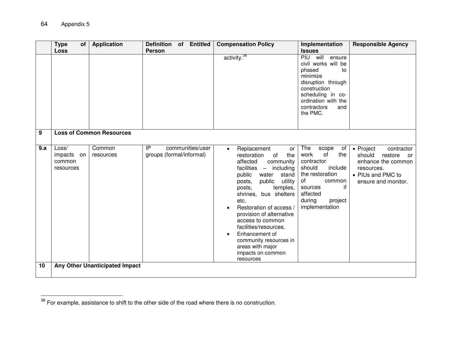|          | <b>Type</b><br>Οf<br><b>Loss</b>           | <b>Application</b>                                     | <b>Definition</b><br>of Entitled<br><b>Person</b>  | <b>Compensation Policy</b>                                                                                                                                                                                                                                                                                                                                                                                                                                         | Implementation<br><b>Issues</b>                                                                                                                                                           | <b>Responsible Agency</b>                                                                                                          |
|----------|--------------------------------------------|--------------------------------------------------------|----------------------------------------------------|--------------------------------------------------------------------------------------------------------------------------------------------------------------------------------------------------------------------------------------------------------------------------------------------------------------------------------------------------------------------------------------------------------------------------------------------------------------------|-------------------------------------------------------------------------------------------------------------------------------------------------------------------------------------------|------------------------------------------------------------------------------------------------------------------------------------|
|          |                                            |                                                        |                                                    | activity. <sup>38</sup>                                                                                                                                                                                                                                                                                                                                                                                                                                            | PIU will<br>ensure<br>civil works will be<br>phased<br>to<br>minimize<br>disruption through<br>construction<br>scheduling in co-<br>ordination with the<br>contractors<br>and<br>the PMC. |                                                                                                                                    |
| 9<br>9.a | Loss/<br>impacts on<br>common<br>resources | <b>Loss of Common Resources</b><br>Common<br>resources | IP<br>communities/user<br>groups (formal/informal) | Replacement<br>or<br>$\bullet$<br>restoration<br>of<br>the<br>affected<br>community<br>facilities<br>including<br>$\overline{\phantom{0}}$<br>stand<br>public<br>water<br>public<br>posts,<br>utility<br>posts,<br>temples,<br>shrines, bus shelters<br>etc.<br>Restoration of access /<br>provision of alternative<br>access to common<br>facilities/resources.<br>Enhancement of<br>community resources in<br>areas with major<br>impacts on common<br>resources | The<br>scope<br>of<br>work<br>the<br>of<br>contractor<br>should<br>include<br>the restoration<br>οf<br>common<br>if<br>sources<br>affected<br>during<br>project<br>implementation         | • Project<br>contractor<br>should<br>restore<br>or<br>enhance the common<br>resources.<br>• PIUs and PMC to<br>ensure and monitor. |
| 10       |                                            | Any Other Unanticipated Impact                         |                                                    |                                                                                                                                                                                                                                                                                                                                                                                                                                                                    |                                                                                                                                                                                           |                                                                                                                                    |

 $38$  For example, assistance to shift to the other side of the road where there is no construction.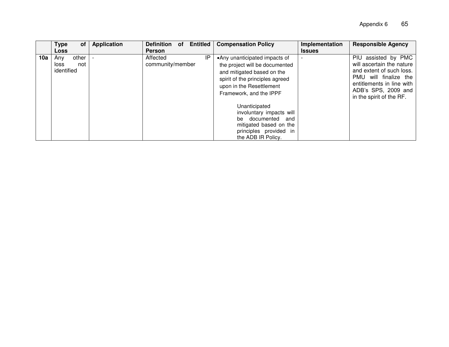|     | Type<br>οf                                | <b>Application</b> | <b>Entitled</b><br><b>Definition</b><br>0f | <b>Compensation Policy</b>                                                                                                                                                              | Implementation | <b>Responsible Agency</b>                                                                                                                                                             |
|-----|-------------------------------------------|--------------------|--------------------------------------------|-----------------------------------------------------------------------------------------------------------------------------------------------------------------------------------------|----------------|---------------------------------------------------------------------------------------------------------------------------------------------------------------------------------------|
|     | <b>Loss</b>                               |                    | <b>Person</b>                              |                                                                                                                                                                                         | <b>Issues</b>  |                                                                                                                                                                                       |
| 10a | other<br>Any<br>loss<br>not<br>identified |                    | IP<br>Affected<br>community/member         | •Any unanticipated impacts of<br>the project will be documented<br>and mitigated based on the<br>spirit of the principles agreed<br>upon in the Resettlement<br>Framework, and the IPPF |                | PIU assisted by PMC<br>will ascertain the nature<br>and extent of such loss.<br>PMU will finalize the<br>entitlements in line with<br>ADB's SPS, 2009 and<br>in the spirit of the RF. |
|     |                                           |                    |                                            | Unanticipated<br>involuntary impacts will<br>documented<br>and<br>be<br>mitigated based on the<br>principles provided in<br>the ADB IR Policy.                                          |                |                                                                                                                                                                                       |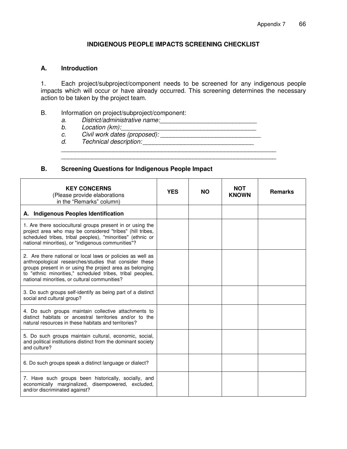## **INDIGENOUS PEOPLE IMPACTS SCREENING CHECKLIST**

#### **A. Introduction**

1. Each project/subproject/component needs to be screened for any indigenous people impacts which will occur or have already occurred. This screening determines the necessary action to be taken by the project team.

\_\_\_\_\_\_\_\_\_\_\_\_\_\_\_\_\_\_\_\_\_\_\_\_\_\_\_\_\_\_\_\_\_\_\_\_\_\_\_\_\_\_\_\_\_\_\_\_\_\_\_\_\_\_\_\_\_\_\_\_\_\_

\_\_\_\_\_\_\_\_\_\_\_\_\_\_\_\_\_\_\_\_\_\_\_\_\_\_\_\_\_\_\_\_\_\_\_\_\_\_\_\_\_\_\_\_\_\_\_\_\_\_\_\_\_\_\_\_\_\_\_\_\_\_

- B. Information on project/subproject/component:
	- *a. District/administrative name:\_\_\_\_\_\_\_\_\_\_\_\_\_\_\_\_\_\_\_\_\_\_\_\_\_\_\_\_*
	- *b. Location (km):\_\_\_\_\_\_\_\_\_\_\_\_\_\_\_\_\_\_\_\_\_\_\_\_\_\_\_\_\_\_\_\_\_\_\_\_\_\_\_*
	- *c. Civil work dates (proposed): \_\_\_\_\_\_\_\_\_\_\_\_\_\_\_\_\_\_\_\_\_\_\_\_\_\_\_\_\_*
	- *d. Technical description:* \_\_\_\_\_\_\_\_\_\_\_\_\_\_\_\_\_\_\_\_\_\_\_\_\_\_\_\_\_\_\_\_

#### **B. Screening Questions for Indigenous People Impact**

| <b>KEY CONCERNS</b><br>(Please provide elaborations<br>in the "Remarks" column)                                                                                                                                                                                                                | <b>YES</b> | <b>NO</b> | NOT<br><b>KNOWN</b> | <b>Remarks</b> |
|------------------------------------------------------------------------------------------------------------------------------------------------------------------------------------------------------------------------------------------------------------------------------------------------|------------|-----------|---------------------|----------------|
| A. Indigenous Peoples Identification                                                                                                                                                                                                                                                           |            |           |                     |                |
| 1. Are there sociocultural groups present in or using the<br>project area who may be considered "tribes" (hill tribes,<br>scheduled tribes, tribal peoples), "minorities" (ethnic or<br>national minorities), or "indigenous communities"?                                                     |            |           |                     |                |
| 2. Are there national or local laws or policies as well as<br>anthropological researches/studies that consider these<br>groups present in or using the project area as belonging<br>to "ethnic minorities," scheduled tribes, tribal peoples,<br>national minorities, or cultural communities? |            |           |                     |                |
| 3. Do such groups self-identify as being part of a distinct<br>social and cultural group?                                                                                                                                                                                                      |            |           |                     |                |
| 4. Do such groups maintain collective attachments to<br>distinct habitats or ancestral territories and/or to the<br>natural resources in these habitats and territories?                                                                                                                       |            |           |                     |                |
| 5. Do such groups maintain cultural, economic, social,<br>and political institutions distinct from the dominant society<br>and culture?                                                                                                                                                        |            |           |                     |                |
| 6. Do such groups speak a distinct language or dialect?                                                                                                                                                                                                                                        |            |           |                     |                |
| 7. Have such groups been historically, socially, and<br>economically marginalized, disempowered, excluded,<br>and/or discriminated against?                                                                                                                                                    |            |           |                     |                |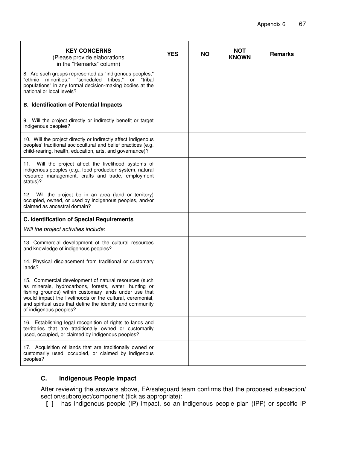| <b>KEY CONCERNS</b><br>(Please provide elaborations<br>in the "Remarks" column)                                                                                                                                                                                                                                              | <b>YES</b> | <b>NO</b> | <b>NOT</b><br><b>KNOWN</b> | <b>Remarks</b> |
|------------------------------------------------------------------------------------------------------------------------------------------------------------------------------------------------------------------------------------------------------------------------------------------------------------------------------|------------|-----------|----------------------------|----------------|
| 8. Are such groups represented as "indigenous peoples,"<br>minorities," "scheduled tribes,"<br>"ethnic<br>or<br>"tribal<br>populations" in any formal decision-making bodies at the<br>national or local levels?                                                                                                             |            |           |                            |                |
| <b>B. Identification of Potential Impacts</b>                                                                                                                                                                                                                                                                                |            |           |                            |                |
| 9. Will the project directly or indirectly benefit or target<br>indigenous peoples?                                                                                                                                                                                                                                          |            |           |                            |                |
| 10. Will the project directly or indirectly affect indigenous<br>peoples' traditional sociocultural and belief practices (e.g.<br>child-rearing, health, education, arts, and governance)?                                                                                                                                   |            |           |                            |                |
| Will the project affect the livelihood systems of<br>11.<br>indigenous peoples (e.g., food production system, natural<br>resource management, crafts and trade, employment<br>status)?                                                                                                                                       |            |           |                            |                |
| 12. Will the project be in an area (land or territory)<br>occupied, owned, or used by indigenous peoples, and/or<br>claimed as ancestral domain?                                                                                                                                                                             |            |           |                            |                |
| <b>C. Identification of Special Requirements</b>                                                                                                                                                                                                                                                                             |            |           |                            |                |
| Will the project activities include:                                                                                                                                                                                                                                                                                         |            |           |                            |                |
| 13. Commercial development of the cultural resources<br>and knowledge of indigenous peoples?                                                                                                                                                                                                                                 |            |           |                            |                |
| 14. Physical displacement from traditional or customary<br>lands?                                                                                                                                                                                                                                                            |            |           |                            |                |
| 15. Commercial development of natural resources (such<br>as minerals, hydrocarbons, forests, water, hunting or<br>fishing grounds) within customary lands under use that<br>would impact the livelihoods or the cultural, ceremonial,<br>and spiritual uses that define the identity and community<br>of indigenous peoples? |            |           |                            |                |
| 16. Establishing legal recognition of rights to lands and<br>territories that are traditionally owned or customarily<br>used, occupied, or claimed by indigenous peoples?                                                                                                                                                    |            |           |                            |                |
| 17. Acquisition of lands that are traditionally owned or<br>customarily used, occupied, or claimed by indigenous<br>peoples?                                                                                                                                                                                                 |            |           |                            |                |

# **C. Indigenous People Impact**

After reviewing the answers above, EA/safeguard team confirms that the proposed subsection/ section/subproject/component (tick as appropriate):

**[ ]** has indigenous people (IP) impact, so an indigenous people plan (IPP) or specific IP